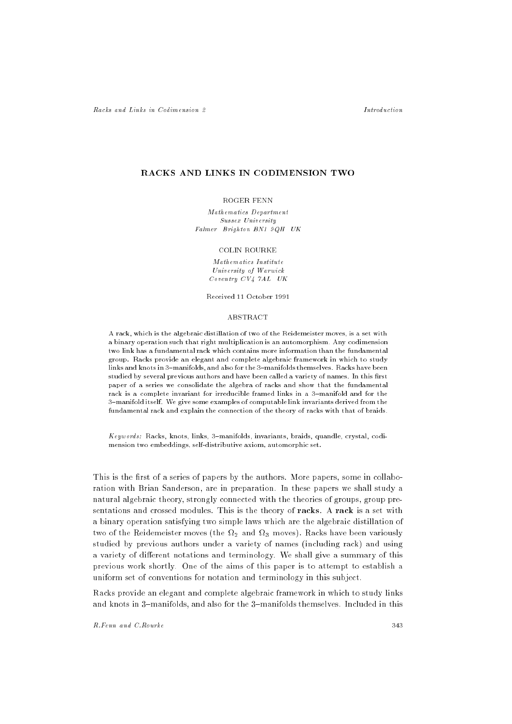## *Introduction*

# **RACKS AND LINKS IN CODIMENSION TWO**

#### ROGER FENN

Mathematics Department Sussex University Falmer Brighton BN1 9QH UK

## **COLIN ROURKE**

Mathematics Institute University of Warwick Coventry CV4 7AL UK

Received 11 October 1991

#### **ABSTRACT**

A rack, which is the algebraic distillation of two of the Reidemeister moves, is a set with a binary operation such that right multiplication is an automorphism. Any codimension two link has a fundamental rack which contains more information than the fundamental group. Racks provide an elegant and complete algebraic framework in which to study links and knots in 3-manifolds, and also for the 3-manifolds themselves. Racks have been studied by several previous authors and have been called a variety of names. In this first paper of a series we consolidate the algebra of racks and show that the fundamental paper of a series we consolidate the algebra of racks and show that the fundamental rack is a complete invariant for irreducible framed links in a 3-manifold and for the 3-manifold itself. We give some examples of computable link invariants derived from the fundamental rack and explain the connection of the theory of racks with that of braids.

Keywords: Racks, knots, links, 3{manifolds, invariants, braids, quandle, crystal, codimension two embeddings, self-distributive axiom, automorphic set.

This is the first of a series of papers by the authors. More papers, some in collaboration with Brian Sanderson, are in preparation. In these papers we shall study a natural algebraic theory, strongly connected with the theories of groups, group presentations and crossed modules. This is the theory of racks. A rack is a set with a binary operation satisfying two simple laws which are the algebraic distillation of two of the Reidemeister moves (the Fig. and Fig. and Fig. accurate moves (although studied by previous authors under a variety of names (including rack) and using a variety of different notations and terminology. We shall give a summary of this previous work shortly. One of the aims of this paper is to attempt to establish a uniform set of conventions for notation and terminology in this subject.

Racks provide an elegant and complete algebraic framework in which to study links and knots in 3-manifolds, and also for the 3-manifolds themselves. Included in this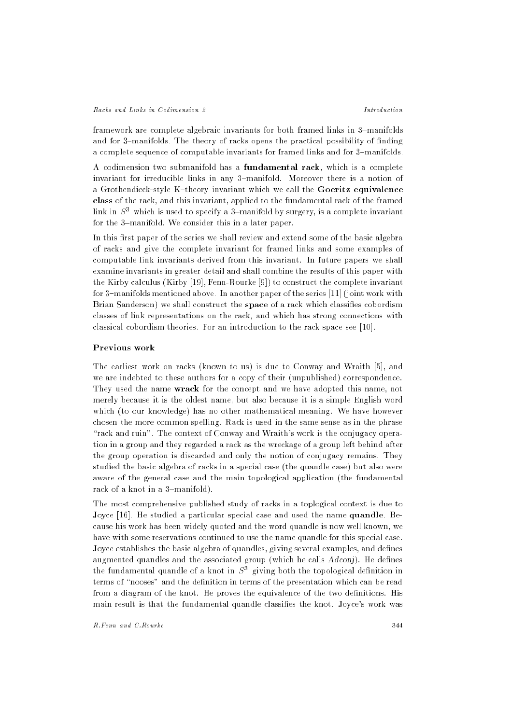#### Racks and Links in Codimension 2

framework are complete algebraic invariants for both framed links in 3-manifolds and for 3-manifolds. The theory of racks opens the practical possibility of finding a complete sequence of computable invariants for framed links and for 3-manifolds.

A codimension two submanifold has a fundamental rack, which is a complete invariant for irreducible links in any 3-manifold. Moreover there is a notion of a Grothendieck-style K-theory invariant which we call the Goeritz equivalence class of the rack, and this invariant, applied to the fundamental rack of the framed link in  $S<sup>3</sup>$  which is used to specify a 3-manifold by surgery, is a complete invariant for the 3-manifold. We consider this in a later paper.

In this first paper of the series we shall review and extend some of the basic algebra of racks and give the complete invariant for framed links and some examples of computable link invariants derived from this invariant. In future papers we shall examine invariants in greater detail and shall combine the results of this paper with the Kirby calculus (Kirby [19], Fenn-Rourke [9]) to construct the complete invariant for 3-manifolds mentioned above. In another paper of the series [11] (joint work with Brian Sanderson) we shall construct the space of a rack which classifies cobordism classes of link representations on the rack, and which has strong connections with classical cobordism theories. For an introduction to the rack space see [10].

#### Previous work

The earliest work on racks (known to us) is due to Conway and Wraith [5], and we are indebted to these authors for a copy of their (unpublished) correspondence. They used the name wrack for the concept and we have adopted this name, not merely because it is the oldest name, but also because it is a simple English word which (to our knowledge) has no other mathematical meaning. We have however chosen the more common spelling. Rack is used in the same sense as in the phrase "rack and ruin". The context of Conway and Wraith's work is the conjugacy operation in a group and they regarded a rack as the wreckage of a group left behind after the group operation is discarded and only the notion of conjugacy remains. They studied the basic algebra of racks in a special case (the quandle case) but also were aware of the general case and the main topological application (the fundamental rack of a knot in a 3-manifold).

The most comprehensive published study of racks in a toplogical context is due to Joyce [16]. He studied a particular special case and used the name quandle. Because his work has been widely quoted and the word quandle is now well known, we have with some reservations continued to use the name quandle for this special case. Joyce establishes the basic algebra of quandles, giving several examples, and defines augmented quandles and the associated group (which he calls  $Adconj)$ . He defines the fundamental quandle of a knot in  $S^{\pm}$  giving both the topological definition in terms of "nooses" and the definition in terms of the presentation which can be read from a diagram of the knot. He proves the equivalence of the two definitions. His main result is that the fundamental quandle classies the knot. Joyce's work was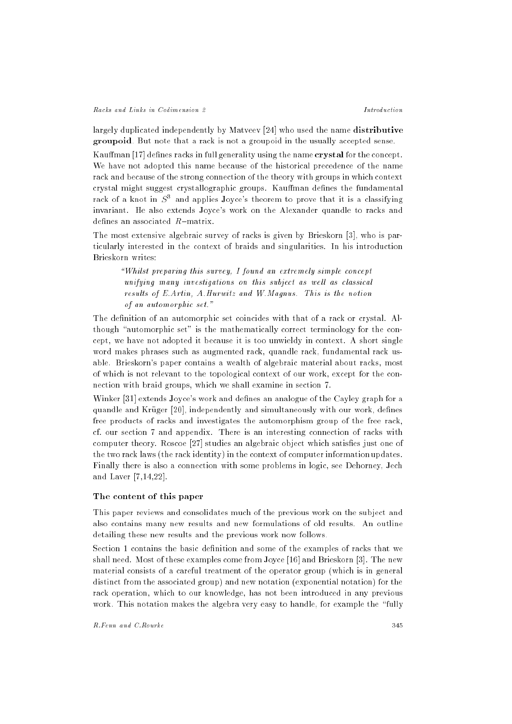#### Racks and Links in Codimension 2

largely duplicated independently by Matveev [24] who used the name distributive groupoid. But note that a rack is not a groupoid in the usually accepted sense.

Kauffman [17] defines racks in full generality using the name crystal for the concept. We have not adopted this name because of the historical precedence of the name rack and because of the strong connection of the theory with groups in which context crystal might suggest crystallographic groups. Kauffman defines the fundamental rack of a knot in  $S<sup>3</sup>$  and applies Joyce's theorem to prove that it is a classifying invariant. He also extends Joyce's work on the Alexander quandle to racks and defines an associated  $R$ -matrix.

The most extensive algebraic survey of racks is given by Brieskorn [3], who is particularly interested in the context of braids and singularities. In his introduction Brieskorn writes:

\Whilst preparing this survey, I found an extremely simple concept unifying many investigations on this subject as well as classical results of E.Artin, A.Hurwitz and W.Magnus. This is the notion of an automorphic set."

The definition of an automorphic set coincides with that of a rack or crystal. Although "automorphic set" is the mathematically correct terminology for the concept, we have not adopted it because it is too unwieldy in context. A short single word makes phrases such as augmented rack, quandle rack, fundamental rack usable. Brieskorn's paper contains a wealth of algebraic material about racks, most of which is not relevant to the topological context of our work, except for the connection with braid groups, which we shall examine in section 7.

Winker [31] extends Joyce's work and defines an analogue of the Cayley graph for a quandle and Krüger [20], independently and simultaneously with our work, defines free products of racks and investigates the automorphism group of the free rack, cf. our section 7 and appendix. There is an interesting connection of racks with computer theory. Roscoe [27] studies an algebraic object which satisfies just one of the two rack laws (the rack identity) in the context of computer information updates. Finally there is also a connection with some problems in logic, see Dehorney, Jech and Laver [7,14,22].

## The content of this paper

This paper reviews and consolidates much of the previous work on the subject and also contains many new results and new formulations of old results. An outline detailing these new results and the previous work now follows.

Section 1 contains the basic definition and some of the examples of racks that we shall need. Most of these examples come from Joyce [16] and Brieskorn [3]. The new material consists of a careful treatment of the operator group (which is in general distinct from the associated group) and new notation (exponential notation) for the rack operation, which to our knowledge, has not been introduced in any previous work. This notation makes the algebra very easy to handle, for example the "fully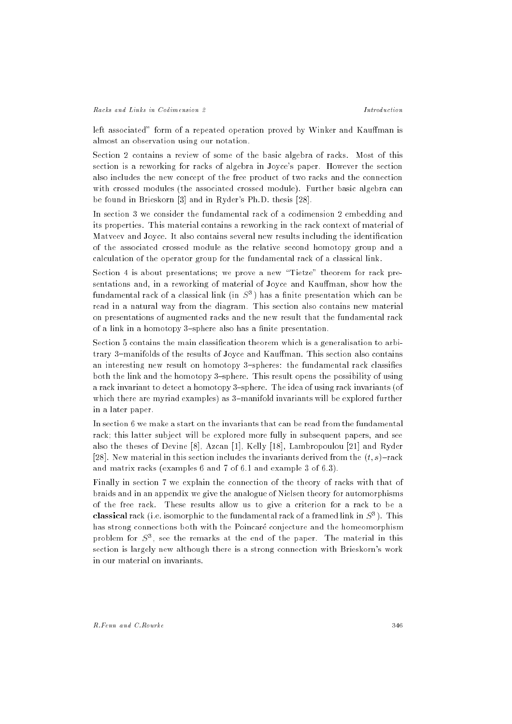left associated" form of a repeated operation proved by Winker and Kauffman is almost an observation using our notation.

Section 2 contains a review of some of the basic algebra of racks. Most of this section is a reworking for racks of algebra in Joyce's paper. However the section also includes the new concept of the free product of two racks and the connection with crossed modules (the associated crossed module). Further basic algebra can be found in Brieskorn [3] and in Ryder's Ph.D. thesis [28].

In section 3 we consider the fundamental rack of a codimension 2 embedding and its properties. This material contains a reworking in the rack context of material of Matveev and Joyce. It also contains several new results including the identification of the associated crossed module as the relative second homotopy group and a calculation of the operator group for the fundamental rack of a classical link.

Section 4 is about presentations; we prove a new "Tietze" theorem for rack presentations and, in a reworking of material of Joyce and Kauffman, show how the fundamental rack of a classical link (in  $S^{\pm}$ ) has a nifite presentation which can be read in a natural way from the diagram. This section also contains new material on presentations of augmented racks and the new result that the fundamental rack of a link in a homotopy 3-sphere also has a finite presentation.

Section 5 contains the main classication theorem which is a generalisation to arbitrary 3-manifolds of the results of Joyce and Kauffman. This section also contains an interesting new result on homotopy 3-spheres: the fundamental rack classifies both the link and the homotopy 3-sphere. This result opens the possibility of using a rack invariant to detect a homotopy 3-sphere. The idea of using rack invariants (of which there are myriad examples) as 3-manifold invariants will be explored further in a later paper.

In section 6 we make a start on the invariants that can be read from the fundamental rack; this latter subject will be explored more fully in subsequent papers, and see also the theses of Devine [8], Azcan [1], Kelly [18], Lambropoulou [21] and Ryder [28]. New material in this section includes the invariants derived from the  $(t, s)$ -rack and matrix racks (examples 6 and 7 of 6.1 and example 3 of 6.3).

Finally in section 7 we explain the connection of the theory of racks with that of braids and in an appendix we give the analogue of Nielsen theory for automorphisms of the free rack. These results allow us to give a criterion for a rack to be a classical rack (i.e. isomorphic to the fundamental rack of a framed link in  $S^*$  ). This has strong connections both with the Poincaré conjecture and the homeomorphism problem for  $S^{\pi}$ , see the remarks at the end of the paper. The material in this section is largely new although there is a strong connection with Brieskorn's work in our material on invariants.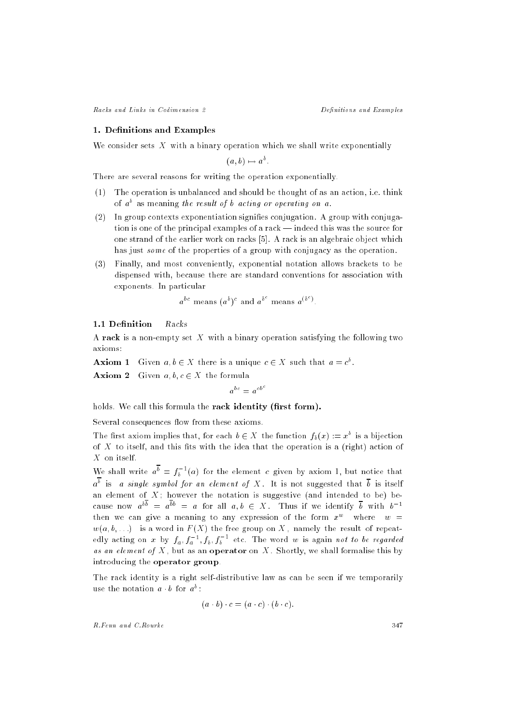Racks and Links in Codimension 2 2 2 Definitions and Examples

#### 1. Denitions and Examples

We consider sets  $X$  with a binary operation which we shall write exponentially

 $a, b) \mapsto a^{-}$ 

There are several reasons for writing the operation exponentially.

- (1) The operation is unbalanced and should be thought of as an action, i.e. think of a as meaning the result of b acting or operating on a.
- (2) In group contexts exponentiation signies conjugation. A group with conjugation is one of the principal examples of a rack  $-$  indeed this was the source for one strand of the earlier work on racks [5]. A rack is an algebraic object which has just *some* of the properties of a group with conjugacy as the operation.
- $(3)$ Finally, and most conveniently, exponential notation allows brackets to be dispensed with, because there are standard conventions for association with exponents. In particular

$$
a^{bc}
$$
 means  $(a^b)^c$  and  $a^{b^c}$  means  $a^{(b^c)}$ .

## 1.1 Definition Racks

A rack is a non-empty set X with a binary operation satisfying the following two axioms:

**AXIOM 1** Given  $a, b \in A$  there is a unique  $c \in A$  such that  $a = c$ .

**Axiom 2** Given  $a, b, c \in X$  the formula  $0c = c0$ 

holds. We call this formula the rack identity (first form).

Several consequences flow from these axioms.

The first axiom implies that, for each  $b \in A$  the function  $f_b(x) := x^2$  is a bijection of  $X$  to itself, and this fits with the idea that the operation is a (right) action of X on itself.

We shall write  $a^* = f_b^{\dagger}(a)$  for the element c given by axiom 1, but notice that  $a^{\overline{b}}$  is a single symbol for an element of X. It is not suggested that  $\overline{b}$  is itself an element of  $X$ ; however the notation is suggestive (and intended to be) because now  $a^{b\overline{b}} = a^{\overline{b}b} = a$  for all  $a, b \in X$ . Thus if we identify  $\overline{b}$  with  $b^{-1}$ then we can give a meaning to any expression of the form  $x^w$  where  $w =$  $w(a, b, \ldots)$  is a word in  $F(X)$  the free group on X, namely the result of repeatedly acting on  $x$  by  $f_a$  ,  $f_a$   $^*, f_b$  ,  $f_b$   $^*$  etc. The word  $w$  is again *not to be regarded* as an element of the form as an operator on I . Shortly, we shall formally formally formalise the strong introducing the operator group.

The rack identity is a right self-distributive law as can be seen if we temporarily use the notation  $a \cdot b$  for  $a \cdot$ :

$$
(a \cdot b) \cdot c = (a \cdot c) \cdot (b \cdot c).
$$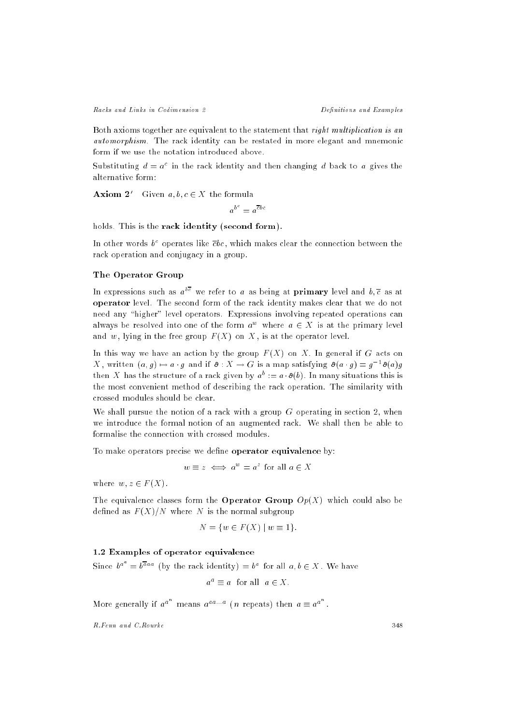Racks and Links in Codimension 2 2 2 Definitions and Examples

Both axioms together are equivalent to the statement that right multiplication is an automorphism. The rack identity can be restated in more elegant and mnemonic form if we use the notation introduced above.

Substituting  $a = a^{\perp}$  in the rack identity and then changing  $a$  back to  $a$  gives the

**Axiom 2'** Given  $a, b, c \in X$  the formula

 $\theta^- = e^{c\theta}c$ 

holds. This is the rack identity (second form).

In other words b c operates like cbc , which makes clear the connection between the rack operation and conjugacy in a group.

## The Operator Group

In expressions such as  $a^{**}$  we refer to  $a$  as being at  $\bold{p}\text{rimary}$  level and  $v,c$  as at operator level. The second form of the rack identity makes clear that we do not need any "higher" level operators. Expressions involving repeated operations can always be resolved into one of the form  $a^w$  where  $a \in X$  is at the primary level and  $w$ , lying in the free group  $F(X)$  on  $X$ , is at the operator level.

In this way we have an action by the group  $F(X)$  on X. In general if G acts on  $\Lambda$ , written  $(a, q) \mapsto a \cdot q$  and if  $\sigma : \Lambda \to G$  is a map satisfying  $\sigma(a \cdot q) = q \cdot \sigma(a)q$ then  $\Lambda$  has the structure of a rack given by  $a^+:= a \cdot \sigma(v)$ . In many situations this is the most convenient method of describing the rack operation. The similarity with crossed modules should be clear.

We shall pursue the notion of a rack with a group  $G$  operating in section 2, when we introduce the formal notion of an augmented rack. We shall then be able to formalise the connection with crossed modules.

To make operators precise we define operator equivalence by:

 $w \equiv z \iff a^{-} = a^{-}$  for all  $a \in A$ 

where  $w, z \in F(X)$ .

The equivalence classes form the **Operator Group**  $Op(X)$  which could also be defined as  $F(X)/N$  where N is the normal subgroup

$$
N = \{ w \in F(X) \mid w \equiv 1 \}.
$$

# 1.2 Examples of operator equivalence

Since  $b^{a^*} = b^{aaa}$  (by the rack identity)  $= b^a$  for all  $a, b \in X$ . We have

$$
a^a \equiv a
$$
 for all  $a \in X$ .

More generally if  $a^{a^{n}}$  means  $a^{aa...a}$  (n repeats) then  $a \equiv a^{a^{n}}$ .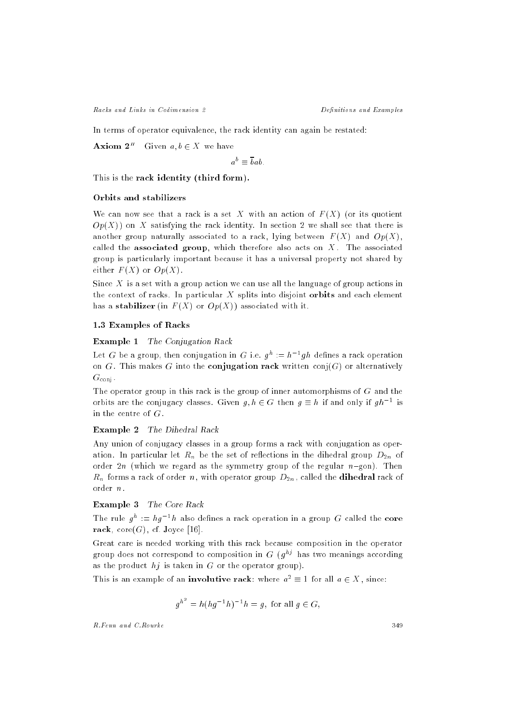Racks and Links in Codimension 2 2 Definitions and Examples

In terms of operator equivalence, the rack identity can again be restated:

**Axiom 2**<sup>*''*</sup> Given  $a, b \in X$  we have

$$
a^b \equiv \overline{b}ab.
$$

This is the rack identity (third form).

#### Orbits and stabilizers

We can now see that a rack is a set X with an action of  $F(X)$  (or its quotient  $Op(X)$  on X satisfying the rack identity. In section 2 we shall see that there is another group naturally associated to a rack, lying between  $F(X)$  and  $Op(X)$ , called the associated group, which therefore also acts on  $X$ . The associated group is particularly important because it has a universal property not shared by either  $F(X)$  or  $Op(X)$ .

Since  $X$  is a set with a group action we can use all the language of group actions in the context of racks. In particular  $X$  splits into disjoint orbits and each element has a stabilizer (in  $F(X)$  or  $Op(X)$ ) associated with it.

# 1.3 Examples of Racks

#### Example 1 The Conjugation Rack

Let  $G$  be a group, then conjugation in  $G$  i.e.  $g^{\perp} \equiv n^{-1}qn$  defines a rack operation on G. This makes G into the conjugation rack written conj $(G)$  or alternatively  $G_{\text{conj}}$ .

The operator group in this rack is the group of inner automorphisms of  $G$  and the orbits are the conjugacy classes. Given  $g, n \in G$  then  $g = n$  if and only if  $gn = \text{is}$ in the centre of  $G$ .

# Example 2 The Dihedral Rack

Any union of conjugacy classes in a group forms a rack with conjugation as operation. In particular, it replaces in the set of reset of the set of  $\mathcal{A}$ order 2n (which we regard as the symmetry group of the regular  $n$ -gon). Then  $R = 10$  rack of order n, with order n, with order n, with order n, with  $\alpha$ order  $n$ .

# Example 3 The Core Rack

The rule  $q^* := ng^{-1}n$  also defines a rack operation in a group G called the core rack,  $\text{core}(G)$ , cf. Joyce [16].

Great care is needed working with this rack because composition in the operator group does not correspond to composition in  $\mathrm{G}$  (  $q^{\sim}$  ) has two meanings according as the product  $h_j$  is taken in G or the operator group).

This is an example of an **involutive rack**: where  $a^2 \equiv 1$  for all  $a \in X$ , since:

$$
g^{h^2} = h(hg^{-1}h)^{-1}h = g
$$
, for all  $g \in G$ ,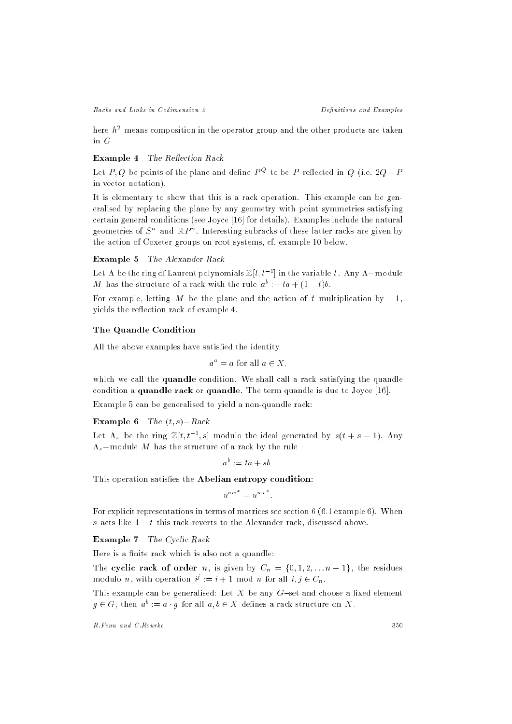here  $h^2$  means composition in the operator group and the other products are taken in G.

# Example 4 The Reflection Rack

Let  $P,Q$  be points of the plane and define  $P^\infty$  to be  $P$  reflected in Q (i.e. 2Q  $=P$ in vector notation).

It is elementary to show that this is a rack operation. This example can be generalised by replacing the plane by any geometry with point symmetries satisfying certain general conditions (see Joyce [16] for details). Examples include the natural geometries of  $S^n$  and  $\mathbb{R}P^n$ . Interesting subracks of these latter racks are given by the action of Coxeter groups on root systems, cf. example 10 below.

# Example 5 The Alexander Rack

Let A be the ring of Laurent polynomials  $\mathbb{Z}[t, t^{-1}]$  in the variable t. Any A-module  $M$  has the structure of a rack with the rule  $a^* := ia + (1 - i)b$ .

For example, letting M be the plane and the action of t multiplication by  $-1$ , yields the re
ection rack of example 4.

#### The Quandle Condition

All the above examples have satisfied the identity

$$
a^a = a
$$
 for all  $a \in X$ ,

which we call the quandle condition. We shall call a rack satisfying the quandle condition a quandle rack or quandle. The term quandle is due to Joyce [16].

Example 5 can be generalised to yield a non-quandle rack:

Example 6 The  $(t, s)$ -Rack

Let  $\Lambda_s$  be the ring  $\mathbb{Z}[t, t^{-1}, s]$  modulo the ideal generated by  $s(t + s - 1)$ . Any  $\Lambda_s$  – module M has the structure of a rack by the rule

$$
a^b := ta + sb.
$$

This operation satisfies the Abelian entropy condition:

$$
u^{vw^x} = u^{wv^x}.
$$

For explicit representations in terms of matrices see section 6 (6.1 example 6). When s acts like  $1-t$  this rack reverts to the Alexander rack, discussed above.

#### Example 7 The Cyclic Rack

Here is a finite rack which is also not a quandle:

The cyclic rack of order n, is given by Cn <sup>=</sup> f0; 1; 2; : : :n 1g , the residues modulo n, with operation  $\nu := i + 1$  mod n for all  $i, j \in C_n$ .

This example can be generalised: Let  $X$  be any  $G$ -set and choose a fixed element  $g \in G$  , then  $a^+ := a \cdot g$  for an  $a, v \in X$  defines a rack structure on  $X$  .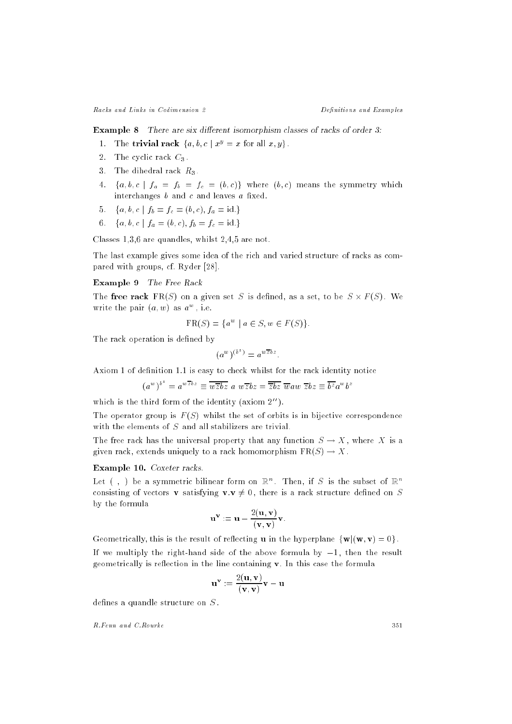**Example 8** There are six different isomorphism classes of racks of order  $3$ :

- 1. The **trivial rack**  $\{a, b, c \mid x^y = x \text{ for all } x, y\}.$
- 2. The cyclic rack  $C_3$ .
- 3. The dihedral rack  $R_3$ .
- $\mathbf{f} = \mathbf{f} + \mathbf{f} + \mathbf{f} + \mathbf{f} + \mathbf{f} + \mathbf{f} + \mathbf{f} + \mathbf{f} + \mathbf{f} + \mathbf{f} + \mathbf{f} + \mathbf{f} + \mathbf{f} + \mathbf{f} + \mathbf{f} + \mathbf{f} + \mathbf{f} + \mathbf{f} + \mathbf{f} + \mathbf{f} + \mathbf{f} + \mathbf{f} + \mathbf{f} + \mathbf{f} + \mathbf{f} + \mathbf{f} + \mathbf{f} + \mathbf{f} + \mathbf{f} + \mathbf{f} + \mathbf$ interchanges  $b$  and  $c$  and leaves  $a$  fixed.
- 5. fa: faith faith faith faith faith faith faith faith faith faith faith faith faith faith faith faith faith f
- 6. fa; b; c <sup>j</sup> fa = (b; c); fb <sup>=</sup> fc = id.g

Classes 1,3,6 are quandles, whilst 2,4,5 are not.

The last example gives some idea of the rich and varied structure of racks as compared with groups, cf. Ryder [28].

# Example 9 The Free Rack

The free rack FR(S) on a given set S is dened, as a set, to be S - F (S) . We write the pair  $(a, w)$  as  $a^{-}$ , i.e.

$$
FR(S) = \{a^w \mid a \in S, w \in F(S)\}.
$$

The rack operation is defined by

$$
(a^w)^{(b^z)} = a^{w\overline{z}bz}.
$$

Axiom 1 of definition 1.1 is easy to check whilst for the rack identity notice

$$
(a^w)^{b^z} = a^{w\overline{z}bz} \equiv \overline{w\overline{z}bz} \ a \ w\overline{z}bz = \overline{zbz} \ \overline{w}aw \ \overline{z}bz \equiv \overline{b^z}a^wb^z
$$

which is the third form of the identity (axiom  $2^{\prime\prime}$ ).

The operator group is  $F(S)$  whilst the set of orbits is in bijective correspondence with the elements of  $S$  and all stabilizers are trivial.

The free rack has the universal property that any function  $S \to X$ , where X is a given rack, extends uniquely to a rack homomorphism  $FR(S) \rightarrow X$ .

#### Example 10. Coxeter racks.

Let ( ) be a symmetric bilinear form on  $\mathbb{R}^n$ . Then, if S is the subset of  $\mathbb{R}^n$ consisting of vectors **v** satisfying  $\mathbf{v} \cdot \mathbf{v} \neq 0$ , there is a rack structure defined on S by the formula

$$
\mathbf{u}^{\mathbf{v}} := \mathbf{u} - \frac{2(\mathbf{u}, \mathbf{v})}{(\mathbf{v}, \mathbf{v})} \mathbf{v}.
$$

Geometrically, this is the result of reflecting **u** in the hyperplane  $\{w | (w, v) = 0\}$ .

If we multiply the right-hand side of the above formula by  $-1$ , then the result geometrically is reflection in the line containing  $\bf{v}$ . In this case the formula

$$
\mathbf{u}^{\mathbf{v}} := \frac{2(\mathbf{u}, \mathbf{v})}{(\mathbf{v}, \mathbf{v})} \mathbf{v} - \mathbf{u}
$$

defines a quandle structure on  $S$ .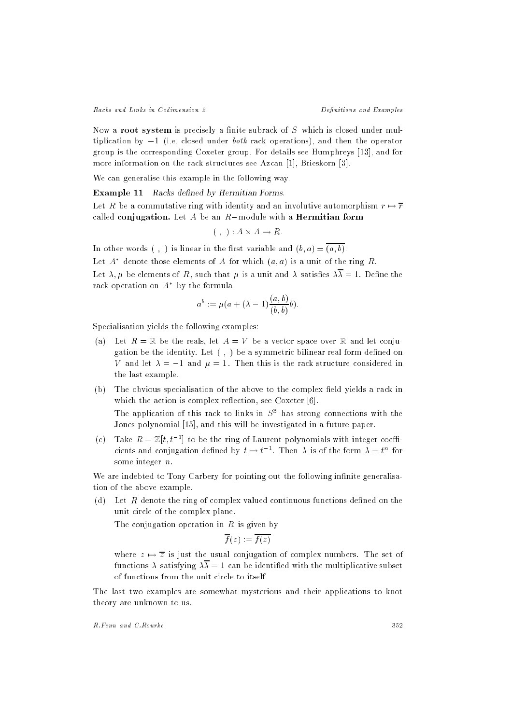Now a root system is precisely a finite subrack of  $S$  which is closed under multiplication by  $-1$  (i.e. closed under *both* rack operations), and then the operator group is the corresponding Coxeter group. For details see Humphreys [13], and for more information on the rack structures see Azcan [1], Brieskorn [3].

We can generalise this example in the following way.

Example 11 Racks defined by Hermitian Forms.

Let R be a commutative ring with identity and an involutive automorphism  $r \mapsto \overline{r}$ called conjugation. Let A be an  $R$ -module with a Hermitian form

$$
(\ ,\ ) : A \times A \to R
$$

In other words (, ) is linear in the first variable and  $(b, a) = \overline{(a, b)}$ .

Let  $A$  -denote those elements of  $A$  for which  $(a,a)$  is a unit of the ring  $R$ .

Let  $\lambda, \mu$  be elements of R, such that  $\mu$  is a unit and  $\lambda$  satisfies  $\lambda \overline{\lambda} = 1$ . Define the rack operation on A by the formula

$$
a^b := \mu(a + (\lambda - 1) \frac{(a, b)}{(b, b)} b).
$$

Specialisation yields the following examples:

- (a) Let  $R = \mathbb{R}$  be the reals, let  $A = V$  be a vector space over  $\mathbb{R}$  and let conjugation be the identity. Let  $( , )$  be a symmetric bilinear real form defined on V and let  $\lambda = -1$  and  $\mu = 1$ . Then this is the rack structure considered in the last example.
- (b) The obvious specialisation of the above to the complex field yields a rack in which the action is complex reflection, see Coxeter [6]. The application of this rack to links in  $S<sup>2</sup>$  has strong connections with the

Jones polynomial [15], and this will be investigated in a future paper.

(c) Take  $R = \mathbb{Z}[t, t^{-1}]$  to be the ring of Laurent polynomials with integer coefficients and conjugation defined by  $t \mapsto t^{-\tau}$ . Then  $\lambda$  is of the form  $\lambda = t^{\tau}$  for some integer n:

We are indebted to Tony Carbery for pointing out the following infinite generalisation of the above example.

(d) Let R denote the ring of complex valued continuous functions dened on the unit circle of the complex plane.

The conjugation operation in  $R$  is given by

$$
\overline{f}(z):=\overline{f(z)}
$$

where  $z \mapsto \overline{z}$  is just the usual conjugation of complex numbers. The set of functions  $\lambda$  satisfying  $\lambda \overline{\lambda} = 1$  can be identified with the multiplicative subset of functions from the unit circle to itself.

The last two examples are somewhat mysterious and their applications to knot theory are unknown to us.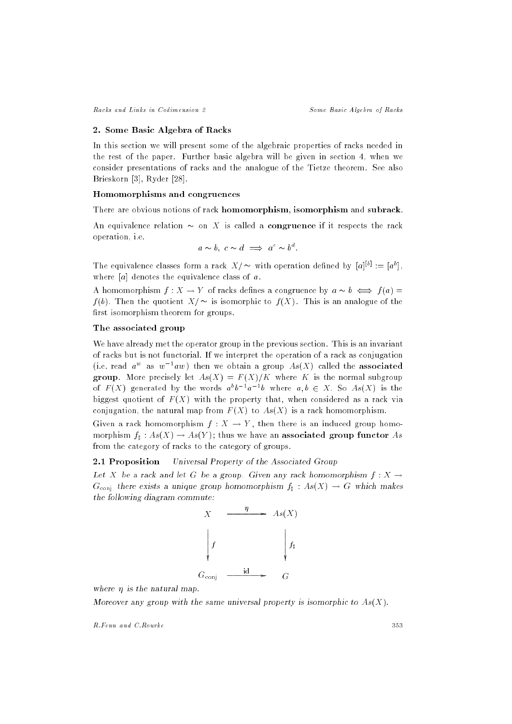## 2. Some Basic Algebra of Racks

In this section we will present some of the algebraic properties of racks needed in the rest of the paper. Further basic algebra will be given in section 4, when we consider presentations of racks and the analogue of the Tietze theorem. See also Brieskorn [3], Ryder [28].

## Homomorphisms and congruences

There are obvious notions of rack homomorphism, isomorphism and subrack.

An equivalence relation  $\sim$  on X is called a congruence if it respects the rack operation, i.e.

$$
a \sim b
$$
,  $c \sim d \implies a^c \sim b^d$ .

The equivalence classes form a rack  $X/\sim$  with operation defined by  $|a|\sim |a|$ , where  $[a]$  denotes the equivalence class of  $a$ .

A homomorphism  $f: X \to Y$  of racks defines a congruence by  $a \sim b \iff f(a) =$  $f(b)$ . Then the quotient  $X/\sim$  is isomorphic to  $f(X)$ . This is an analogue of the first isomorphism theorem for groups.

# The associated group

We have already met the operator group in the previous section. This is an invariant of racks but is not functorial. If we interpret the operation of a rack as conjugation (i.e. read  $a^-$  as  $w^-aw$  ) then we obtain a group  $As(\Lambda)$  called the  ${\rm associated}$ group. More precisely let  $As(X) = F(X)/K$  where K is the normal subgroup of  $F(X)$  generated by the words  $a^*b^{-*}a^{-*}b$  where  $a, b \in X$ . So  $As(X)$  is the biggest quotient of  $F(X)$  with the property that, when considered as a rack via conjugation, the natural map from  $F(X)$  to  $As(X)$  is a rack homomorphism.

Given a rack homomorphism  $f : X \to Y$ , then there is an induced group homomorphism f] : As(X)  $\rightarrow$  As(Y ) ; thus we have an associated group function  $\sim$ from the category of racks to the category of groups.

# 2.1 Proposition Universal Property of the Associated Group

Let X be a rack and let G be a group. Given any rack homomorphism  $f: X \to$  $G_{\text{conj}}$  there exists a unique group homomorphism  $f_1 : As(X) \to G$  which makes the following diagram commute:



where  $\eta$  is the natural map.

Moreover any group with the same universal property is isomorphic to  $As(X)$ .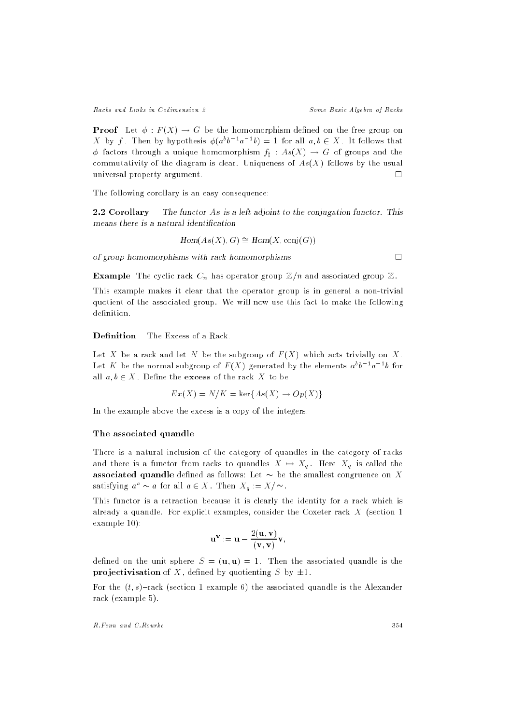**Proof** Let  $\phi$ :  $F(X) \rightarrow G$  be the homomorphism defined on the free group on  $\Lambda$  by f. Then by hypothesis  $\phi(a^*b^{-*}a^{-*}b) \equiv 1$  for all  $a,b \in \Lambda$  . It follows that factors through a unique homomorphism  $f$  : As(X) G of groups and the commutativity of the diagram is clear. Uniqueness of  $As(X)$  follows by the usual universal property argument.  $\Box$ 

The following corollary is an easy consequence:

2.2 Corollary The functor As is a left adjoint to the conjugation functor. This means there is a natural identification

$$
Hom(As(X), G) \cong Hom(X, conj(G))
$$

of group homomorphisms with rack homomorphisms.  $\square$ 

**Example** The cyclic rack  $C_n$  has operator group  $\mathbb{Z}/n$  and associated group  $\mathbb{Z}$ .

This example makes it clear that the operator group is in general a non-trivial quotient of the associated group. We will now use this fact to make the following definition.

#### **Definition** The Excess of a Rack.

Let X be a rack and let N be the subgroup of  $F(X)$  which acts trivially on X. Let  $K$  be the normal subgroup of  $F(X)$  generated by the elements  $a^+b^-a^-$  for all  $a, b \in X$ . Define the excess of the rack X to be

$$
Ex(X) = N/K = \ker\{As(X) \to Op(X)\}.
$$

In the example above the excess is a copy of the integers.

#### The associated quandle

There is a natural inclusion of the category of quandles in the category of racks and there is a function from racism to quandles  $\mathbf{r}$  ,  $\mathbf{r}$  ,  $\mathbf{r}$  is called the  $\mathbf{r}$ associated quandle defined as follows: Let  $\sim$  be the smallest congruence on X satisfying  $a^-\sim a$  for all  $a\in X$ . Then  $X_a:= X/\sim$ .

This functor is a retraction because it is clearly the identity for a rack which is already a quandle. For explicit examples, consider the Coxeter rack X (section 1 example 10):

$$
\mathbf{u}^{\mathbf{v}}:=\mathbf{u}-\frac{2(\mathbf{u},\mathbf{v})}{(\mathbf{v},\mathbf{v})}\mathbf{v},
$$

defined on the unit sphere  $S = (\mathbf{u}, \mathbf{u}) = 1$ . Then the associated quandle is the projectivisation of X, defined by quotienting S by  $\pm 1$ .

For the  $(t, s)$ -rack (section 1 example 6) the associated quandle is the Alexander rack (example 5).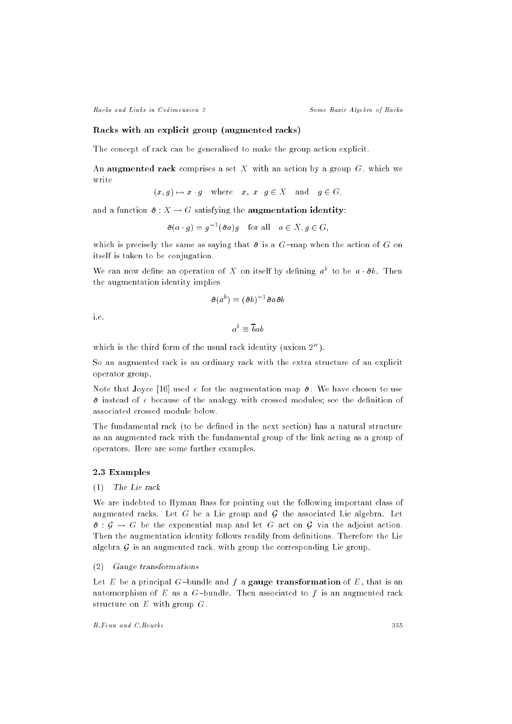## Racks with an explicit group (augmented racks)

The concept of rack can be generalised to make the group action explicit.

An augmented rack comprises a set X with an action by a group  $G$ , which we write

$$
(x,g)\mapsto x\cdot g\quad\text{where}\quad x,\ x\cdot g\in X\quad\text{and}\quad g\in G,
$$

and a function  $\partial : X \to G$  satisfying the **augmentation identity**:

$$
\partial(a \cdot g) = g^{-1}(\partial a)g \quad \text{for all} \quad a \in X, g \in G,
$$

which is precisely the same as saying that  $\theta$  is a G-map when the action of G on itself is taken to be conjugation.

We can now define an operation of  $\Lambda$  on itself by defining  $a^*$  to be  $a\cdot\sigma b$ . Then the augmentation identity implies

$$
\partial(a^b)=(\partial b)^{-1}\partial a\partial b
$$

i.e.

$$
a^b \equiv \overline{b}ab
$$

which is the third form of the usual rack identity (axiom  $2^{\prime\prime}$ ).

So an augmented rack is an ordinary rack with the extra structure of an explicit operator group.

Note that Joyce [16] used  $\epsilon$  for the augmentation map  $\delta$ . We have chosen to use  $\partial$  instead of  $\epsilon$  because of the analogy with crossed modules; see the definition of

The fundamental rack (to be defined in the next section) has a natural structure as an augmented rack with the fundamental group of the link acting as a group of operators. Here are some further examples.

# 2.3 Examples

# (1) The Lie rack

We are indebted to Hyman Bass for pointing out the following important class of augmented racks. Let G be a Lie group and G the associated Lie algebra. Let  $\theta: \mathcal{G} \to G$  be the exponential map and let G act on G via the adjoint action. Then the augmentation identity follows readily from definitions. Therefore the Lie algebra  $G$  is an augmented rack, with group the corresponding Lie group.

## (2) Gauge transformations

Let E be a principal G-bundle and f a gauge transformation of E, that is an automorphism of E as a G-bundle. Then associated to f is an augmented rack structure on  $E$  with group  $G$ .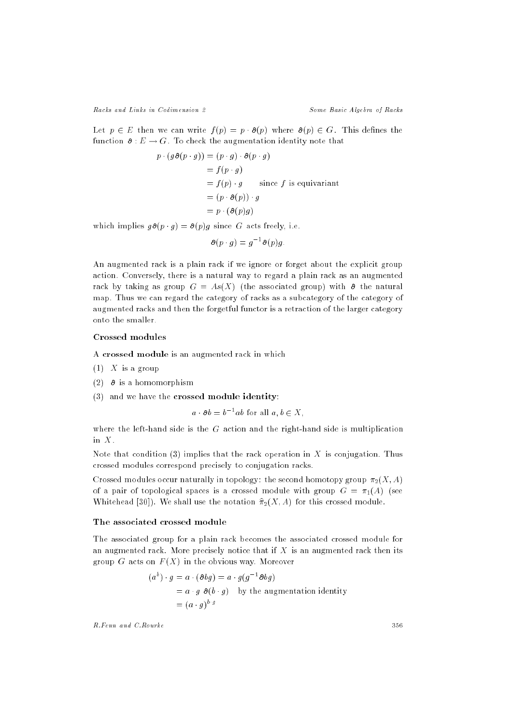Let  $p \in E$  then we can write  $f(p) = p \cdot \partial(p)$  where  $\partial(p) \in G$ . This defines the function  $\partial : E \to G$ . To check the augmentation identity note that

$$
p \cdot (g \cdot g)(p \cdot g) = (p \cdot g) \cdot \partial (p \cdot g)
$$
  
=  $f(p \cdot g)$   
=  $f(p) \cdot g$  since  $f$  is equivariant  
=  $(p \cdot \partial (p)) \cdot g$   
=  $p \cdot (\partial (p)g)$ 

which implies  $g\partial(p \cdot g) = \partial(p)g$  since G acts freely, i.e.

$$
\partial (p \cdot g) = g^{-1} \partial (p) g.
$$

An augmented rack is a plain rack if we ignore or forget about the explicit group action. Conversely, there is a natural way to regard a plain rack as an augmented rack by taking as group  $G = As(X)$  (the associated group) with  $\theta$  the natural map. Thus we can regard the category of racks as a subcategory of the category of augmented racks and then the forgetful functor is a retraction of the larger category onto the smaller.

# Crossed modules

A crossed module is an augmented rack in which

- $(1)$  X is a group
- (2)  $\theta$  is a homomorphism
- (3) and we have the crossed module identity:

$$
a \cdot \partial b = b^{-1}ab
$$
 for all  $a, b \in X$ ,

where the left-hand side is the  $G$  action and the right-hand side is multiplication in  $X$ .

Note that condition (3) implies that the rack operation in  $X$  is conjugation. Thus crossed modules correspond precisely to conjugation racks.

Crossed modules occur naturally in topology: the second homotopy group  $\pi_2(X, A)$ of a pair of topological spaces is a crossed module with group  $G = \pi_1(A)$  (see Whitehead [30]). We shall use the notation  $\hat{\pi}_2(X, A)$  for this crossed module.

## The associated crossed module

The associated group for a plain rack becomes the associated crossed module for an augmented rack. More precisely notice that if  $X$  is an augmented rack then its group G acts on  $F(X)$  in the obvious way. Moreover

$$
(ab) \cdot g = a \cdot (\partial bg) = a \cdot g(g^{-1}\partial bg)
$$
  
=  $a \cdot g \partial (b \cdot g)$  by the augmentation identity  
=  $(a \cdot g)^{b \cdot g}$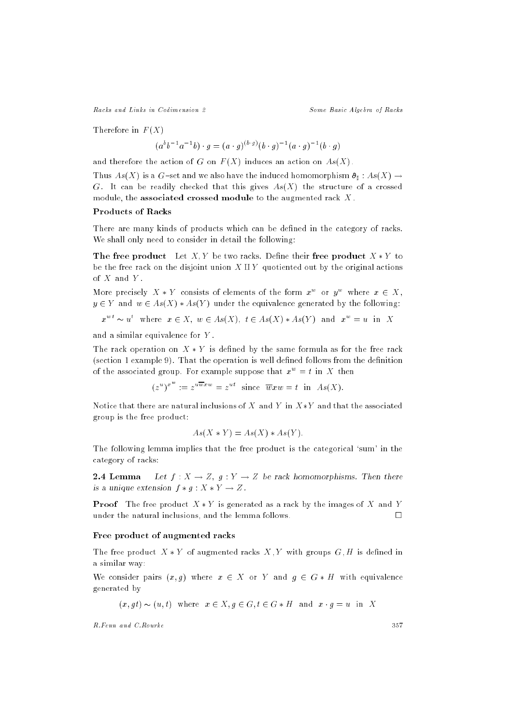Therefore in  $F(X)$ 

$$
(a^{b}b^{-1}a^{-1}b) \cdot g = (a \cdot g)^{(b \cdot g)}(b \cdot g)^{-1}(a \cdot g)^{-1}(b \cdot g)
$$

and therefore the action of G on  $F(X)$  induces an action on  $As(X)$ .

 $T$  is a gradient  $G$  is a gradient of the induced homomorphism  $T$  . As  $(1, 1, 1)$  is a set  $(2, 1, 1)$ G. It can be readily checked that this gives  $As(X)$  the structure of a crossed module, the associated crossed module to the augmented rack X .

# Products of Racks

There are many kinds of products which can be defined in the category of racks. We shall only need to consider in detail the following:

The free product Let  $X, Y$  be two racks. Define their free product  $X * Y$  to be the free rack on the disjoint union  $X \amalg Y$  quotiented out by the original actions of  $X$  and  $Y$ .

More precisely  $A * I$  consists of elements of the form  $x^-$  or  $y^-$  where  $x \in A$ ,  $y \in Y$  and  $w \in As(X) * As(Y)$  under the equivalence generated by the following:

$$
x^{wt} \sim u^t
$$
 where  $x \in X$ ,  $w \in As(X)$ ,  $t \in As(X) * As(Y)$  and  $x^w = u$  in X

and a similar equivalence for Y .

The rack operation on  $X * Y$  is defined by the same formula as for the free rack  $(section 1 example 9)$ . That the operation is well defined follows from the definition of the associated group. For example suppose that  $x^{\perp} = \iota$  in  $X$  then

$$
(z^u)^{x^w} := z^{u\overline{w}xw} = z^{ut} \text{ since } \overline{w}xw = t \text{ in } As(X).
$$

Notice that there are natural inclusions of X and Y in  $X*Y$  and that the associated group is the free product:

$$
As(X \ast Y) = As(X) \ast As(Y).
$$

The following lemma implies that the free product is the categorical `sum' in the category of racks:

**2.4 Lemma** Let  $f : X \to Z$ ,  $g : Y \to Z$  be rack homomorphisms. Then there is a unique extension  $f * g : X * Y \to Z$ .

**Proof** The free product  $X * Y$  is generated as a rack by the images of X and Y under the natural inclusions, and the lemma follows.  $\Box$ 

## Free product of augmented racks

The free product  $X * Y$  of augmented racks  $X, Y$  with groups  $G, H$  is defined in a similar way:

We consider pairs  $(x, g)$  where  $x \in X$  or Y and  $g \in G * H$  with equivalence generated by

$$
(x, gt) \sim (u, t)
$$
 where  $x \in X, g \in G, t \in G * H$  and  $x \cdot g = u$  in X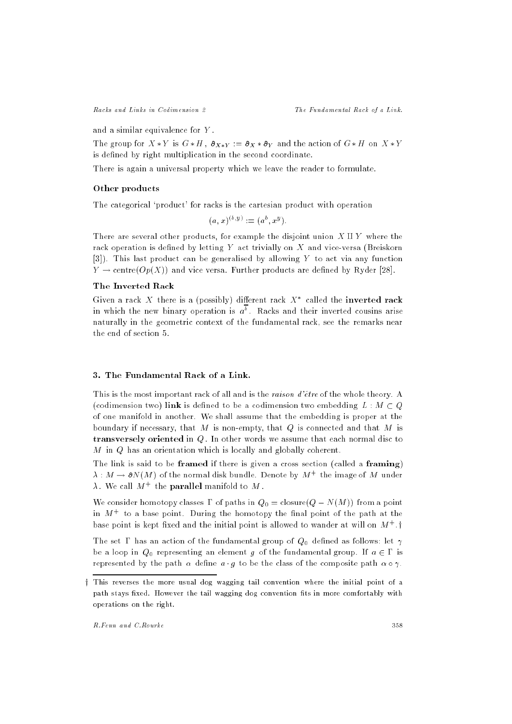and a similar equivalence for Y .

The group for  $X*Y$  is  $G*H$ ,  $\partial_{X*Y} := \partial_X * \partial_Y$  and the action of  $G*H$  on  $X*Y$ is defined by right multiplication in the second coordinate.

There is again a universal property which we leave the reader to formulate.

## Other products

The categorical `product' for racks is the cartesian product with operation

$$
(a, x)^{(b, y)} := (a^b, x^y).
$$

There are several other products, for example the disjoint union  $X \amalg Y$  where the rack operation is defined by letting  $Y$  act trivially on  $X$  and vice-versa (Breiskorn [3]). This last product can be generalised by allowing Y to act via any function  $Y \to \text{centre}(Op(X))$  and vice versa. Further products are defined by Ryder [28].

# The Inverted Rack

Given a rack  $\,X\,$  there is a (possibly) different rack  $\,X\,$  -called the **inverted rack** in which the new binary operation is  $a^+$  . Racks and their inverted cousins arise naturally in the geometric context of the fundamental rack, see the remarks near the end of section 5.

# 3. The Fundamental Rack of a Link.

This is the most important rack of all and is the *raison*  $d\text{'\`{e}tre}$  of the whole theory. A (codimension two) link is defined to be a codimension two embedding  $L : M \subset Q$ of one manifold in another. We shall assume that the embedding is proper at the boundary if necessary, that  $M$  is non-empty, that  $Q$  is connected and that  $M$  is transversely oriented in Q. In other words we assume that each normal disc to M in Q has an orientation which is locally and globally coherent.

The link is said to be **framed** if there is given a cross section (called a **framing**)  $\lambda$  :  $M\rightarrow$   $\sigma$ rv ( $M$  ) of the normal disk bundle. Denote by  $M+$  the linage of  $M$  -under  $\lambda$  , we can  $M+$  the **parallel** manifold to  $M$  .

We consider homotopy classes  $\Gamma$  of paths in  $Q_0 = \text{closure}(Q - N(M))$  from a point in  $M_{\odot}$  to a base point. During the homotopy the mial point of the path at the pase point is kept fixed and the initial point is allowed to wander at will on  $M^+$  . T

The set  $\Gamma$  has an action of the fundamental group of  $Q_0$  defined as follows: let  $\gamma$ be a loop in  $Q_0$  representing an element g of the fundamental group. If  $a \in \Gamma$  is represented by the path  $\alpha$  define  $a \cdot g$  to be the class of the composite path  $\alpha \circ \gamma$ .

y This reverses the more usual dog wagging tail convention where the initial point of <sup>a</sup> path stays xed. However the tail wagging dog convention ts in more comfortably with operations on the right.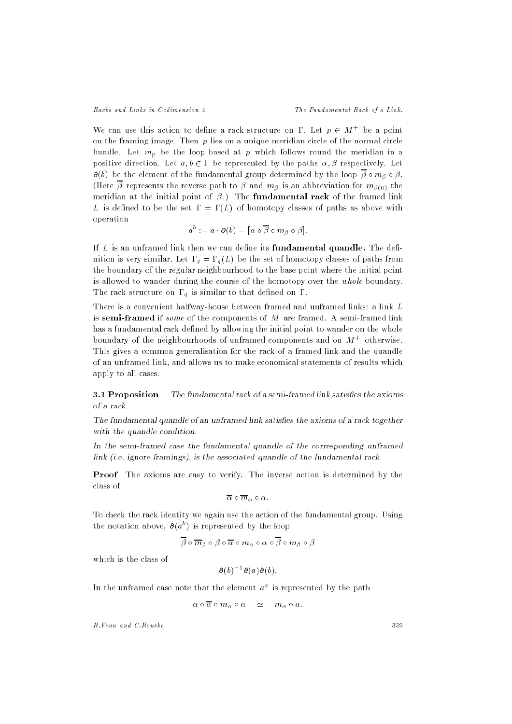We can use this action to define a rack structure on 1. Let  $p \in M^+$  be a point on the framing image. Then  $p$  lies on a unique meridian circle of the normal circle bundle. Let mp be the loop based at <sup>p</sup> which follows round the meridian in <sup>a</sup> positive direction. Let  $a, b \in \Gamma$  be represented by the paths  $\alpha, \beta$  respectively. Let  $\mathcal{L}(\cdot)$  be the element of the fundamental group determined by the loop  $\mathcal{L}(\cdot)$  ,  $\mathcal{L}(\cdot)$  $\lambda$  and abbreviation for measurement path to represent to  $\omega$  and multiplet is an abbreviation for multiplet  $\omega$ meridian at the initial point of  $\beta$ .) The **fundamental rack** of the framed link L is defined to be the set  $\Gamma = \Gamma(L)$  of homotopy classes of paths as above with operation

$$
a^b := a \cdot \partial(b) = [\alpha \circ \overline{\beta} \circ m_{\beta} \circ \beta].
$$

If  $L$  is an unframed link then we can define its **fundamental quandle**. The definition is very similar than the set of the set of the set of the set of paths from the set of paths from the s the boundary of the regular neighbourhood to the base point where the initial point is allowed to wander during the course of the homotopy over the whole boundary.  $\mathsf{u}$ 

There is a convenient halfway-house between framed and unframed links: a link L is semi-framed if some of the components of M are framed. A semi-framed link has a fundamental rack defined by allowing the initial point to wander on the whole boundary of the neighbourhoods of unframed components and on M<sup>+</sup> otherwise. This gives a common generalisation for the rack of a framed link and the quandle of an unframed link, and allows us to make economical statements of results which apply to all cases.

**3.1 Proposition** The fundamental rack of a semi-framed link satisfies the axioms of a rack.

The fundamental quandle of an unframed link satisfies the axioms of a rack together with the quandle condition.

In the semi-framed case the fundamental quandle of the corresponding unframed link (i.e. ignore framings), is the associated quandle of the fundamental rack.

Proof The axioms are easy to verify. The inverse action is determined by the class of

$$
\overline{\alpha} \circ \overline{m}_{\alpha} \circ \alpha.
$$

To check the rack identity we again use the action of the fundamental group. Using the notation above,  $\partial(a^*)$  is represented by the loop

$$
\overline{\beta} \circ \overline{m}_{\beta} \circ \beta \circ \overline{\alpha} \circ m_{\alpha} \circ \alpha \circ \overline{\beta} \circ m_{\beta} \circ \beta
$$

which is the class of

$$
\partial(b)^{-1}\partial(a)\partial(b).
$$

In the unifamed case note that the element  $a^\ast$  is represented by the path

$$
\alpha \circ \overline{\alpha} \circ m_{\alpha} \circ \alpha \quad \simeq \quad m_{\alpha} \circ \alpha.
$$

 $R.Fenn and C.Rourke$ 

359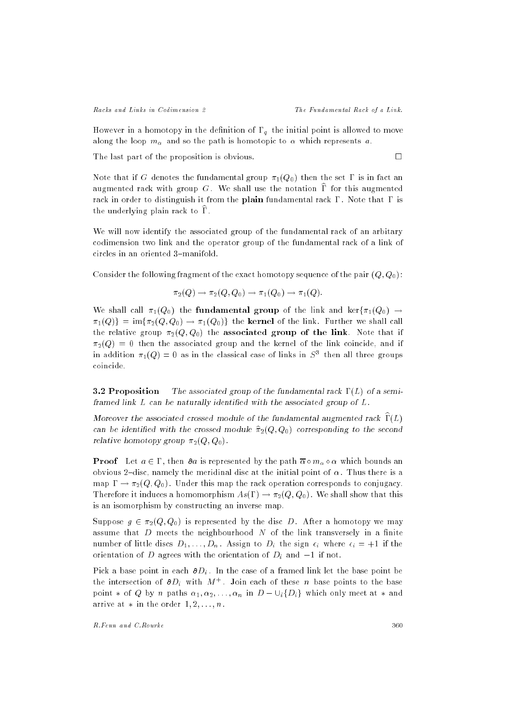Racks and Links in Codimension 2 The Fundamental Rack of a Link.

However in a homotopy in the definition of  $\bm{y}$  and initial point is allowed to move to move to move to move along the loop m and so the path is homotopic to which represents a:

The last part of the proposition is obvious.  $\Box$ 

Note that if G denotes the fundamental group  $\pi_1(Q_0)$  then the set  $\Gamma$  is in fact an augmented rack with group G. We shall use the notation  $\hat{\Gamma}$  for this augmented rack in order to distinguish it from the plain fundamental rack  $\Gamma$ . Note that  $\Gamma$  is the underlying plain rack to  $\widehat{\Gamma}$ .

We will now identify the associated group of the fundamental rack of an arbitary codimension two link and the operator group of the fundamental rack of a link of circles in an oriented 3-manifold.

Consider the following fragment of the exact homotopy sequence of the pair  $(Q, Q_0)$ :

$$
\pi_2(Q) \to \pi_2(Q, Q_0) \to \pi_1(Q_0) \to \pi_1(Q).
$$

We shall call  $\pi_1(Q_0)$  the **fundamental group** of the link and ker $\{\pi_1(Q_0) \rightarrow$  $\pi_1(Q)$  = im $\{\pi_2(Q, Q_0) \to \pi_1(Q_0)\}\$  the kernel of the link. Further we shall call the relative group  $\pi_2(Q, Q_0)$  the associated group of the link. Note that if  $\pi_2(Q) = 0$  then the associated group and the kernel of the link coincide, and if in addition  $\pi_1(Q) = 0$  as in the classical case of links in  $S^+$  then all three groups coincide.

**3.2 Proposition** The associated group of the fundamental rack  $\Gamma(L)$  of a semiframed link  $L$  can be naturally identified with the associated group of  $L$ .

Moreover the associated crossed module of the fundamental augmented rack  $\widehat{\Gamma}(L)$ can be identified with the crossed module  $\hat{\pi}_2(Q, Q_0)$  corresponding to the second relative homotopy group  $\pi_2(Q, Q_0)$ .

Proof Let a <sup>2</sup> , then a is represented by the path m which bounds an obvious 2-disc, namely the meridinal disc at the initial point of  $\alpha$ . Thus there is a map  $\Gamma \to \pi_2(Q, Q_0)$ . Under this map the rack operation corresponds to conjugacy. Therefore it induces a homomorphism  $As(\Gamma) \to \pi_2(Q,Q_0)$ . We shall show that this is an isomorphism by constructing an inverse map.

Suppose  $g \in \pi_2(Q, Q_0)$  is represented by the disc D. After a homotopy we may assume that  $D$  meets the neighbourhood  $N$  of the link transversely in a finite number of little discs  $D_1, \ldots, D_n$ . Assign to  $D_i$  the sign  $\epsilon_i$  where  $\epsilon_i = +1$  if the orientation of D agrees with the orientation of Di and 1 if not.

Pick a base point in each Di . In the case of a framed link let the base point be the intersection of  $\sigma D_i$  with  $M_+$ . Join each of these n base points to the base point  $*$  of Q by n paths  $\alpha_1, \alpha_2, \ldots, \alpha_n$  in  $D - \bigcup_i \{D_i\}$  which only meet at  $*$  and arrive at  $*$  in the order  $1, 2, \ldots, n$ .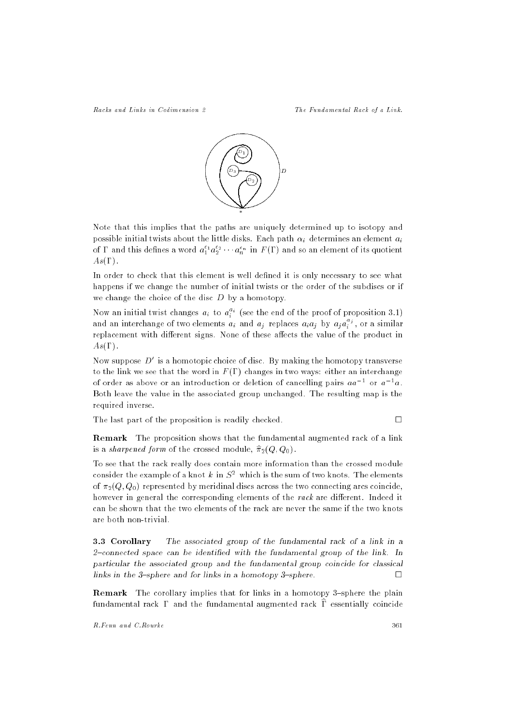Racks and Links in Codimension 2 The Fundamental Rack of a Link.



Note that this implies that the paths are uniquely determined up to isotopy and possible initial twists about the little disks. Each path i determines an element ai of 1 and this defines a word  $a_1^+a_2^+\cdots a_n^{\;n}$  in  $F(1)$  and so an element of its quotient  $As(\Gamma)$ .

In order to check that this element is well defined it is only necessary to see what happens if we change the number of initial twists or the order of the subdiscs or if we change the choice of the disc  $D$  by a homotopy.

Now an initial twist changes  $a_i$  to  $a_i^{\pm \epsilon}$  (see the end of the proof of proposition 3.1) and an interchange of two elements  $a_i$  and  $a_j$  replaces  $a_ia_i$  by  $a_ia_i^{\gamma}$ , or a similar ireplacement with different signs. None of these affects the value of the product in  $As(\Gamma)$ .

Now suppose  $D$  is a nomotopic choice of disc. By making the homotopy transverse to the link we see that the word in  $F(\Gamma)$  changes in two ways: either an interchange of order as above or an introduction or defetion of cancelling pairs  $\bar{a}a_1 = 0$ r  $\bar{a}_1 = \bar{a}_2$ . Both leave the value in the associated group unchanged. The resulting map is the required inverse.

The last part of the proposition is readily checked.

Remark The proposition shows that the fundamental augmented rack of a link is a sharpened form of the crossed module,  $\hat{\pi}_2(Q, Q_0)$ .

To see that the rack really does contain more information than the crossed module consider the example of a knot  $\kappa$  in  $S^-$  which is the sum of two knots. The elements of  $\pi_2(Q, Q_0)$  represented by meridinal discs across the two connecting arcs coincide, however in general the corresponding elements of the rack are different. Indeed it can be shown that the two elements of the rack are never the same if the two knots are both non-trivial.

3.3 Corollary The associated group of the fundamental rack of a link in a  $2$ -connected space can be identified with the fundamental group of the link. In particular the associated group and the fundamental group coincide for classical links in the  $3$ -sphere and for links in a homotopy  $3$ -sphere. П

Remark The corollary implies that for links in a homotopy 3-sphere the plain fundamental rack  $\Gamma$  and the fundamental augmented rack  $\overline{\Gamma}$  essentially coincide

R.Fenn and C.Rourke 361

 $\Box$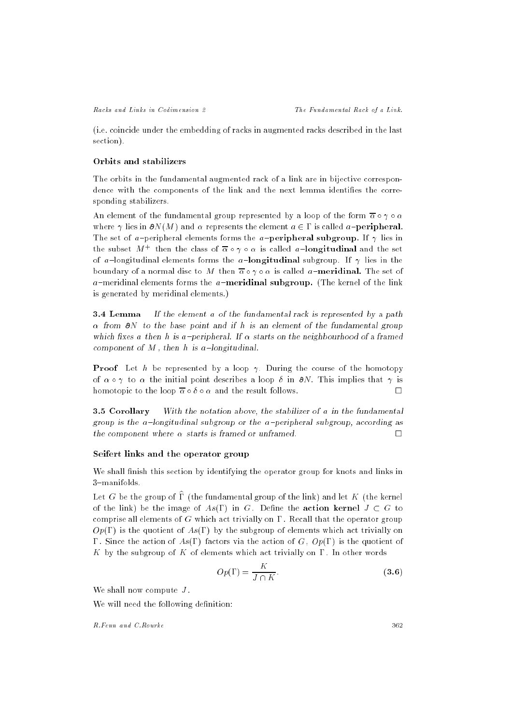(i.e. coincide under the embedding of racks in augmented racks described in the last section).

#### Orbits and stabilizers

The orbits in the fundamental augmented rack of a link are in bijective correspondence with the components of the link and the next lemma identifies the corresponding stabilizers.

An element of the fundamental group represented by a loop of the form  $\bar{\alpha} \circ \gamma \circ \alpha$ where  $\gamma$  lies in  $\partial N(M)$  and  $\alpha$  represents the element  $a \in \Gamma$  is called a-**peripheral**. The set of a-peripheral elements forms the a-**peripheral subgroup.** If  $\gamma$  lies in the subset  $M+$  then the class of  $\alpha \circ \gamma \circ \alpha$  is called  $a-$ **longitudinal** and the set of a-longitudinal elements forms the a-longitudinal subgroup. If  $\gamma$  lies in the boundary of a normal disc to M then  $\overline{\alpha} \circ \gamma \circ \alpha$  is called a-meridinal. The set of  $a$ -meridinal elements forms the  $a$ -meridinal subgroup. (The kernel of the link is generated by meridinal elements.)

**3.4 Lemma** If the element a of the fundamental rack is represented by a path  $\alpha$  from  $\partial N$  to the base point and if h is an element of the fundamental group which fixes a then h is a-peripheral. If  $\alpha$  starts on the neighbourhood of a framed component of  $M$ , then  $h$  is a-longitudinal.

**Proof** Let h be represented by a loop  $\gamma$ . During the course of the homotopy of  $\alpha \circ \gamma$  to  $\alpha$  the initial point describes a loop  $\delta$  in  $\partial N$ . This implies that  $\gamma$  is homotopic to the loop  $\overline{\alpha} \circ \delta \circ \alpha$  and the result follows.  $\Box$ 

3.5 Corollary With the notation above, the stabilizer of a in the fundamental group is the a-longitudinal subgroup or the a-peripheral subgroup, according as the component where  $\alpha$  starts is framed or unframed.  $\Box$ 

## Seifert links and the operator group

We shall finish this section by identifying the operator group for knots and links in 3-manifolds.

Let G be the group of  $\widehat{\Gamma}$  (the fundamental group of the link) and let K (the kernel of the link) be the image of  $As(\Gamma)$  in G. Define the action kernel  $J \subset G$  to comprise all elements of G which act trivially on  $\Gamma$ . Recall that the operator group  $Op(\Gamma)$  is the quotient of  $As(\Gamma)$  by the subgroup of elements which act trivially on  $\Gamma$ . Since the action of As( $\Gamma$ ) factors via the action of G,  $Op(\Gamma)$  is the quotient of K by the subgroup of K of elements which act trivially on  $\Gamma$ . In other words

$$
Op(\Gamma) = \frac{K}{J \cap K}.
$$
\n(3.6)

We shall now compute  $J$ .

We will need the following definition: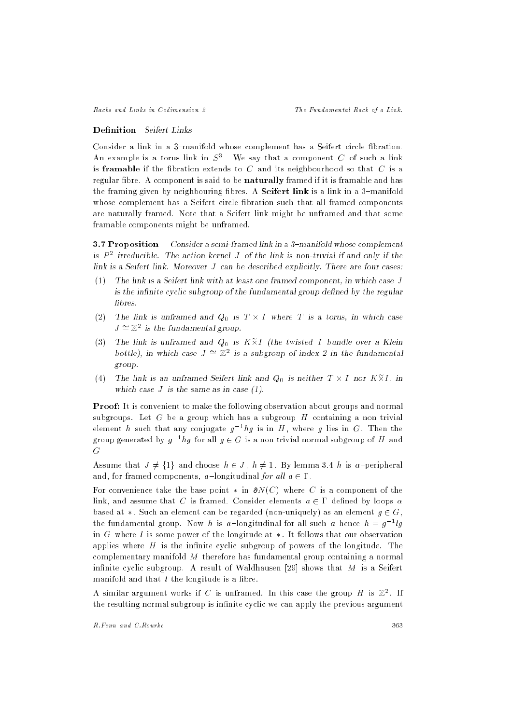## Definition Seifert Links

Consider a link in a 3-manifold whose complement has a Seifert circle fibration. An example is a torus link in  $S^{\pi}$ . We say that a component  $C$  of such a link is framable if the fibration extends to  $C$  and its neighbourhood so that  $C$  is a regular fibre. A component is said to be naturally framed if it is framable and has the framing given by neighbouring fibres. A **Seifert link** is a link in a 3-manifold whose complement has a Seifert circle fibration such that all framed components are naturally framed. Note that a Seifert link might be unframed and that some framable components might be unframed.

**3.7 Proposition** Consider a semi-framed link in a  $3$ -manifold whose complement is P <sup>-</sup> irreducible. The action kernel J of the link is non-trivial if and only if the link is a Seifert link. Moreover J can be described explicitly. There are four cases:

- (1) The link is a Seifert link with at least one framed component, in which case J is the infinite cyclic subgroup of the fundamental group defined by the regular fibres.
- $\mathcal{L} = \mathcal{L}$  to the link is understood and  $\mathcal{L} = \{0, 1, 2, \ldots, N\}$  is a torus, in which cases the set  $J \cong \mathbb{Z}^2$  is the fundamental group.
- (3) The link is unframed and Q0 is <sup>K</sup>-<sup>e</sup> I (the twisted I bundle over a Klein bottle), in which case  $J \cong \mathbb{Z}^2$  is a subgroup of index 2 in the fundamental group.
- $\mathcal{L}^{\mathcal{L}}$  the line is an uniform is neither the link and  $\mathcal{L}^{\mathcal{U}}_{\mathcal{U}}$  is neither T  $\mathcal{L}^{\mathcal{U}}$  and  $\mathcal{L}^{\mathcal{U}}$ which case  $J$  is the same as in case  $(1)$ .

Proof: It is convenient to make the following observation about groups and normal subgroups. Let  $G$  be a group which has a subgroup  $H$  containing a non trivial element  $n$  such that any conjugate  $g\,$  -  $ng$  is in  $H$  , where  $g$  lies in  $\mathbf{G}$  . Then the group generated by  $g^{-1}ng$  for all  $g \in G$  is a non-trivial normal subgroup of  $H$  and G.

Assume that  $J \neq \{1\}$  and choose  $h \in J$ ,  $h \neq 1$ . By lemma 3.4 h is a-peripheral and, for framed components, a-longitudinal for all  $a \in \Gamma$ .

For convenience take the base point  $*$  in  $\partial N(C)$  where C is a component of the link, and assume that C is framed. Consider elements  $a \in \Gamma$  defined by loops  $\alpha$ based at  $\ast$ . Such an element can be regarded (non-uniquely) as an element  $g \in G$ , the fundamental group. Now h is a longitudinal for all such a hence  $n = g^{-1} g$ in G where  $l$  is some power of the longitude at  $*$ . It follows that our observation applies where  $H$  is the infinite cyclic subgroup of powers of the longitude. The complementary manifold M therefore has fundamental group containing a normal infinite cyclic subgroup. A result of Waldhausen  $[29]$  shows that M is a Seifert manifold and that  $l$  the longitude is a fibre.

A similar argument works if C is unframed. In this case the group H is  $\mathbb{Z}^2$ . If the resulting normal subgroup is infinite cyclic we can apply the previous argument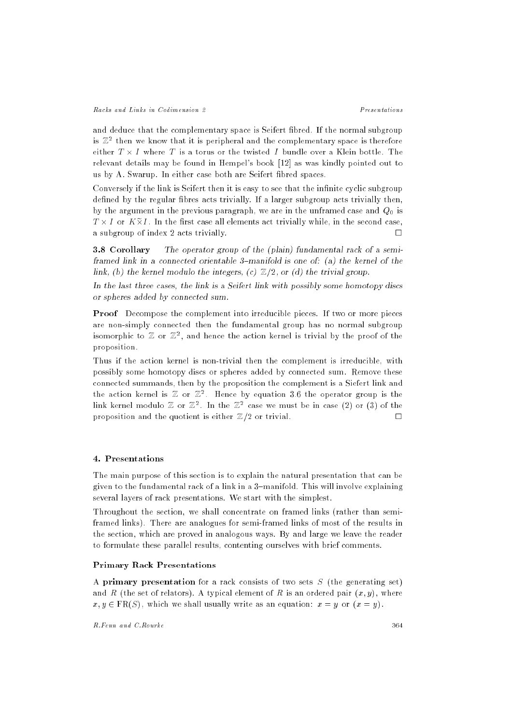and deduce that the complementary space is Seifert fibred. If the normal subgroup is  $\mathbb{Z}^2$  then we know that it is peripheral and the complementary space is therefore relevant details may be found in Hempel's book [12] as was kindly pointed out to us by A. Swarup. In either case both are Seifert bred spaces.

Conversely if the link is Seifert then it is easy to see that the infinite cyclic subgroup defined by the regular fibres acts trivially. If a larger subgroup acts trivially then, by the argument in the previous paragraph, we are in the unframed case and  $Q_0$  is T - I or K-<sup>e</sup> I . In the rst case all elements act trivially while, in the second case, a subgroup of index 2 acts trivially.  $\Box$ 

3.8 Corollary The operator group of the (plain) fundamental rack of a semiframed link in a connected orientable 3-manifold is one of: (a) the kernel of the link, (b) the kernel modulo the integers, (c)  $\mathbb{Z}/2$ , or (d) the trivial group.

In the last three cases, the link is a Seifert link with possibly some homotopy discs or spheres added by connected sum.

Proof Decompose the complement into irreducible pieces. If two or more pieces are non-simply connected then the fundamental group has no normal subgroup isomorphic to  $\mathbb Z$  or  $\mathbb Z^2$ , and hence the action kernel is trivial by the proof of the proposition.

Thus if the action kernel is non-trivial then the complement is irreducible, with possibly some homotopy discs or spheres added by connected sum. Remove these connected summands, then by the proposition the complement is a Siefert link and the action kernel is  $\mathbb Z$  or  $\mathbb Z^2$ . Hence by equation 3.6 the operator group is the link kernel modulo  $\mathbb Z$  or  $\mathbb Z^2$ . In the  $\mathbb Z^2$  case we must be in case (2) or (3) of the proposition and the quotient is either  $\mathbb{Z}/2$  or trivial.

## 4. Presentations

The main purpose of this section is to explain the natural presentation that can be given to the fundamental rack of a link in a 3-manifold. This will involve explaining several layers of rack presentations. We start with the simplest.

Throughout the section, we shall concentrate on framed links (rather than semiframed links). There are analogues for semi-framed links of most of the results in the section, which are proved in analogous ways. By and large we leave the reader to formulate these parallel results, contenting ourselves with brief comments.

## Primary Rack Presentations

A primary presentation for a rack consists of two sets  $S$  (the generating set) and R (the set of relators). A typical element of R is an ordered pair  $(x, y)$ , where  $x, y \in \text{FR}(S)$ , which we shall usually write as an equation:  $x = y$  or  $(x = y)$ .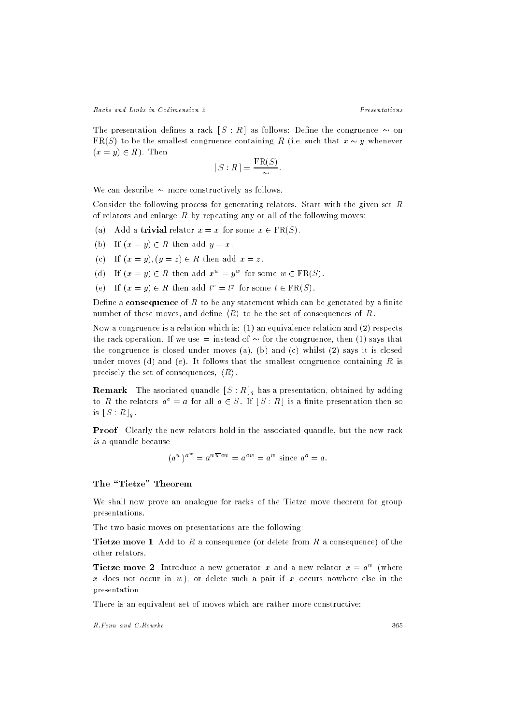The presentation defines a rack  $[S:R]$  as follows: Define the congruence  $\sim$  on  $FR(S)$  to be the smallest congruence containing R (i.e. such that  $x \sim y$  whenever  $(x = y) \in R$ . Then

$$
[S:R] = \frac{\text{FR}(S)}{\sim}.
$$

We can describe  $\sim$  more constructively as follows.

Consider the following process for generating relators. Start with the given set  $R$ of relators and enlarge  $R$  by repeating any or all of the following moves:

- (a) Add a trivial relator  $x = x$  for some  $x \in \text{FR}(S)$ .
- (b) If  $(x = y) \in R$  then add  $y = x$ .
- (c) If  $(x = y)$ ,  $(y = z) \in R$  then add  $x = z$ .
- (d) If  $(x = y) \in R$  then add  $x^* = y^*$  for some  $w \in \text{rk}(S)$ .
- (e) If  $(x = y) \in R$  then add  $t^* = t^s$  for some  $t \in R(S)$ .

Define a consequence of  $R$  to be any statement which can be generated by a finite number of these moves, and define  $\langle R \rangle$  to be the set of consequences of R.

Now a congruence is a relation which is: (1) an equivalence relation and (2) respects the rack operation. If we use  $=$  instead of  $\sim$  for the congruence, then (1) says that the congruence is closed under moves (a), (b) and (c) whilst (2) says it is closed under moves (d) and (e). It follows that the smallest congruence containing  $R$  is precisely the set of consequences,  $\langle R \rangle$ .

Remark The asociated quandle [ S : R ]q has a presentation, obtained by adding to R the relators  $a^a = a$  for all  $a \in S$ . If  $[S : R]$  is a finite presentation then so  $\cdots$   $\cdots$   $\cdots$ 

Proof Clearly the new relators hold in the associated quandle, but the new rack is a quandle because

$$
(a^w)^{a^w} = a^{wwaw} = a^{aw} = a^w
$$
 since  $a^a = a$ .

# The "Tietze" Theorem

We shall now prove an analogue for racks of the Tietze move theorem for group presentations.

The two basic moves on presentations are the following:

**Tietze move 1** Add to R a consequence (or delete from R a consequence) of the other relators.

**Tietze move 2** Introduce a new generator x and a new relator  $x = a<sup>2</sup>$  (where x does not occur in  $w$ ), or delete such a pair if x occurs nowhere else in the presentation.

There is an equivalent set of moves which are rather more constructive: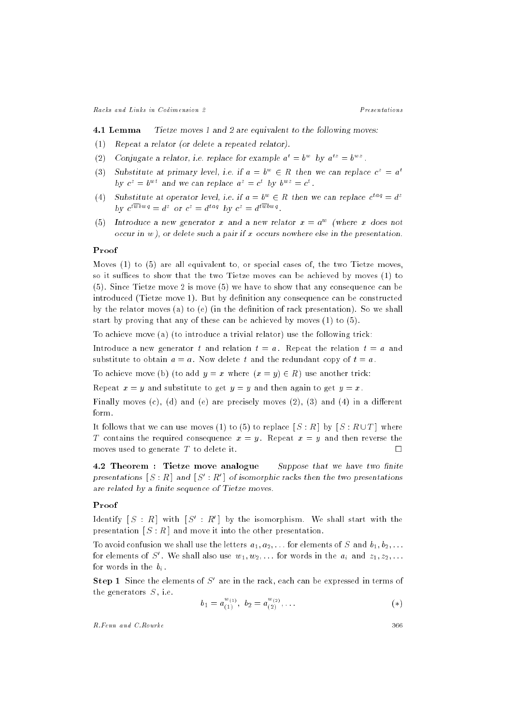4.1 Lemma Tietze moves 1 and 2 are equivalent to the following moves:

- (1) Repeat a relator (or delete a repeated relator).
- (2) Conjugate a relator, i.e. replace for example  $a^2 \equiv b^2$  by  $a^{12} \equiv b^{22}$ .
- (3) Substitute at primary level, i.e. if  $a = b^+ \in R$  then we can replace  $c^+ = a^+$ by  $c^2 = b^{-1}$  and we can replace  $a^2 = c$  by  $b^{-1} = c^{-}$ .
- (4) Substitute at operator level, i.e. if  $a = b^{\circ} \in R$  then we can replace  $c^{\circ -i} = a^{\circ}$ by  $c^{r-1} = a^r$  or  $c^r = a^{r-1}$  by  $c^r = a^{r-1}$ .
- (5) Introduce a new generator x and a new relator  $x = a^{\perp}$  (where x does not occur in  $w$ ), or delete such a pair if  $x$  occurs nowhere else in the presentation.

#### Proof

Moves (1) to (5) are all equivalent to, or special cases of, the two Tietze moves, so it suffices to show that the two Tietze moves can be achieved by moves (1) to (5). Since Tietze move 2 is move (5) we have to show that any consequence can be introduced (Tietze move 1). But by definition any consequence can be constructed by the relator moves (a) to (e) (in the definition of rack presentation). So we shall start by proving that any of these can be achieved by moves (1) to (5).

To achieve move (a) (to introduce a trivial relator) use the following trick:

Introduce a new generator t and relation  $t = a$ . Repeat the relation  $t = a$  and substitute to obtain  $a = a$ . Now delete t and the redundant copy of  $t = a$ .

To achieve move (b) (to add  $y = x$  where  $(x = y) \in R$ ) use another trick:

Repeat  $x = y$  and substitute to get  $y = y$  and then again to get  $y = x$ .

Finally moves  $(c)$ ,  $(d)$  and  $(e)$  are precisely moves  $(2)$ ,  $(3)$  and  $(4)$  in a different form.

It follows that we can use moves (1) to (5) to replace  $[S:R]$  by  $[S:R\cup T]$  where T contains the required consequence  $x = y$ . Repeat  $x = y$  and then reverse the moves used to generate T to delete it.  $\square$ 

4.2 Theorem : Tietze move analogue Suppose that we have two finite presentations  $\lceil S : R \rceil$  and  $\lceil S : R \rceil$  of isomorphic racks then the two presentations are related by a finite sequence of Tietze moves.

# Proof

 $\limsup$   $|S| \leq R$  ] with  $|S| \leq R+$  by the isomorphism. We shall start with the presentation  $[S : R]$  and move it into the other presentation.

To avoid confusion we shall use the letters  $a_1, a_2, \ldots$  for elements of S and  $b_1, b_2, \ldots$ for elements of  $S$  . We shall also use  $w_1, w_2, \ldots$  for words in the  $a_i$  and  $z_1, z_2, \ldots$ for words in the big  $\alpha$  .

 $\mathbf{Step 1}$  Since the elements of S are in the rack, each can be expressed in terms of the generators  $S$ , i.e.

$$
b_1 = a_{(1)}^{w_{(1)}}, \ b_2 = a_{(2)}^{w_{(2)}}, \dots \tag{(*)}
$$

R.Fenn and C.Rourke

366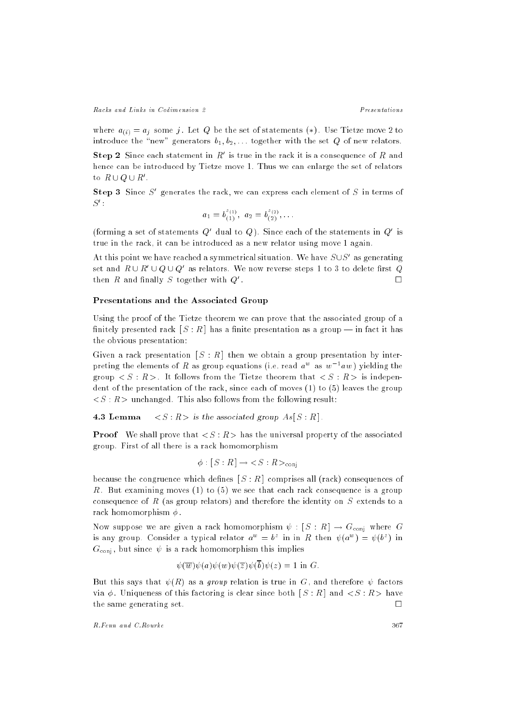where  $a_{(i)} = a_j$  some j. Let Q be the set of statements (\*). Use Tietze move 2 to introduce the "new" generators  $b_1, b_2, \ldots$  together with the set Q of new relators.

Step  $\boldsymbol{z}$  Since each statement in  $R$  is true in the rack it is a consequence of  $R$  and hence can be introduced by Tietze move 1. Thus we can enlarge the set of relators  $\mathfrak{so}\;R\cup Q\cup R$  .

 $\mathbf{Step 3}$  since  $\mathcal{S}$  generates the rack, we can express each element of  $\mathcal{S}$  in terms of  $\mathcal{S}$  :

$$
a_1 = b_{(1)}^{z_{(1)}}, \ a_2 = b_{(2)}^{z_{(2)}}, \ldots
$$

(forming a set of statements  $Q_0$  -qual to  $Q_0$  ). Since each of the statements in  $Q_0$  is true in the rack, it can be introduced as a new relator using move 1 again.

At this point we have reached a symmetrical situation. We have  $\mathcal{S} \cup \mathcal{S}$  as generating set and  $R \cup R \cup Q \cup Q$  as relators. We now reverse steps 1 to 3 to delete hrst  $Q$ then R and finally S together with  $Q'$ .  $\Box$ 

## Presentations and the Associated Group

Using the proof of the Tietze theorem we can prove that the associated group of a finitely presented rack  $[S:R]$  has a finite presentation as a group — in fact it has the obvious presentation:

Given a rack presentation  $[S : R]$  then we obtain a group presentation by interpreting the elements of  $R$  as group equations (i.e. read  $a^-$  as  $w^-aw$  ) yielding the group  $\langle S : R \rangle$ . It follows from the Tietze theorem that  $\langle S : R \rangle$  is independent of the presentation of the rack, since each of moves (1) to (5) leaves the group  $\langle S : R \rangle$  unchanged. This also follows from the following result:

**4.3 Lemma**  $\langle S : R \rangle$  is the associated group  $As[S : R]$ .

**Proof** We shall prove that  $\langle S : R \rangle$  has the universal property of the associated group. First of all there is a rack homomorphism

$$
\phi : [S : R] \to \langle S : R \rangle_{\text{conj}}
$$

because the congruence which defines  $[S:R]$  comprises all (rack) consequences of R. But examining moves (1) to (5) we see that each rack consequence is a group consequence of R (as group relators) and therefore the identity on  $S$  extends to a rack homomorphism  $\phi$ .

Now suppose we are given a rack homomorphism  $\psi : [S : R] \to G_{\text{conj}}$  where G is any group. Consider a typical relator  $a^+ \equiv b^+$  in in  $R$  then  $\psi(a^+) \equiv \psi(b^+)$  in  $G_{\text{coni}}$ , but since  $\psi$  is a rack homomorphism this implies

$$
\psi(\overline{w})\psi(a)\psi(w)\psi(\overline{z})\psi(\overline{b})\psi(z) = 1 \text{ in } G.
$$

But this says that  $\psi(R)$  as a group relation is true in G, and therefore  $\psi$  factors via  $\phi$ . Uniqueness of this factoring is clear since both  $[S:R]$  and  $\langle S:R\rangle$  have the same generating set.  $\Box$ 

R.Fenn and C.Rourke

367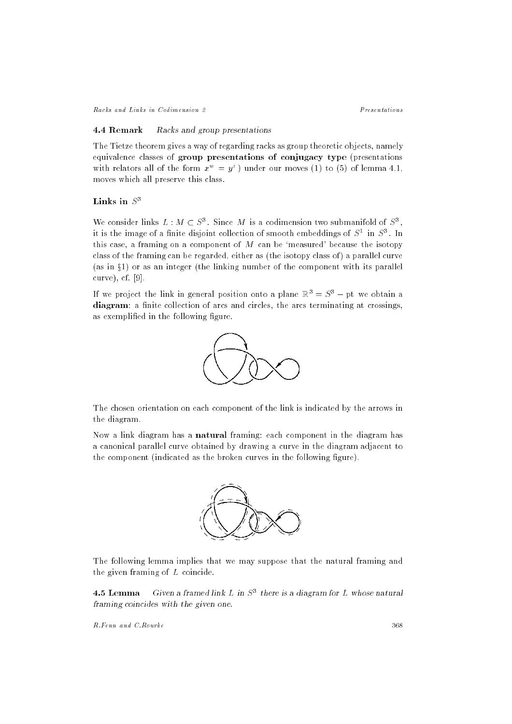Racks and Links in Codimension 2

#### 4.4 Remark Racks and group presentations

The Tietze theorem gives a way of regarding racks as group theoretic objects, namely equivalence classes of group presentations of conjugacy type (presentations with relators all of the form  $x^w = y^z$  under our moves (1) to (5) of lemma 4.1, moves which all preserve this class.

## Links in  $S^3$

We consider links  $L : M \subset S^3$ . Since M is a codimension two submanifold of  $S^3$ . it is the image of a finite disjoint collection of smooth embeddings of  $S^1$  in  $S^3$ . In this case, a framing on a component of  $M$  can be 'measured' because the isotopy class of the framing can be regarded, either as (the isotopy class of) a parallel curve (as in  $\S$ 1) or as an integer (the linking number of the component with its parallel curve), cf.  $[9]$ .

If we project the link in general position onto a plane  $\mathbb{R}^3 = S^3$  – pt we obtain a diagram: a finite collection of arcs and circles, the arcs terminating at crossings, as exemplified in the following figure.



The chosen orientation on each component of the link is indicated by the arrows in the diagram.

Now a link diagram has a **natural** framing: each component in the diagram has a canonical parallel curve obtained by drawing a curve in the diagram adjacent to the component (indicated as the broken curves in the following figure).



The following lemma implies that we may suppose that the natural framing and the given framing of  $L$  coincide.

Given a framed link L in  $S^3$  there is a diagram for L whose natural 4.5 Lemma framing coincides with the given one.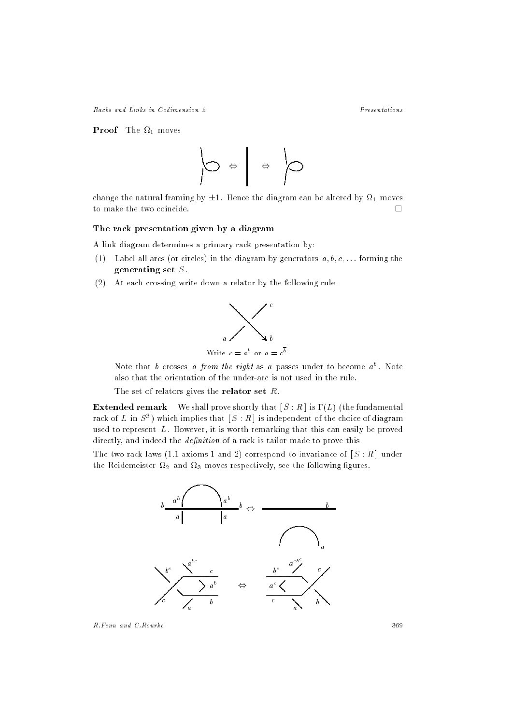Racks and Links in Codimension 2

**Proof** The  $\Omega_1$  moves



change the natural framing by  $\pm 1$ . Hence the diagram can be altered by  $\Omega_1$  moves to make the two coincide.  $\Box$ 

## The rack presentation given by a diagram

A link diagram determines a primary rack presentation by:

- (1) Label all arcs (or circles) in the diagram by generators  $a, b, c, \ldots$  forming the generating set  $S$ .
- (2) At each crossing write down a relator by the following rule.



Note that b crosses a from the right as a passes under to become  $a^b$ . Note also that the orientation of the under-arc is not used in the rule.

The set of relators gives the **relator set**  $R$ .

**Extended remark** We shall prove shortly that  $[S:R]$  is  $\Gamma(L)$  (the fundamental rack of L in  $S^3$ ) which implies that  $[S:R]$  is independent of the choice of diagram used to represent  $L$ . However, it is worth remarking that this can easily be proved directly, and indeed the *definition* of a rack is tailor made to prove this.

The two rack laws (1.1 axioms 1 and 2) correspond to invariance of  $[S:R]$  under the Reidemeister  $\Omega_2$  and  $\Omega_3$  moves respectively, see the following figures.



R.Fenn and C.Rourke

 $P$ resentations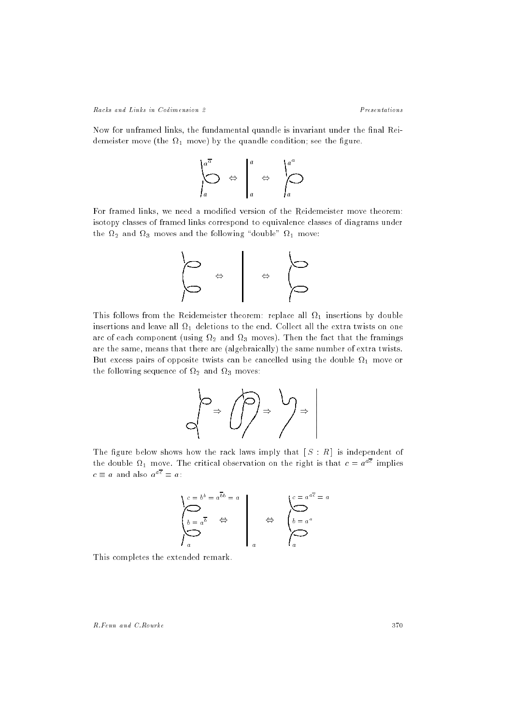Now for unframed links, the fundamental quandle is invariant under the final Reidemeister move (the  $\Omega_1$  move) by the quandle condition; see the figure.

$$
\left.\begin{matrix}a^{\overline{a}} \\ \overline{\bigcirc} & \overline{\bigcirc} & \overline{\bigcirc} & a \\ a & a & a\end{matrix}\right|^{a} \Leftrightarrow \left.\begin{matrix}a^{a} & & a \\ & \overline{\bigcirc} & a^{a} \\ a & a & a\end{matrix}\right|^{a}
$$

For framed links, we need a modified version of the Reidemeister move theorem: isotopy classes of framed links correspond to equivalence classes of diagrams under the  $\Omega_2$  and  $\Omega_3$  moves and the following "double"  $\Omega_1$  move:



This follows from the Reidemeister theorem: replace all  $\Omega_1$  insertions by double insertions and leave all  $\Omega_1$  deletions to the end. Collect all the extra twists on one arc of each component (using  $\Omega_2$  and  $\Omega_3$  moves). Then the fact that the framings are the same, means that there are (algebraically) the same number of extra twists. But excess pairs of opposite twists can be cancelled using the double  $\Omega_1$  move or the following sequence of  $\Omega_2$  and  $\Omega_3$  moves:

The figure below shows how the rack laws imply that  $[S:R]$  is independent of the double  $\Omega_1$  move. The critical observation on the right is that  $c = a^{a\overline{c}}$  implies  $c \equiv a$  and also  $a^{a\overline{c}} = a$ :

$$
\begin{cases}\nc = b^b = a^{\overline{b}b} = a \\
b = a^{\overline{b}} \quad \Leftrightarrow \\
a\n\end{cases}\n\qquad \Leftrightarrow\n\qquad\n\begin{cases}\nc = a^{a\overline{c}} = a \\
b = a^a \\
a\n\end{cases}
$$

This completes the extended remark.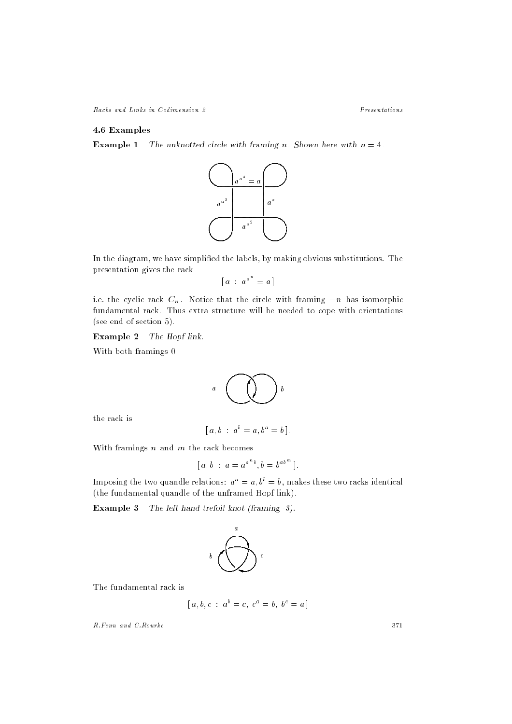Racks and Links in Codimension 2

 $P$ resentations

# 4.6 Examples

**Example 1** The unknotted circle with framing n. Shown here with  $n = 4$ .



In the diagram, we have simplified the labels, by making obvious substitutions. The presentation gives the rack

$$
[a \; : \; a^{a^n} = a]
$$

i.e. the cyclic rack  $C_n$ . Notice that the circle with framing  $-n$  has isomorphic fundamental rack. Thus extra structure will be needed to cope with orientations (see end of section 5).

**Example 2** The Hopf link.

With both framings 0



the rack is

$$
[a, b : a^b = a, b^a = b].
$$

With framings  $n$  and  $m$  the rack becomes

$$
[a, b : a = a^{a^{n}b}, b = b^{ab^{m}}].
$$

Imposing the two quandle relations:  $a^a = a$ ,  $b^b = b$ , makes these two racks identical (the fundamental quandle of the unframed Hopf link).

**Example 3** The left hand trefoil knot (framing -3).



The fundamental rack is

$$
[a, b, c : a^b = c, c^a = b, b^c = a]
$$

R.Fenn and C.Rourke

371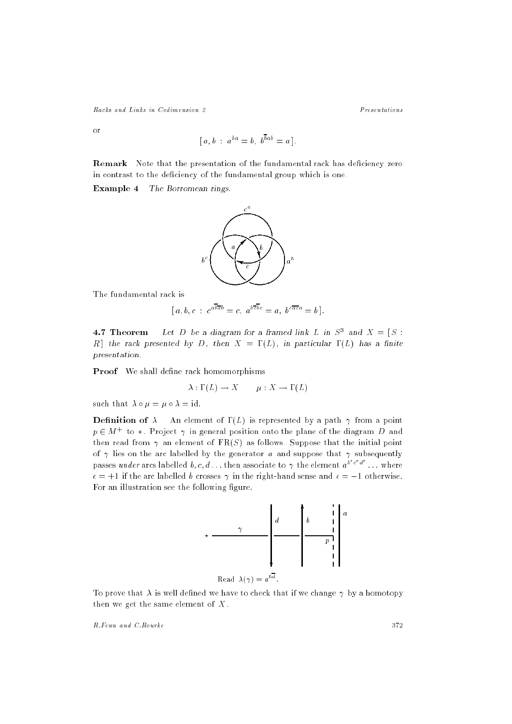Racks and Links in Codimension 2

Presentations

 $\alpha$ <sup>r</sup>

$$
[a, b \; : \; a^{ba} = b, \; b^{\overline{b}ab} = a].
$$

Remark Note that the presentation of the fundamental rack has deficiency zero in contrast to the deficiency of the fundamental group which is one.

Example 4 The Borromean rings.



The fundamental rack is

$$
[a, b, c : c^{a\overline{b}\overline{a}b} = c, a^{b\overline{c}\overline{b}c} = a, b^{c\overline{a}c} = b].
$$

**4.7 In eorem** Let D be a diagram for a framed link L in  $S^2$  and  $\Lambda \equiv \begin{bmatrix} S \end{bmatrix}$ . R ] the rack presented by D, then  $X = \Gamma(L)$ , in particular  $\Gamma(L)$  has a finite presentation.

Proof We shall define rack homomorphisms

$$
\lambda : \Gamma(L) \to X \qquad \mu : X \to \Gamma(L)
$$

such that  $\lambda \circ \mu = \mu \circ \lambda = id$ .

**Definition of**  $\lambda$  An element of  $\Gamma(L)$  is represented by a path  $\gamma$  from a point  $p \in M +$  to  $*$  . Project  $\gamma$  in general position onto the plane of the diagram  $D$  and then read from  $\gamma$  an element of FR(S) as follows. Suppose that the initial point of  $\gamma$  lies on the arc labelled by the generator a and suppose that  $\gamma$  subsequently passes under arcs labelled b, c, d ... then associate to  $\gamma$  the element  $a^{b^*c^*a^*}$  ... where  $\epsilon = +1$  if the arc labelled b crosses  $\gamma$  in the right-hand sense and  $\epsilon = -1$  otherwise. For an illustration see the following figure.



 $\text{Read } \lambda(\gamma) = a^{-1}$ .

To prove that  $\lambda$  is well defined we have to check that if we change  $\gamma$  by a homotopy then we get the same element of  $X$ .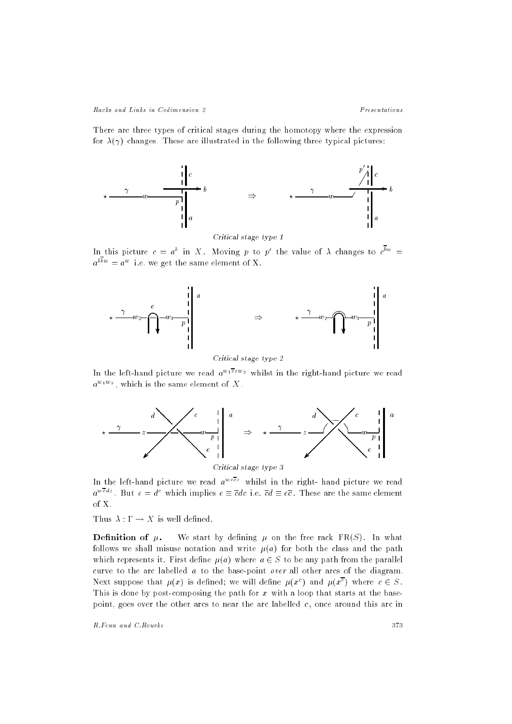Racks and Links in Codimension 2 Presentations

There are three types of critical stages during the homotopy where the expression for  $\lambda(\gamma)$  changes. These are illustrated in the following three typical pictures:



Critical stage type 1

In this picture  $c = a^+$  in  $\Lambda$  . Moving  $p$  to  $p^-$  the value of  $\Lambda$  changes to  $c^+$   $\equiv$  $a^{++} = a^{++}$  i.e. we get the same element of  $\Lambda$ .



critical states that the 2

In the left-hand picture we read  $a^{w_1 \overline{e} e w_2}$  whilst in the right-hand picture we read  $a^{+++}$  , which is the same element of  $X$  .



In the left-hand picture we read  $a^{we\overline{c}z}$  whilst in the right- hand picture we read  $a^{n+m}$  . But  $e = a^{n}$  which implies  $e \equiv cac$  i.e.  $ca \equiv ec$  . These are the same element of X.

Thus  $\lambda : \Gamma \to X$  is well defined.

**Definition of**  $\mu$ **.** We start by defining  $\mu$  on the free rack FR(S). In what follows we shall misuse notation and write  $\mu(a)$  for both the class and the path which represents it. First define  $\mu(a)$  where  $a \in S$  to be any path from the parallel curve to the arc labelled  $a$  to the base-point *over* all other arcs of the diagram. Next suppose that  $\mu(x)$  is defined; we will define  $\mu(x^*)$  and  $\mu(x^*)$  where  $c \in S$ . This is done by post-composing the path for  $x$  with a loop that starts at the basepoint, goes over the other arcs to near the arc labelled  $c$ , once around this arc in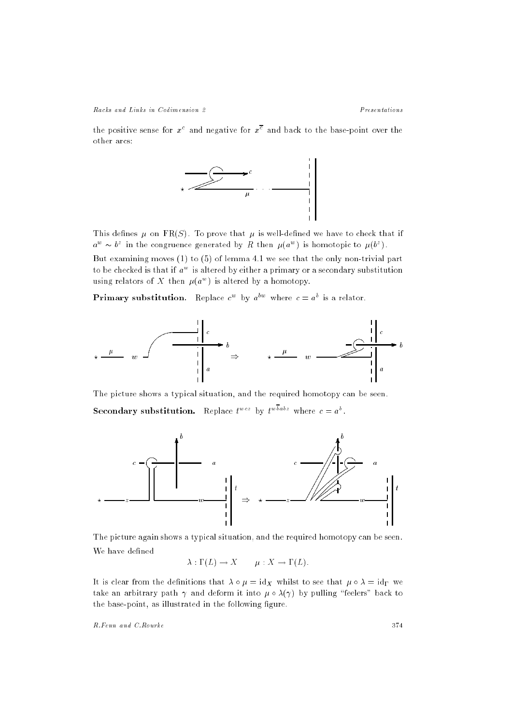Racks and Links in Codimension 2 Presentations

the positive sense for  $x^-$  and negative for  $x^-$  and back to the base-point over the other arcs:



This defines  $\mu$  on FR(S). To prove that  $\mu$  is well-defined we have to check that if  $a^{\omega} \sim v^*$  in the congruence generated by  $R$  then  $\mu(a^{\omega})$  is homotopic to  $\mu(b^*)$ .

But examining moves (1) to (5) of lemma 4.1 we see that the only non-trivial part to be checked is that if  $a^{\perp}$  is altered by either a primary or a secondary substitution using relators of  $\Lambda$  then  $\mu(a^{-})$  is aftered by a homotopy.

**Primary substitution.** Replace  $c^+$  by  $a^{++}$  where  $c = a^{+}$  is a relator.



The picture shows a typical situation, and the required homotopy can be seen. Secondary substitution. Replace  $t^{\text{new}}$  by  $t^{\text{new}}$  where  $c = a^{\text{new}}$ .



The picture again shows a typical situation, and the required homotopy can be seen. We have defined

 $\lambda: \Gamma(L) \to X \qquad \mu: X \to \Gamma(L).$ 

It is clear from the definition that  $\cdots$  is a set  $\Lambda$  whilst to see that  $\cdots$  is  $\cdots$ take an arbitrary path  $\gamma$  and deform it into  $\mu \circ \lambda(\gamma)$  by pulling "feelers" back to the base-point, as illustrated in the following figure.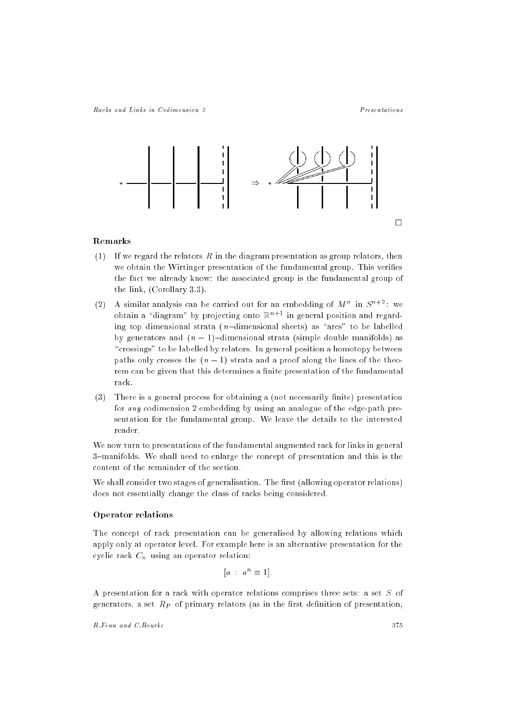

# Remarks

- (1) If we regard the relators R in the diagram presentation as group relators, then we obtain the Wirtinger presentation of the fundamental group. This verifies the fact we already know: the associated group is the fundamental group of the link, (Corollary 3.3).
- $(2)$  A similar analysis can be carried out for an embedding of  $M$  " in S  $^{\circ}$  " : we obtain a "diagram" by projecting onto  $\mathbb{R}^{n+1}$  in general position and regarding top dimensional strata ( $n$ -dimensional sheets) as "arcs" to be labelled by generators and  $(n - 1)$ -dimensional strata (simple double manifolds) as "crossings" to be labelled by relators. In general position a homotopy between paths only crosses the  $(n - 1)$  strata and a proof along the lines of the theorem can be given that this determines a finite presentation of the fundamental rack.
- $(3)$  There is a general process for obtaining a (not necessarily finite) presentation for any codimension 2 embedding by using an analogue of the edge-path presentation for the fundamental group. We leave the details to the interested reader.

We now turn to presentations of the fundamental augmented rack for links in general 3-manifolds. We shall need to enlarge the concept of presentation and this is the content of the remainder of the section.

We shall consider two stages of generalisation. The first (allowing operator relations) does not essentially change the class of racks being considered.

# Operator relations

The concept of rack presentation can be generalised by allowing relations which apply only at operator level. For example here is an alternative presentation for the cyclic rack Cn using an operator relation:

$$
[a \; : \; a^n \equiv 1].
$$

A presentation for a rack with operator relations comprises three sets: a set S of  $\Omega$  set RP of primary relations (as in the primary relation of primary relations  $\Gamma$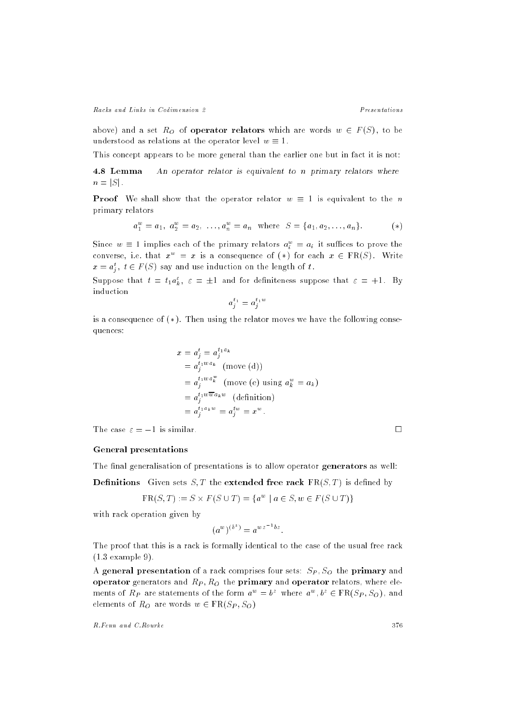Racks and Links in Codimension 2 Presentations

above) and a set RO of operator relators which are words <sup>w</sup> <sup>2</sup> <sup>F</sup> (S) , to be understood as relations at the operator level  $w \equiv 1$ .

This concept appears to be more general than the earlier one but in fact it is not:

4.8 Lemma An operator relator is equivalent to n primary relators where  $n = |S|$ .

**Proof** We shall show that the operator relator  $w \equiv 1$  is equivalent to the n primary relators

$$
a_1^w = a_1, \ a_2^w = a_2, \ \ldots, a_n^w = a_n \ \text{where} \ \ S = \{a_1, a_2, \ldots, a_n\}.
$$
 (\*)

Since  $w = 1$  implies each of the primary relators  $a_i^+ = a_i^-$  it suffices to prove the converse, i.e. that  $x^w = x$  is a consequence of  $(*)$  for each  $x \in \text{FR}(S)$ . Write  $x = a_j^-, t \in F(s)$  say and use induction on the length of  $t$ .

Suppose that  $t = t_1 a_k^*, \; \varepsilon = \pm 1$  and for definiteness suppose that  $\varepsilon = +1$ . By induction

$$
a^{t_1}_j = a^{t_1w}_j
$$

is a consequence of  $(*)$ . Then using the relator moves we have the following consequences:

$$
x = a_j^t = a_j^{t_1 a_k}
$$
  
=  $a_j^{t_1 w a_k}$  (move (d))  
=  $a_j^{t_1 w a_k^w}$  (move (e) using  $a_k^w = a_k$ )  
=  $a_j^{t_1 w \overline{w} a_k w}$  (definition)  
=  $a_j^{t_1 a_k w} = a_j^{t_1 w} = x^w$ .

The case  $\varepsilon = -1$  is similar.

 $\Box$ 

# General presentations

The final generalisation of presentations is to allow operator generators as well:

**Definitions** Given sets  $S, T$  the **extended free rack**  $FR(S, T)$  is defined by

$$
FR(S, T) := S \times F(S \cup T) = \{a^w \mid a \in S, w \in F(S \cup T)\}\
$$

with rack operation given by

$$
(a^w)^{(b^z)} = a^{wz^{-1}bz}.
$$

The proof that this is a rack is formally identical to the case of the usual free rack (1.3 example 9).

A general presentation of a rack comprises four sets: SP ; SO the primary and operator generators and RP  $\sim$  RP  $\sim$  RP  $\sim$  RP  $\sim$  RP  $\sim$  RP  $\sim$  RP  $\sim$  RP  $\sim$  RP  $\sim$  RP  $\sim$  RP  $\sim$  RP  $\sim$  RP  $\sim$  RP  $\sim$  RP  $\sim$  RP  $\sim$  RP  $\sim$  RP  $\sim$  RP  $\sim$  RP  $\sim$  RP  $\sim$  RP  $\sim$  RP  $\sim$  RP  $\sim$  RP  $\$ ments of  $\pi_P$  are statements of the form  $a^+ = b^+$  where  $a^-, b^+ \in {\bf r} \, {\bf \mathfrak{a}}_{\cal D}$ ,  $S_O$ ), and elements of RO are words w 2 FR(SP ; SO)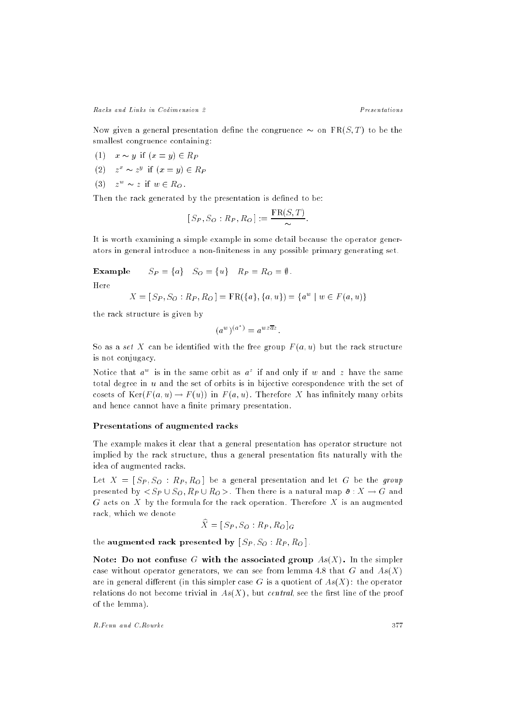Racks and Links in Codimension 2

Presentations

Now given a general presentation define the congruence  $\sim$  on FR(S, T) to be the smallest congruence containing:

- (1)  $x \sim y$  if  $(x = y) \in R_P$
- (2)  $z^* \sim z^*$  if  $(x = y) \in R$   $\Gamma$
- (3)  $z \sim z$  if  $w \in \mathfrak{a}_O$ .

Then the rack generated by the presentation is defined to be:

$$
[S_P, S_O : R_P, R_O] := \frac{\text{FR}(S, T)}{\sim}.
$$

It is worth examining a simple example in some detail because the operator generators in general introduce a non-niteness in any possible primary generating set.

**Example** 
$$
S_P = \{a\} \quad S_O = \{u\} \quad R_P = R_O = \emptyset.
$$

$$
X = [S_P, S_O : R_P, R_O] = \text{FR}(\{a\}, \{a, u\}) = \{a^w \mid w \in F(a, u)\}\
$$

the rack structure is given by

$$
(a^w)^{(a^z)} = a^{wz\overline{a}z}
$$

So as a set X can be identified with the free group  $F(a, u)$  but the rack structure is not conjugacy.

in otice that  $a^{\perp}$  is in the same orbit as  $a^{\perp}$  if and only if  $w$  and  $z$  have the same total degree in u and the set of orbits is in bijective corespondence with the set of cosets of  $Ker(F(a, u) \to F(u))$  in  $F(a, u)$ . Therefore X has infinitely many orbits and hence cannot have a finite primary presentation.

#### Presentations of augmented racks

The example makes it clear that a general presentation has operator structure not implied by the rack structure, thus a general presentation fits naturally with the idea of augmented racks.

Let X = [ SP ; SO : RP ; RO ] be <sup>a</sup> general presentation and let <sup>G</sup> be the group presented by < SP [ SO; RP [ RO >. Then there is a natural map : <sup>X</sup> ! <sup>G</sup> and  $G$  acts on  $X$  by the formula for the rack operation. Therefore  $X$  is an augmented rack, which we denote

$$
\widehat{X} = [S_P, S_O : R_P, R_O]_G
$$

the augmented rack presented by [ SP ; SO : RP ; RO ] .

Note: Do not confuse G with the associated group  $As(X)$ . In the simpler case without operator generators, we can see from lemma 4.8 that G and  $As(X)$ are in general different (in this simpler case G is a quotient of  $As(X)$ : the operator relations do not become trivial in  $As(X)$ , but *central*, see the first line of the proof of the lemma).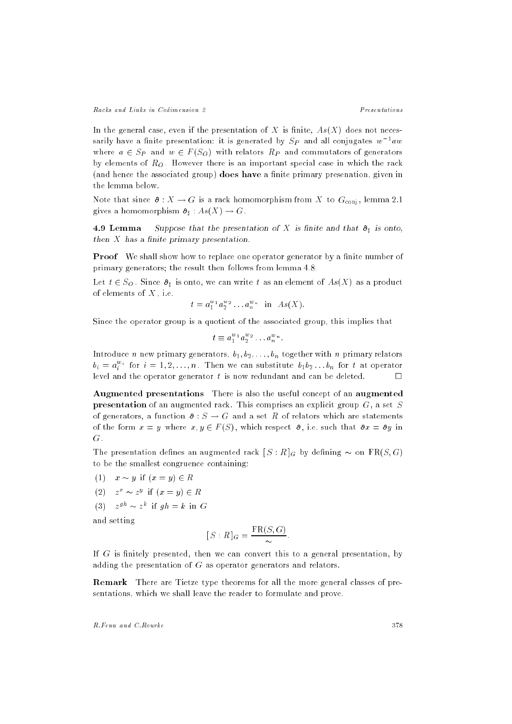Presentations

In the general case, even if the presentation of X is finite,  $As(X)$  does not necessarily have a linite presentation: it is generated by  $\Im P$  and all conjugates  $w$  -aw where a 2 SP and w 2 F (SO) with relations RP and commutators  $\alpha$  generators by elements of RO . However there is an important special case in which the rack (and hence the associated group) does have a finite primary presenation, given in the lemma below.

Note that since  $\mathfrak{d}: X \to G$  is a rack homomorphism from X to  $G_{\text{conj}}$ , lemma 2.1 gives a momorphism  $\mathbf{r}_1$  : As( $\mathbf{r}_2$ ) . G. :

are accounting to the that the presentation of the matrix when the set  $\mathbf{y}$ then  $X$  has a finite primary presentation.

**Proof** We shall show how to replace one operator generator by a finite number of primary generators; the result then follows from lemma 4.8.

Let t 2 SO . Since  $\mathbb{L}_\mathbb{R}$  is one can write to as an element of As(X) as a product of elements of  $X$ , i.e.

$$
t = a_1^{w_1} a_2^{w_2} \dots a_n^{w_n} \quad \text{in} \quad As(X).
$$

Since the operator group is a quotient of the associated group, this implies that

$$
t \equiv a_1^{w_1} a_2^{w_2} \dots a_n^{w_n}.
$$

Introduce n new primary generators,  $b_1, b_2, \ldots, b_n$  together with n primary relators  $\delta_i = a_i$  for  $i = 1, 2, \ldots, n$  . Then we can substitute  $\delta_1 \delta_2 \ldots \delta_n$  for t at operator level and the operator generator t is now redundant and can be deleted.

Augmented presentations There is also the useful concept of an augmented **presentation** of an augmented rack. This comprises an explicit group  $G$ , a set S of generators, a function  $\mathfrak{d}: S \to G$  and a set R of relators which are statements of the form  $x = y$  where  $x, y \in F(S)$ , which respect  $\partial$ , i.e. such that  $\partial x = \partial y$  in G.

The presentation denes an augmented rack [ S : R ]G by dening on FR(S; G) to be the smallest congruence containing:

- (1)  $x \sim y$  if  $(x = y) \in R$
- (2)  $z^* \sim z^*$  if  $(x = y) \in R$
- (a)  $z^{3}$   $\sim$   $z^{2}$  in  $yn = \kappa$  in G

and setting

$$
[S:R]_G = \frac{\text{FR}(S,G)}{\sim}.
$$

If  $G$  is finitely presented, then we can convert this to a general presentation, by adding the presentation of G as operator generators and relators.

Remark There are Tietze type theorems for all the more general classes of presentations, which we shall leave the reader to formulate and prove.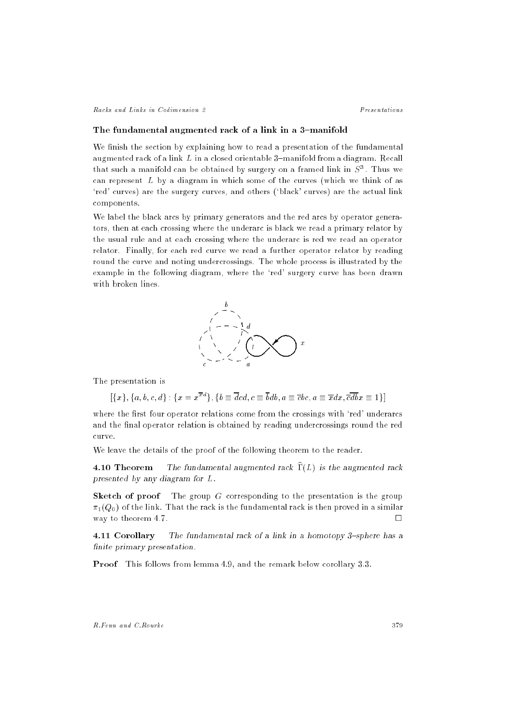#### The fundamental augmented rack of a link in a 3-manifold

We finish the section by explaining how to read a presentation of the fundamental augmented rack of a link  $L$  in a closed orientable 3-manifold from a diagram. Recall that such a manifold can be obtained by surgery on a framed link in  $S^{\pi}$  . Thus we can represent L by a diagram in which some of the curves (which we think of as `red' curves) are the surgery curves, and others (`black' curves) are the actual link components.

We label the black arcs by primary generators and the red arcs by operator generators, then at each crossing where the underarc is black we read a primary relator by the usual rule and at each crossing where the underarc is red we read an operator relator. Finally, for each red curve we read a further operator relator by reading round the curve and noting undercrossings. The whole process is illustrated by the example in the following diagram, where the `red' surgery curve has been drawn with broken lines.



:The presentation is

 $[\{x\}, \{a, b, c, d\} : \{x = x^{\overline{x}d}\}, \{b \equiv \overline{d}cd, c \equiv \overline{b}db, a \equiv \overline{c}bc, a \equiv \overline{x}dx, \overline{c}\overline{db}x \equiv 1\}]$ 

where the first four operator relations come from the crossings with 'red' underarcs and the final operator relation is obtained by reading undercrossings round the red curve.

We leave the details of the proof of the following theorem to the reader.

**4.10 Theorem** The fundamental augmented rack  $\hat{\Gamma}(L)$  is the augmented rack presented by any diagram for L.

**Sketch of proof** The group  $G$  corresponding to the presentation is the group  $\pi_1(Q_0)$  of the link. That the rack is the fundamental rack is then proved in a similar way to theorem 4.7.  $\Box$ 

4.11 Corollary The fundamental rack of a link in a homotopy 3-sphere has a finite primary presentation.

Proof This follows from lemma 4.9, and the remark below corollary 3.3.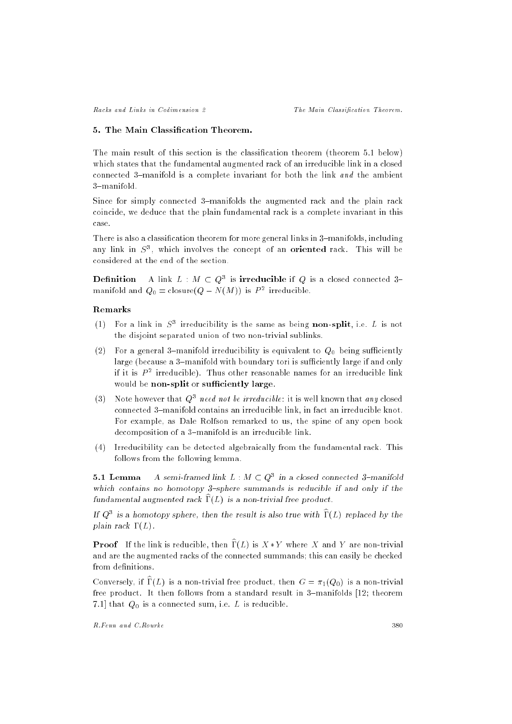## 5. The Main Classication Theorem.

The main result of this section is the classification theorem (theorem 5.1 below) which states that the fundamental augmented rack of an irreducible link in a closed connected 3-manifold is a complete invariant for both the link and the ambient 3-manifold.

Since for simply connected 3-manifolds the augmented rack and the plain rack coincide, we deduce that the plain fundamental rack is a complete invariant in this case.

There is also a classification theorem for more general links in 3-manifolds, including any link in  $S^{\pi}$ , which involves the concept of an **oriented** rack. This will be considered at the end of the section.

**Definition** A link  $L : M \subset Q^*$  is **irreducible** if Q is a closed connected  $3=$ manifold and  $Q_0 =$  closure( $Q = N(M)$ ) is P<sup>-2</sup> irreducible.

# Remarks

- (1) For a link in  $S^{\pm}$  iffequeibility is the same as being **hon-spilt**, i.e.  $L$  is not the disjoint separated union of two non-trivial sublinks.
- (2) For a general 3-manifold irreducibility is equivalent to  $Q_0$  being sufficiently large (because a 3-manifold with boundary tori is sufficiently large if and only  $\scriptstyle\rm II$  it is  $\scriptstyle P$  - irreducible). Thus other reasonable names for an irreducible link would be non-split or sufficiently large.
- (5) Thole however that  $Q^*$  *need not be irreducible*: it is well known that *any* closed connected 3-manifold contains an irreducible link, in fact an irreducible knot. For example, as Dale Rolfson remarked to us, the spine of any open book decomposition of a 3-manifold is an irreducible link.
- (4) Irreducibility can be detected algebraically from the fundamental rack. This follows from the following lemma.

**5.1 Lemma** – A semi-framed link L : M  $\subset Q^+$  in a closed connected 3-manifold which contains no homotopy  $3$ -sphere summands is reducible if and only if the fundamental augmented rack  $\Gamma(L)$  is a non-trivial free product.

 $\rm H$   $\rm Q^+$  is a homotopy sphere, then the result is also true with  $\rm 1+L$ ) replaced by the plain rack  $\Gamma(L)$ .

**Proof** If the link is reducible, then  $\widehat{\Gamma}(L)$  is  $X * Y$  where X and Y are non-trivial and are the augmented racks of the connected summands; this can easily be checked from definitions.

Conversely, if  $\widehat{\Gamma}(L)$  is a non-trivial free product, then  $G = \pi_1(Q_0)$  is a non-trivial free product. It then follows from a standard result in 3-manifolds  $[12;$  theorem 7.1] that  $Q_0$  is a connected sum, i.e. L is reducible.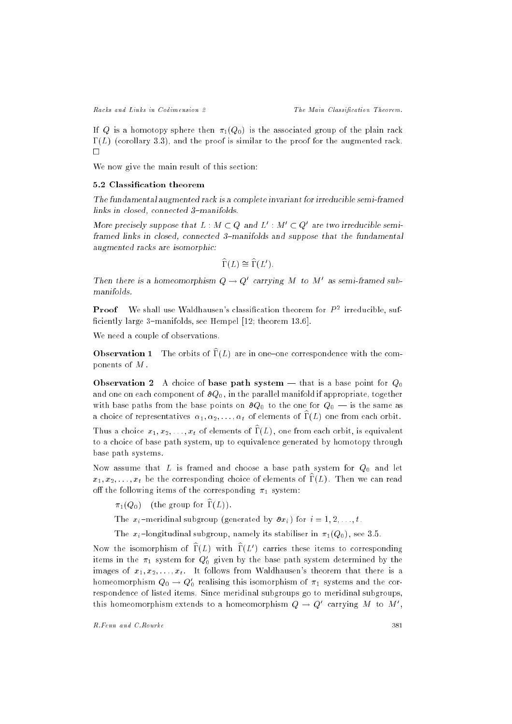If Q is a homotopy sphere then  $\pi_1(Q_0)$  is the associated group of the plain rack  $\Gamma(L)$  (corollary 3.3), and the proof is similar to the proof for the augmented rack.  $\Box$ 

We now give the main result of this section:

#### 5.2 Classication theorem

The fundamental augmented rack is a complete invariant for irreducible semi-framed links in closed, connected 3-manifolds.

More precisely suppose that  $L : M \subset Q$  and  $L : M \subset Q$  are two irreducible semiframed links in closed, connected 3{manifolds and suppose that the fundamental augmented racks are isomorphic:

$$
\widehat{\Gamma}(L) \cong \widehat{\Gamma}(L').
$$

Then there is a nomeomorphism  $Q \to Q$  carrying M to M as semi-framed submanifolds.

**Proof** We shall use Waldhausen's classification theorem for  $P^2$  irreducible, sufficiently large 3-manifolds, see Hempel  $[12;$  theorem  $13.6]$ .

We need a couple of observations.

**Observation 1** The orbits of  $\widehat{\Gamma}(L)$  are in one-one correspondence with the components of M .

**Observation 2** A choice of **base path system** — that is a base point for  $Q_0$ and one on each component of  $\partial Q_0$ , in the parallel manifold if appropriate, together with base paths from the base points on  $\partial Q_0$  to the one for  $Q_0$  — is the same as a choice of representatives  $\alpha_1, \alpha_2, \ldots, \alpha_t$  of elements of  $\widehat{\Gamma}(L)$  one from each orbit.

Thus a choice  $x_1, x_2, \ldots, x_t$  of elements of  $\widehat{\Gamma}(L)$ , one from each orbit, is equivalent to a choice of base path system, up to equivalence generated by homotopy through base path systems.

Now assume that L is framed and choose a base path system for  $Q_0$  and let  $x_1, x_2, \ldots, x_t$  be the corresponding choice of elements of  $\widehat{\Gamma}(L)$ . Then we can read off the following items of the corresponding  $\pi_1$  system:

 $\pi_1(Q_0)$  (the group for  $\widehat{\Gamma}(L)$ ).

The substantial subgroup (generation by  $x \mapsto \ell$  ) for  $i = 1; \ldots; i = 2;$ 

The xi {longitudinal subgroup, namely its stabiliser in 1(Q0) , see 3.5.

Now the isomorphism of  $1(L)$  with  $1(L)$  carries these items to corresponding rems in the  $\pi_1$  system for  $\mathcal{Q}_0$  given by the base path system determined by the images of  $x_1, x_2, \ldots, x_t$ . It follows from Waldhausen's theorem that there is a nomeomorphism  $Q_0 \to Q_0$  realising this isomorphism of  $\pi_1$  systems and the correspondence of listed items. Since meridinal subgroups go to meridinal subgroups, this homeomorphism extends to a homeomorphism  $Q \to Q$  carrying M to M,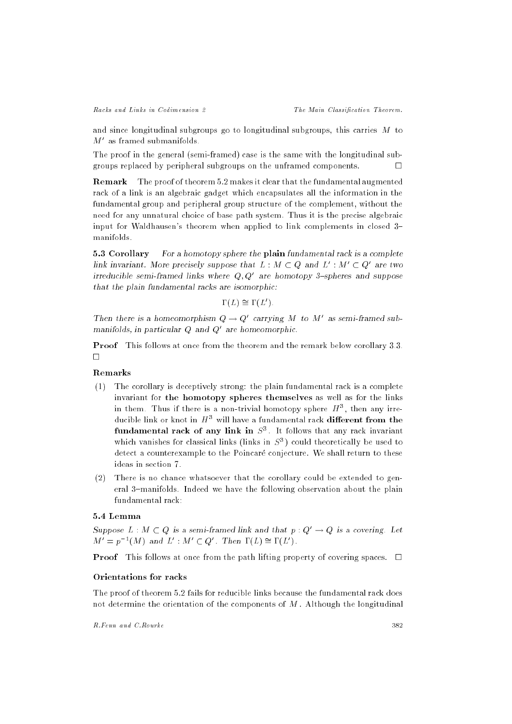and since longitudinal subgroups go to longitudinal subgroups, this carries M to *m* – as framed submanifolds.

The proof in the general (semi-framed) case is the same with the longitudinal subgroups replaced by peripheral subgroups on the unframed components.  $\Box$ 

Remark The proof of theorem 5.2 makes it clear that the fundamental augmented rack of a link is an algebraic gadget which encapsulates all the information in the fundamental group and peripheral group structure of the complement, without the need for any unnatural choice of base path system. Thus it is the precise algebraic input for Waldhausen's theorem when applied to link complements in closed 3manifolds.

5.3 Corollary For a homotopy sphere the plain fundamental rack is a complete  $\lim_{\epsilon \to 0}$  invariant. More precisely suppose that  $L$  :  $M \subset Q$  and  $L^+$  :  $M^- \subset Q^-$  are two irreducible semi-framed links where Q; Q0 are homotopy 3{spheres and suppose that the plain fundamental racks are isomorphic:

$$
\Gamma(L) \cong \Gamma(L').
$$

Then there is a nomeomorphism  $Q \to Q$  carrying M to M as semi-framed submanifolds, in particular Q and Q<sup>0</sup> are homeomorphic.

Proof This follows at once from the theorem and the remark below corollary 3.3.  $\Box$ 

# Remarks

- (1) The corollary is deceptively strong: the plain fundamental rack is a complete invariant for the homotopy spheres themselves as well as for the links in them. Thus if there is a non-trivial homotopy sphere  $H^{\pm}$ , then any irreducible link or knot in  $\,H^+$  will have a fundamental rack different from the **fundamental rack of any link in**  $S^{\pi}$ . It follows that any rack invariant which vanishes for classical links (links in  $S^3$ ) could theoretically be used to detect a counterexample to the Poincaré conjecture. We shall return to these ideas in section 7.
- (2) There is no chance whatsoever that the corollary could be extended to general 3-manifolds. Indeed we have the following observation about the plain

# 5.4 Lemma

Suppose  $L : M \subset Q$  is a semi-framed link and that  $p : Q' \to Q$  is a covering. Let  $M = p^{-1}(M)$  and  $L : M \subset Q$ . Then  $I(L) = I(L)$ .

**Proof** This follows at once from the path lifting property of covering spaces.  $\Box$ 

## Orientations for racks

The proof of theorem 5.2 fails for reducible links because the fundamental rack does not determine the orientation of the components of  $M$ . Although the longitudinal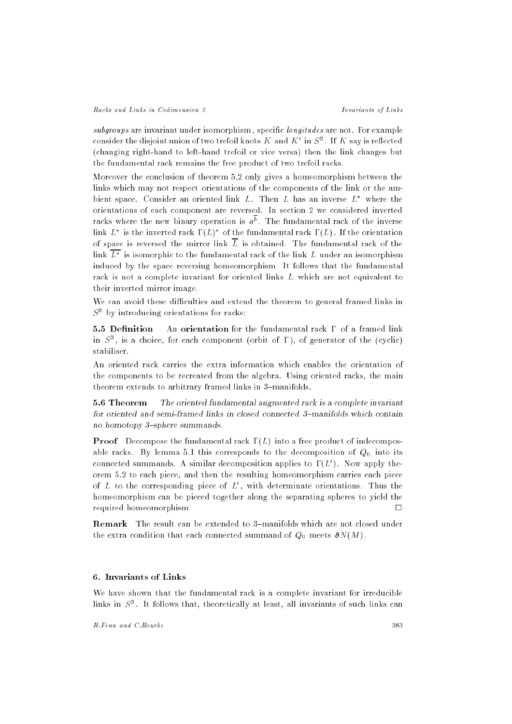subgroups are invariant under isomorphism, specific *longitudes* are not. For example consider the disjoint union of two trefoil knots  $K$  and  $K$  -in  $S^{\circ}$  . If  $K$  say is reflected (changing right-hand to left-hand trefoil or vice versa) then the link changes but the fundamental rack remains the free product of two trefoil racks.

Moreover the conclusion of theorem 5.2 only gives a homeomorphism between the links which may not respect orientations of the components of the link or the ambient space. Consider an oriented link  $L$ . Then  $L$  has an inverse  $L^*$  where the orientations of each component are reversed. In section 2 we considered inverted racks where the new pinary operation is  $a^+$ . The fundamental rack of the inverse  $\lim_{L\to\infty} L$  is the inverted rack  $\mathbf{1}(L)$  . Of the fundamental rack  $\mathbf{1}(L)$  . If the orientation of space is reversed the mirror link  $\overline{L}$  is obtained. The fundamental rack of the  $\ln$  is isomorphic to the fundamental rack of the link  $L$  under an isomorphism induced by the space reversing homeomorphism. It follows that the fundamental rack is not a complete invariant for oriented links L which are not equivalent to their inverted mirror image.

We can avoid these difficulties and extend the theorem to general framed links in S<sup>3</sup> by introducing orientations for racks:

5.5 Definition An orientation for the fundamental rack  $\Gamma$  of a framed link in  $S^{\pi}$ , is a choice, for each component (orbit of 1), of generator of the (cyclic) stabiliser.

An oriented rack carries the extra information which enables the orientation of the components to be recreated from the algebra. Using oriented racks, the main theorem extends to arbitrary framed links in 3-manifolds.

5.6 Theorem The oriented fundamental augmented rack is a complete invariant for oriented and semi-framed links in closed connected 3-manifolds which contain no homotopy 3-sphere summands.

**Proof** Decompose the fundamental rack  $\Gamma(L)$  into a free product of indecomposable racks. By lemma 5.1 this corresponds to the decomposition of  $Q_0$  into its connected summands. A similar decomposition applies to  $1/L$  ). Now apply theorem 5.2 to each piece, and then the resulting homeomorphism carries each piece of  $L$  to the corresponding piece of  $L$  , with determinate orientations. Thus the homeomorphism can be pieced together along the separating spheres to yield the required homeomorphism.

Remark The result can be extended to 3-manifolds which are not closed under the extra condition that each connected summand of  $Q_0$  meets  $\partial N(M)$ .

#### 6. Invariants of Links

We have shown that the fundamental rack is a complete invariant for irreducible  $\min$ s in  $S^*$ . It follows that, theoretically at least, all invariants of such links can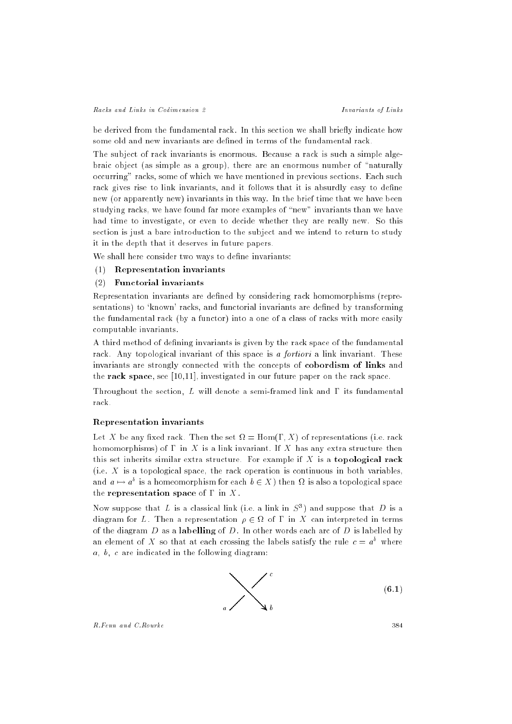be derived from the fundamental rack. In this section we shall briefly indicate how some old and new invariants are defined in terms of the fundamental rack.

The subject of rack invariants is enormous. Because a rack is such a simple algebraic object (as simple as a group), there are an enormous number of "naturally occurring" racks, some of which we have mentioned in previous sections. Each such rack gives rise to link invariants, and it follows that it is absurdly easy to define new (or apparently new) invariants in this way. In the brief time that we have been studying racks, we have found far more examples of \new" invariants than we have had time to investigate, or even to decide whether they are really new. So this section is just a bare introduction to the subject and we intend to return to study it in the depth that it deserves in future papers.

We shall here consider two ways to define invariants:

## (1) Representation invariants

## (2) Functorial invariants

Representation invariants are defined by considering rack homomorphisms (representations) to 'known' racks, and functorial invariants are defined by transforming the fundamental rack (by a functor) into a one of a class of racks with more easily computable invariants.

A third method of defining invariants is given by the rack space of the fundamental rack. Any topological invariant of this space is a *fortiori* a link invariant. These invariants are strongly connected with the concepts of cobordism of links and the rack space, see [10,11], investigated in our future paper on the rack space.

Throughout the section, L will denote a semi-framed link and  $\Gamma$  its fundamental rack.

## Representation invariants

Let X be any xed rack. Then the set = Hom(; X) of representations (i.e. rack homomorphisms) of  $\Gamma$  in X is a link invariant. If X has any extra structure then this set inherits similar extra structure. For example if  $X$  is a topological rack (i.e.  $X$  is a topological space, the rack operation is continuous in both variables, and  $a \mapsto a^+$  is a nomeomorphism for each  $b \in X$  ) then  $\overline{\Omega}$  is also a topological space the representation space of  $\Gamma$  in  $X$ .

Now suppose that  $L$  is a classical link (i.e. a link in  $S^{\pm}$ ) and suppose that  $D$  is a any process compared in the continuum compared in the case of the compared in terms of the diagram  $D$  as a labelling of  $D$ . In other words each arc of  $D$  is labelled by an element of  $\Lambda$  so that at each crossing the labels satisfy the rule  $c=a^+$  where  $a, b, c$  are indicated in the following diagram:

$$
\sum_{a}^{c} \tag{6.1}
$$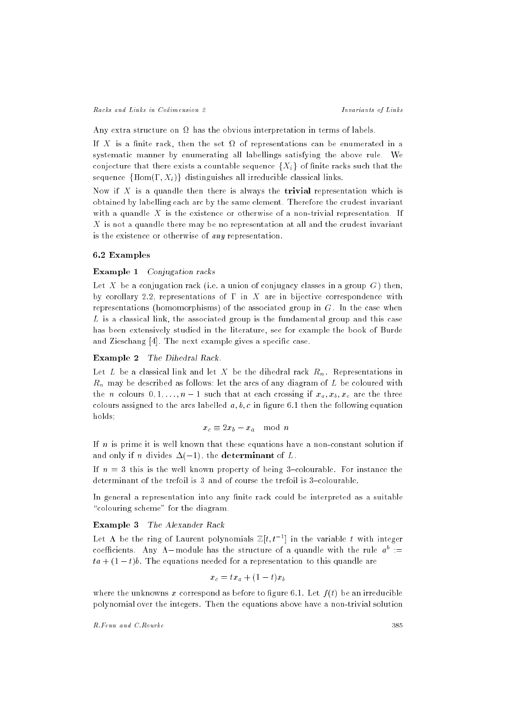Any extra structure on has the obvious interpretation in terms of labels.

If  $X$  is a nite rack, then the set  $\mathbb{R}^n$  is a set of representations can be enumerated in a between  $\mathbb{R}^n$ systematic manner by enumerating all labellings satisfying the above rule. We conjecture that there exists a countable sequence  $\{X_i\}$  of finite racks such that the sequence  $\{Hom(\Gamma, X_i)\}\$  distinguishes all irreducible classical links.

Now if X is a quandle then there is always the **trivial** representation which is obtained by labelling each arc by the same element. Therefore the crudest invariant with a quandle  $X$  is the existence or otherwise of a non-trivial representation. If X is not a quandle there may be no representation at all and the crudest invariant is the existence or otherwise of any representation.

## 6.2 Examples

### Example 1 Conjugation racks

Let X be a conjugation rack (i.e. a union of conjugacy classes in a group  $G$ ) then, by corollary 2.2, representations of  $\Gamma$  in X are in bijective correspondence with representations (homomorphisms) of the associated group in  $G$ . In the case when L is a classical link, the associated group is the fundamental group and this case has been extensively studied in the literature, see for example the book of Burde and Zieschang [4]. The next example gives a specific case.

#### Example 2 The Dihedral Rack.

Let L be a classical link and let X be the dihedral rack Rn . Representations in  $R = 10$  may be described as follows: let the arcs of any diagram of  $\Omega$ the n colours  $\mathbf{v}_1$  if  $\mathbf{v}_2$  if  $\mathbf{v}_3$  if  $\mathbf{v}_4$  are that at each crossing if  $\mathbf{v}_4$  and the three three three colours assigned to the arcs labelled  $a, b, c$  in figure 6.1 then the following equation holds;

$$
x_c \equiv 2x_b - x_a \mod n
$$

If  $n$  is prime it is well known that these equations have a non-constant solution if and only if n divides  $\Delta(-1)$ , the determinant of L.

If  $n = 3$  this is the well known property of being 3-colourable. For instance the determinant of the trefoil is  $3$  and of course the trefoil is  $3$ -colourable.

In general a representation into any finite rack could be interpreted as a suitable "colouring scheme" for the diagram.

# Example 3 The Alexander Rack

Let A be the ring of Laurent polynomials  $\mathbb{Z}[t, t^{-1}]$  in the variable t with integer coefficients. Any  $\Lambda-$ module has the structure of a quandle with the rule  $a^+$   $\,=\,$  $ta + (1 - t)b$ . The equations needed for a representation to this quandle are

$$
x_c = tx_a + (1-t)x_b
$$

where the unknowns x correspond as before to figure 6.1. Let  $f(t)$  be an irreducible polynomial over the integers. Then the equations above have a non-trivial solution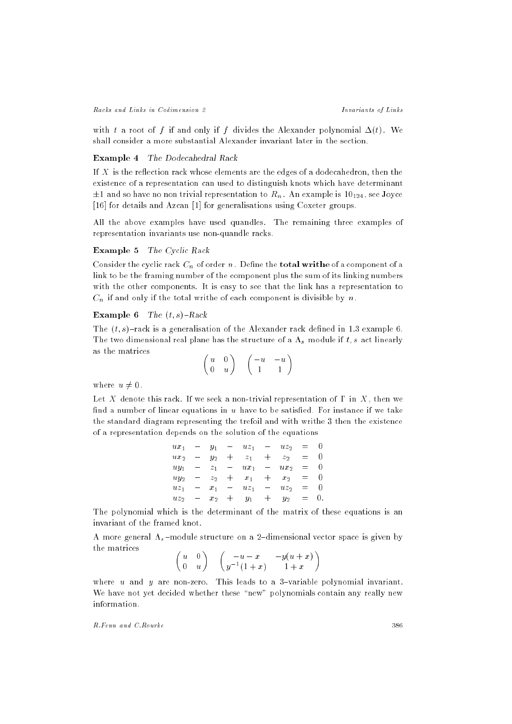with t a root of f if and only if f divides the Alexander polynomial  $\Delta(t)$ . We shall consider a more substantial Alexander invariant later in the section.

## Example 4 The Dodecahedral Rack

If  $X$  is the reflection rack whose elements are the edges of a dodecahedron, then the existence of a representation can used to distinguish knots which have determinant  $\blacksquare$  and so the source that the contribution to representation to  $\lceil \cdot \rceil$  . And the see  $\lceil \cdot \rceil$  and  $\lceil \cdot \rceil$  and  $\lceil \cdot \rceil$ [16] for details and Azcan [1] for generalisations using Coxeter groups.

All the above examples have used quandles. The remaining three examples of representation invariants use non-quandle racks.

#### Example 5 The Cyclic Rack

Consider the cyclic rack Cn of order n. Dene the total writhe of a component of a link to be the framing number of the component plus the sum of its linking numbers with the other components. It is easy to see that the link has a representation to Cn if and only if the total writhe of each component is divisible by n.

# Example 6 The  $(t, s)$ -Rack

The  $(t, s)$ -rack is a generalisation of the Alexander rack defined in 1.3 example 6. The two dimensional real plane has the structure of a structure of a structure of a s module if the structure if the structure of a structure of a structure of a structure of a structure of a structure of a structure of a as the matrices

$$
\left(\begin{array}{cc} u & 0 \\ 0 & u \end{array}\right) \quad \left(\begin{array}{cc} -u & -u \\ 1 & 1 \end{array}\right)
$$

where  $u \neq 0$ .

Let X denote this rack. If we seek a non-trivial representation of  $\Gamma$  in  $X$ , then we find a number of linear equations in  $u$  have to be satisfied. For instance if we take the standard diagram representing the trefoil and with writhe 3 then the existence of a representation depends on the solution of the equations

| $ux_1$ | $y_1$   |                                | $uz_1$         | $\frac{1}{2}$ | $uz_2$  | $=$ |  |
|--------|---------|--------------------------------|----------------|---------------|---------|-----|--|
| $ux_2$ | $y_2$   | $+$                            | z <sub>1</sub> | $+$           | $z_{2}$ | =   |  |
| $uy_1$ | $z_{1}$ | $\qquad \qquad \longleftarrow$ | $ux_1$         | $\frac{1}{2}$ | $ux_2$  | $=$ |  |
| $uy_2$ | $z_{2}$ |                                | $+x_1$         | $+$ $-$       | $x_{2}$ | $=$ |  |
| $uz_1$ | $x_1$   |                                | $uz_1$         | $\frac{1}{2}$ | $uz_2$  | $=$ |  |
| $uz_2$ | $x_2$   | $+$                            | $y_1$          | $+$           | $y_2$   | $=$ |  |

The polynomial which is the determinant of the matrix of these equations is an invariant of the framed knot.

A more general s {module structure on a 2{dimensional vector space is given by the matrices  $\overline{\phantom{a}}$  $\sim$   $\sim$  $\sim$ 

$$
\begin{pmatrix} u & 0 \ 0 & u \end{pmatrix} \quad \begin{pmatrix} -u-x & -y(u+x) \\ y^{-1}(1+x) & 1+x \end{pmatrix}
$$

where u and y are non-zero. This leads to a 3-variable polynomial invariant. We have not yet decided whether these "new" polynomials contain any really new information.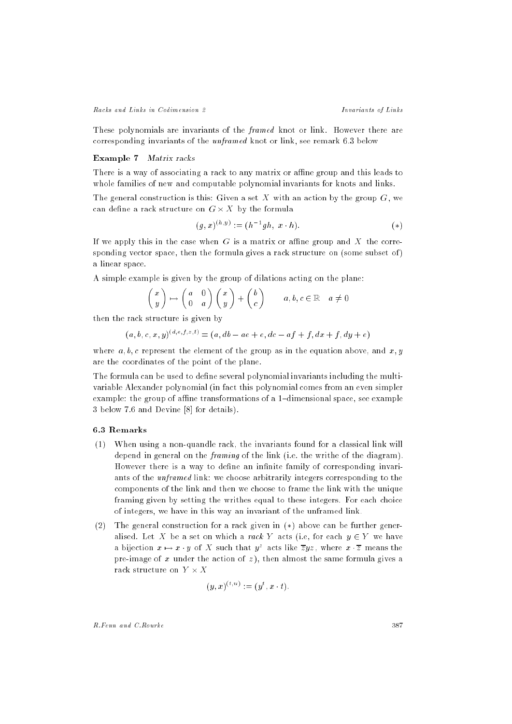These polynomials are invariants of the *framed* knot or link. However there are corresponding invariants of the unframed knot or link, see remark 6.3 below

#### Example 7 Matrix racks

There is a way of associating a rack to any matrix or affine group and this leads to whole families of new and computable polynomial invariants for knots and links.

The general construction is this: Given a set X with an action by the group  $G$ , we can dene a rack structure on G - X by the formula

$$
(g, x)^{(h, y)} := (h^{-1}gh, x \cdot h). \tag{*}
$$

If we apply this in the case when  $G$  is a matrix or affine group and  $X$  the corresponding vector space, then the formula gives a rack structure on (some subset of) a linear space.

A simple example is given by the group of dilations acting on the plane:

$$
\begin{pmatrix} x \\ y \end{pmatrix} \mapsto \begin{pmatrix} a & 0 \\ 0 & a \end{pmatrix} \begin{pmatrix} x \\ y \end{pmatrix} + \begin{pmatrix} b \\ c \end{pmatrix} \qquad a, b, c \in \mathbb{R} \quad a \neq 0
$$

then the rack structure is given by

$$
(a, b, c, x, y)^{(d, e, f, z, t)} = (a, db - ae + e, dc - af + f, dx + f, dy + e)
$$

where  $a, b, c$  represent the element of the group as in the equation above, and  $x, y$ are the coordinates of the point of the plane.

The formula can be used to define several polynomial invariants including the multivariable Alexander polynomial (in fact this polynomial comes from an even simpler example: the group of affine transformations of a 1-dimensional space, see example 3 below 7.6 and Devine [8] for details).

## 6.3 Remarks

- (1) When using a non-quandle rack, the invariants found for a classical link will depend in general on the framing of the link (i.e. the writhe of the diagram). However there is a way to define an infinite family of corresponding invariants of the unframed link: we choose arbitrarily integers corresponding to the components of the link and then we choose to frame the link with the unique framing given by setting the writhes equal to these integers. For each choice of integers, we have in this way an invariant of the unframed link.
- (2) The general construction for a rack given in  $(*)$  above can be further generalised. Let X be a set on which a rack Y acts (i.e, for each  $y \in Y$  we have a bijection  $x \mapsto x \cdot y$  of  $X$  such that  $y^*$  acts like  $zyz$  , where  $x \cdot z$  means the pre-image of x under the action of  $z$ ), then almost the same formula gives a

$$
(y,x)^{(t,u)}:=(y^t,x\cdot t).
$$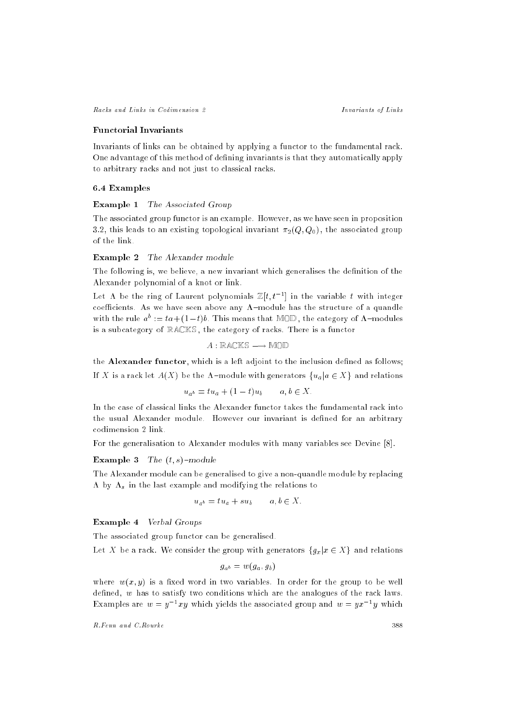Racks and Links in Codimension 2 Invariants of Links

#### Functorial Invariants

Invariants of links can be obtained by applying a functor to the fundamental rack. One advantage of this method of defining invariants is that they automatically apply to arbitrary racks and not just to classical racks.

#### 6.4 Examples

#### Example 1 The Associated Group

The associated group functor is an example. However, as we have seen in proposition 3.2, this leads to an existing topological invariant  $\pi_2(Q, Q_0)$ , the associated group of the link.

## Example 2 The Alexander module

The following is, we believe, a new invariant which generalises the definition of the Alexander polynomial of a knot or link.

Let A be the ring of Laurent polynomials  $\mathbb{Z}[t, t^{-1}]$  in the variable t with integer coefficients. As we have seen above any  $\Lambda$ -module has the structure of a quandle with the rule  $a^b := ta + (1-t)b$ . This means that MOD, the category of  $\Lambda$ -modules is a subcategory of RACKS, the category of racks. There is a functor

$$
A: \mathbb{R} \mathbb{A} \mathbb{C} \mathbb{K} \mathbb{S} \longrightarrow \mathbb{M} \mathbb{O} \mathbb{D}
$$

the Alexander functor, which is a left adjoint to the inclusion defined as follows;

If X is a rack let  $A(X)$  be the  $\Lambda$ -module with generators  $\{u_a | a \in X\}$  and relations

$$
u_{a^b} = t u_a + (1-t) u_b \qquad a, b \in X.
$$

In the case of classical links the Alexander functor takes the fundamental rack into the usual Alexander module. However our invariant is defined for an arbitrary codimension 2 link.

For the generalisation to Alexander modules with many variables see Devine [8].

#### Example 3 The  $(t, s)$ -module

The Alexander module can be generalised to give a non-quandle module by replacing by so in the last example and modifying the relations to relations the relations to relations to relations to the relations to the relations of the relations of the relations of the relations of the relations of the relati

$$
u_{a^b} = t u_a + s u_b \qquad a, b \in X.
$$

Example 4 Verbal Groups

The associated group functor can be generalised.

Let X be a rack. We consider the group with generators  ${g_x | x \in X}$  and relations

$$
g_{a^b} = w(g_a, g_b)
$$

where  $w(x, y)$  is a fixed word in two variables. In order for the group to be well defined,  $w$  has to satisfy two conditions which are the analogues of the rack laws. Examples are  $w = y^{-1}xy$  which yields the associated group and  $w = yx^{-1}y$  which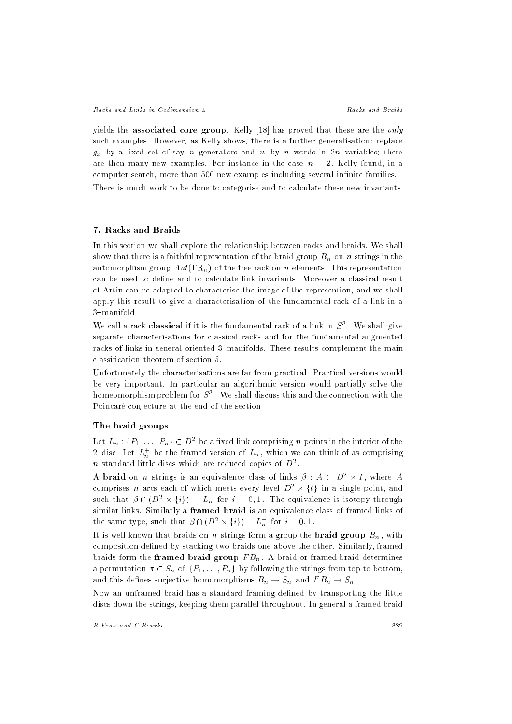yields the associated core group. Kelly [18] has proved that these are the *only* such examples. However, as Kelly shows, there is a further generalisation: replace  $\boldsymbol{g}_k$  by a set of set of say n generators and w by n words in 2n variables; there is are then many new examples. For instance in the case  $n = 2$ , Kelly found, in a computer search, more than 500 new examples including several infinite families.

There is much work to be done to categorise and to calculate these new invariants.

# 7. Racks and Braids

In this section we shall explore the relationship between racks and braids. We shall show that there is a faithful representation of the braid group  $\Theta$  on n strings in the braid group Bn on  $\Theta$ automorphism group  $Aut(\mathbb{F}_{n})$  of the free rack on n elements. This representation can be used to define and to calculate link invariants. Moreover a classical result of Artin can be adapted to characterise the image of the represention, and we shall apply this result to give a characterisation of the fundamental rack of a link in a 3-manifold.

We call a rack classical if it is the fundamental rack of a link in  $S^{\pi}$  . We shall give separate characterisations for classical racks and for the fundamental augmented racks of links in general oriented 3-manifolds. These results complement the main classication theorem of section 5.

Unfortunately the characterisations are far from practical. Practical versions would be very important. In particular an algorithmic version would partially solve the homeomorphism problem for  $S^{\pm}$  . We shall discuss this and the connection with the Poincaré conjecture at the end of the section.

#### The braid groups

Let  $L_n$  :  $\{F_1,\ldots,F_n\}\subset D^+$  be a fixed link comprising n points in the interior of the 2-disc. Let  $L_n^+$  be the framed version of  $L_n$ , which we can think of as comprising  $n$  standard fittle discs which are reduced copies of  $D^2$ .

A praid on n strings is an equivalence class of links  $\rho : A \subset D^+ \times I$  , where  $A$ comprises  $\bar{n}$  arcs each of which meets every level  $D^+ \times \{t\}$  in a single point, and such that  $\rho \cap (D^* \times \{i\}) = L_n$  for  $i = 0, 1$ . The equivalence is isotopy through similar links. Similarly a framed braid is an equivalence class of framed links of the same type, such that  $\rho \cap (D^* \times \{i\}) = L_n^+$  for  $i = 0, 1$ .

It is well known that braids on the braid group that  $\alpha$  group  $\alpha$  and  $\alpha$  and  $\alpha$  , with  $\alpha$ composition defined by stacking two braids one above the other. Similarly, framed braids for m the framed braid group  $\mathbf{F}$  Bn . A braid determines  $\mathbf{F}$ a permutation <sup>2</sup> Sn of fP1; : : : ; Png by following the strings from top to bottom, and this denes surjective homomorphisms Bn ! Sn and F Bn ! Sn .

Now an unframed braid has a standard framing defined by transporting the little discs down the strings, keeping them parallel throughout. In general a framed braid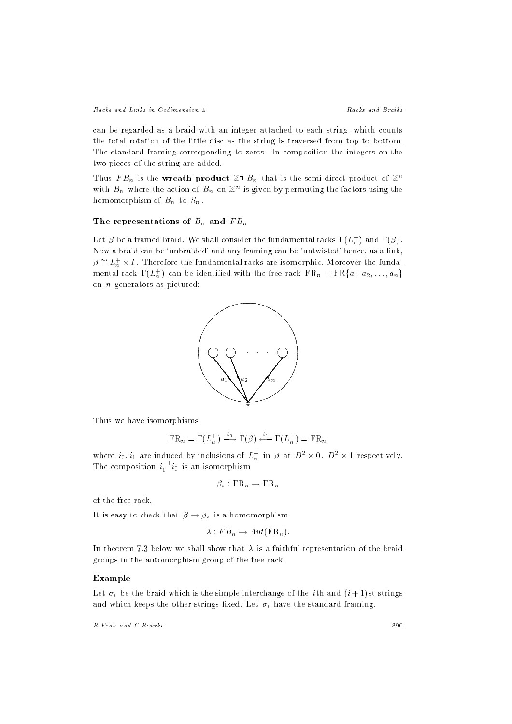can be regarded as a braid with an integer attached to each string, which counts the total rotation of the little disc as the string is traversed from top to bottom. The standard framing corresponding to zeros. In composition the integers on the two pieces of the string are added.

Thus  $FB_n$  is the wreath product  $\mathbb{Z}_{p}$  that is the semi-direct product of  $\mathbb{Z}^n$ with  $B_n$  where the action of  $B_n$  on  $\mathbb{Z}^n$  is given by permuting the factors using the homomorphism of  $B$  ,  $B$  . The  $B$ 

#### $T = T$  representations of Bn and  $B$

Let  $\rho$  be a framed braid. We shall consider the fundamental racks  $\mathbf{1}(L_n^+ )$  and  $\mathbf{1}(p)$  . Now a braid can be `unbraided' and any framing can be `untwisted' hence, as a link,  $\rho = L_n^+ \times I$  . Therefore the fundamental racks are isomorphic. Moreover the fundanmental rack  $\mathbf{1}\left( L_{n}^{+}\right)$  can be identified with the free rack  $\mathbf{r}\,\mathbf{\kappa}_{n}=\mathbf{r}\,\mathbf{\kappa}_{\{}a_{1},a_{2},\ldots,a_{n}\}$ on n generators as pictured:



Thus we have isomorphisms

$$
\mathrm{FR}_n = \Gamma(L_n^+) \xrightarrow{\iota_0} \Gamma(\beta) \xleftarrow{\iota_1} \Gamma(L_n^+) = \mathrm{FR}_n
$$

where  $i_0, i_1$  are induced by inclusions of  $L_n^+$  in  $\beta$  at  $D^- \times 0$ ,  $D^- \times 1$  respectively. The composition  $i_1$   $i_0$  is an isomorphism

$$
\beta_* : \operatorname{FR}_n \to \operatorname{FR}_n
$$

of the free rack.

It is easy to check that  $\beta \mapsto \beta_*$  is a homomorphism

$$
\lambda : FB_n \to Aut(\mathbf{FR}_n).
$$

In theorem 7.3 below we shall show that  $\lambda$  is a faithful representation of the braid groups in the automorphism group of the free rack.

## Example

Let i be the braid which is the simple interchange of the <sup>i</sup> th and (i + 1) st strings and which keeps the other strings the strings the strings  $\Omega$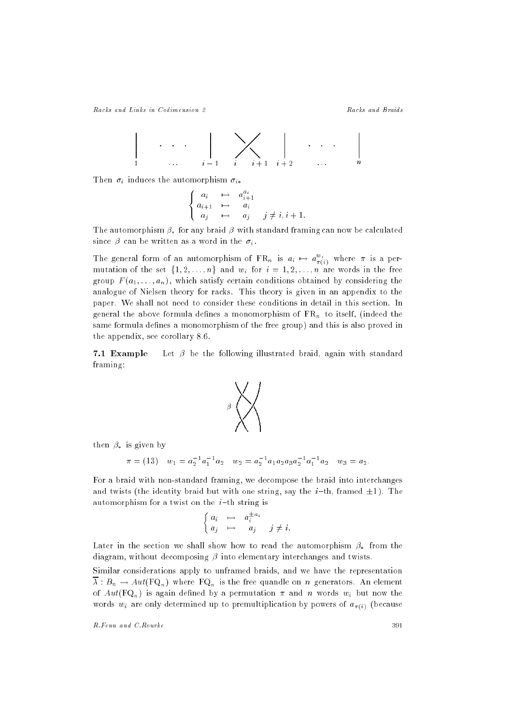|<br>|<br>|

$$
\cdots \cdots \left| \sum_{i=1}^{i} \left| \sum_{i=1}^{i} \left| \sum_{i+1}^{i+2} x_i \right| \right|
$$

 $\mathcal{L}$  is a induced the automorphism in  $\mathcal{L}$ 

$$
\begin{cases}\n a_i & \mapsto & a_{i+1}^{a_i} \\
 a_{i+1} & \mapsto & a_i \\
 a_j & \mapsto & a_j \quad j \neq i, i+1.\n\end{cases}
$$

The automorphism  $\beta_*$  for any braid  $\beta$  with standard framing can now be calculated  $\mathfrak{o}$  and in the interval behavior in the interval behavior in the interval behavior in the interval behavior.

The general form of an automorphism of  $f R_n$  is  $a_i \mapsto a_{\pi(i)}^{\pi(i)}$  where  $\pi$  is a permutation of the set f1; 2; : : : : :  $\cdots$  ;  $\cdots$  ,  $\cdots$  in the free free free free free free group  $F(a_1, \ldots, a_n)$ , which satisfy certain conditions obtained by considering the analogue of Nielsen theory for racks. This theory is given in an appendix to the paper. We shall not need to consider these conditions in detail in this section. In  $\Box$  the above formula denote the above formula density  $\Box$  is independent to its line of  $\Box$ same formula defines a monomorphism of the free group) and this is also proved in the appendix, see corollary 8.6.

**7.1 Example** Let  $\beta$  be the following illustrated braid, again with standard framing:



then  $\beta_*$  is given by

$$
\pi = (13)
$$
  $w_1 = a_2^{-1}a_1^{-1}a_2$   $w_2 = a_2^{-1}a_1a_2a_3a_2^{-1}a_1^{-1}a_2$   $w_3 = a_2$ .

For a braid with non-standard framing, we decompose the braid into interchanges and twists (the identity braid but with one string, say the *i*-th, framed  $\pm 1$ ). The automorphism for a twist on the  $i$ -th string is

$$
\left\{ \begin{array}{ccc} a_i & \mapsto & a_i^{\pm\, a_i} \\ a_j & \mapsto & a_j \end{array} \right. \quad j \neq i.
$$

Later in the section we shall show how to read the automorphism  $\beta_*$  from the diagram, without decomposing  $\beta$  into elementary interchanges and twists.

Similar considerations apply to unframed braids, and we have the representation :  $B_n$  . Fig. (FQn) where FQn is the free quantum free  $\alpha$  generators. And elements of  $Aut(\mathbf{FQ}_n)$  is again defined by a permutation  $\pi$  and n words  $w_i$  but now the words with the contraction by powers of all determined up to premultiplication by powers of all determined up to premultiplication by powers of all determined up to provide up to premultiplication by powers of all determin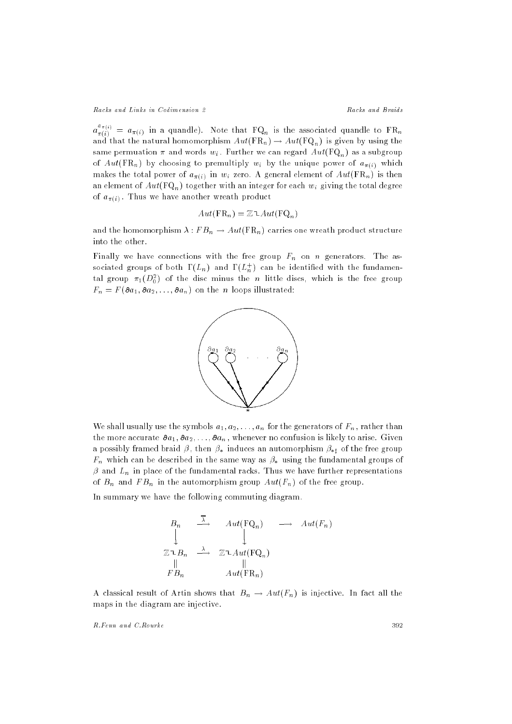$a^{\infty}_{\pi(i)} = a_{\pi(i)}$  in a quandle). Note that  ${\rm FQ}_n$  is the associated quandle to  ${\rm FR}_n$ and that the natural homomorphism  $Aut(\text{FR}_n) \to Aut(\text{FQ}_n)$  is given by using the same permuation was well with  $\frac{1}{2}$  . Further we can regard function  $\left(\frac{1}{2} \mathcal{A}_n\right)$  as a subgroup  $\sqrt{10}$  by choosing to premultiply with the unique power of a  $\mu$  and unique power of a  $\mu$ makes the total power of  $a_{\pi(i)}$  in  $w_i$  zero. A general element of  $Aut(\operatorname{FR}_n)$  is then an element of  $Aut(\mathrm{FQ}_n)$  together with an integer for each  $w_i$  giving the total degree of  $a_{\pi(i)}$ . Thus we have another wreath product

$$
Aut(\mathrm{FR}_n) = \mathbb{Z} \mathop{\uparrow} Aut(\mathrm{FQ}_n)
$$

and the momorphism is formed that  $\mu$  . Finally, the structure one was structured to the structure structure structure  $\mu$ into the other.

Finally we have connections with the free group Fn on <sup>n</sup> generators. The associated groups of both  $\mathbf{1}\left( L_{n}\right)$  and  $\mathbf{1}\left( L_{n}^{\perp}\right)$  can be identified with the fundamental group  $\pi_1(D_0^*)$  of the disc minus the n little discs, which is the free group  $F_{1k}$  , and  $F_{2k+1}$  and  $F_{2k+2}$  is the number in the number in the number is the number of  $\alpha$ 



We shall usually use the symbols  $a_1, a_2, \ldots, a_n$  for the generators of  $F_n$ , rather than the more accurate  $\partial a_1, \partial a_2, \ldots, \partial a_n$ , whenever no confusion is likely to arise. Given a possibly framed braid  $\beta$ , then  $\beta_*$  induces an automorphism  $\beta_{*j}$  of the free group  $\mathcal{F}$  as a behavior way as in the same way as same way as in the fundamental groups of  $\mathcal{F}$ and  $\mathbf{L}_h$  in place of the fundamental racks. Thus we have fundamental representations  $\overline{\phantom{a}}$  in the automorphism group  $\overline{\phantom{a}}$  in the free group  $\overline{\phantom{a}}$  in the free group. The free group  $\overline{\phantom{a}}$ 

In summary we have the following commuting diagram.

$$
B_n \xrightarrow{\overline{\lambda}} Aut(FQ_n) \longrightarrow Aut(F_n)
$$
  

$$
\mathbb{Z} \cup B_n \xrightarrow{\lambda} \mathbb{Z} \cup Aut(FQ_n)
$$
  

$$
\parallel \qquad \qquad \parallel
$$
  

$$
FB_n \longrightarrow Aut(FR_n)
$$

A commutative result of Article shows that  $\mathbb{E}\left[ \frac{1}{h} \right]$  is injective. In fact all the fact all the fact maps in the diagram are injective.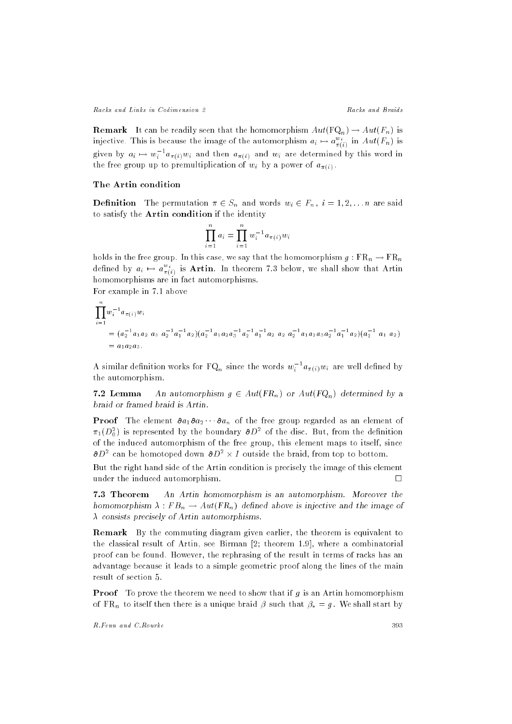**Remark** It can be readily seen that the homomorphism  $Aut(\mathbf{FQ}_n) \to Aut(F_n)$  is injective. This is because the image of the automorphism  $a_i \mapsto a_{\pi(i)}^{-1}$  in  $Aut(\Gamma_n)$  is given by  $a_i \mapsto w_i$  " $a_{\pi(i)}w_i$  and then  $a_{\pi(i)}$  and  $w_i$  are determined by this word in the free group up to premultiplication of with  $\alpha$  and  $\alpha$ 

## The Artin condition

Denition The permutation <sup>2</sup> Sn and words wi <sup>2</sup> Fn , <sup>i</sup> = 1; 2; : : :n are said to satisfy the Artin condition if the identity

$$
\prod_{i=1}^{n} a_i = \prod_{i=1}^{n} w_i^{-1} a_{\pi(i)} w_i
$$

holds in the free group. In this case, we say that the homomorphism g : FRn  $\beta$  : FR  $\alpha$ defined by  $a_i \mapsto a_{\pi(i)}^{-}$  is Artin. In theorem 7.3 below, we shall show that Artin homomorphisms are in fact automorphisms.

For example in 7.1 above

$$
\prod_{i=1}^{n} w_i^{-1} a_{\pi(i)} w_i
$$
\n
$$
= (a_2^{-1} a_1 a_2 a_3 a_2^{-1} a_1^{-1} a_2) (a_2^{-1} a_1 a_2 a_3^{-1} a_2^{-1} a_1^{-1} a_2 a_2 a_2 a_2^{-1} a_1 a_2 a_3 a_2^{-1} a_1^{-1} a_2) (a_2^{-1} a_1 a_2)
$$
\n
$$
= a_1 a_2 a_3.
$$

A similar definition works for  $\mathtt{r}\cup_{n}$  since the words  $w_{i}$  <sup>-</sup>  $a_{\pi(i)}w_{i}$  are well defined by the automorphism.

7.2 Lemma An automorphism  $g \in Aut(FR_n)$  or  $Aut(FQ_n)$  determined by a braid or framed braid is Artin.

**Proof** The element  $\partial a_1 \partial a_2 \cdots \partial a_n$  of the free group regarded as an element of  $\pi_1(D_0^+)$  is represented by the boundary  $\sigma D^*$  of the disc. But, from the definition of the induced automorphism of the free group, this element maps to itself, since  $\sigma_{D}$  - can be homotoped down  $\sigma_{D}$  -  $\times$  1 outside the braid, from top to bottom.

But the right hand side of the Artin condition is precisely the image of this element under the induced automorphism.

7.3 Theorem An Artin homomorphism is an automorphism. Moreover the homomorphism is for  $\mu$  . From  $\left\{ \tau = \eta \right\}$  defines a contract in the image of the image of  $\lambda$  consists precisely of Artin automorphisms.

Remark By the commuting diagram given earlier, the theorem is equivalent to the classical result of Artin, see Birman [2; theorem 1.9], where a combinatorial proof can be found. However, the rephrasing of the result in terms of racks has an advantage because it leads to a simple geometric proof along the lines of the main result of section 5.

**Proof** To prove the theorem we need to show that if  $g$  is an Artin homomorphism  $\mathbb{R}$  to its a unique braid braid braid braid braid braid braid braid braid braid braid braid braid braid braid braid braid braid braid braid braid braid braid braid braid braid braid braid braid braid braid braid brai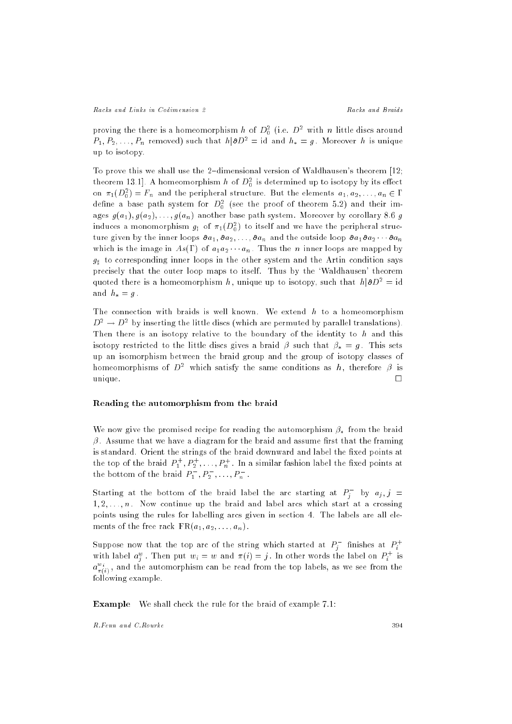proving the there is a homeomorphism  $n$  of  $D_0^+$  (i.e.  $D^-$  with  $n$  fittle discs around  $P_1, P_2, \ldots, P_n$  removed) such that  $h | \partial D^2 = id$  and  $h_* = g$ . Moreover h is unique up to isotopy.

To prove this we shall use the 2-dimensional version of Waldhausen's theorem  $[12;$ theorem 15.1]. A nomeomorphism  $n$  of  $D_0^+$  is determined up to isotopy by its effect on  $\pi_1(D_0^-) = r_n$  and the peripheral structure. But the elements  $a_1, a_2, \ldots, a_n \in \Gamma$ define a base path system for  $D_0^+$  (see the proof of theorem 5.2) and their images  $g(a_1), g(a_2), \ldots, g(a_n)$  another base path system. Moreover by corollary 8.6 g induces a monomorphism  $g_{\sharp}$  of  $\pi_1(D_0^{\ast})$  to itself and we have the peripheral structure given by the inner loops  $a_1, a_2, \ldots, a_n$  and the outside loop  $a_1, a_2 \cdots a_n$ which is the image in  $As(\Gamma)$  of  $a_1a_2\cdots a_n$ . Thus the n inner loops are mapped by  $g_{\perp}$  to corresponding inner loops in the other system and the Article condition says says precisely that the outer loop maps to itself. Thus by the `Waldhausen' theorem quoted there is a homeomorphism h, unique up to isotopy, such that  $h|\partial D^2 = id$ and  $h_* = g$ .

The connection with braids is well known. We extend  $h$  to a homeomorphism  $D^-\to D^-$  by inserting the little discs (which are permuted by parallel translations). Then there is an isotopy relative to the boundary of the identity to  $h$  and this isotopy restricted to the little discs gives a braid  $\beta$  such that  $\beta_* = q$ . This sets up an isomorphism between the braid group and the group of isotopy classes of nomeomorphisms of  $D^*$  which satisfy the same conditions as  $n$ , therefore  $\rho$  is unique. Il se construction de la construction de la construction de la construction de la construction de la c

#### Reading the automorphism from the braid

We now give the promised recipe for reading the automorphism  $\beta_*$  from the braid  $\beta$ . Assume that we have a diagram for the braid and assume first that the framing is standard. Orient the strings of the braid downward and label the fixed points at the top of the braid  $P_1^+, P_2^+,\ldots,P_n^+$  . In a similar fashion label the fixed points at the bottom of the braid  $P_1^-, P_2^-, \ldots, P_n^-,$ 

Starting at the bottom of the braid label the arc starting at  $P_j$  (by  $a_j, j \equiv$  $1, 2, \ldots, n$ . Now continue up the braid and label arcs which start at a crossing points using the rules for labelling arcs given in section 4. The labels are all elements of the free rack  $FR(a_1, a_2, \ldots, a_n)$ .

Suppose now that the top arc of the string which started at  $P_j^-$  finishes at  $P_i^+$ with label  $a_j^{\omega}$  . Then put  $w_i=w$  and  $\pi(i)=j$  . In other words the label on  $P_i^+$  is  $a_{\pi(i)}^{-1}$  , and the automorphism can be read from the top labels, as we see from the following example.

Example We shall check the rule for the braid of example 7.1: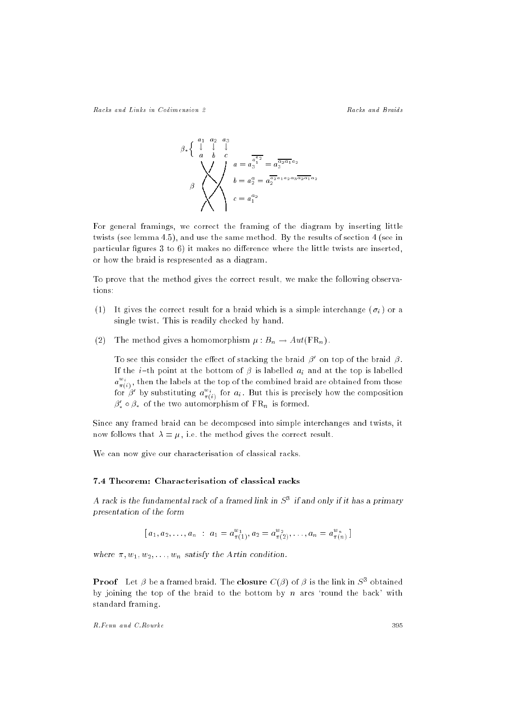$$
\beta * \left\{ \begin{array}{ccc} a_1 & a_2 & a_3 \\ \downarrow & \downarrow & \downarrow \\ a & b & c \\ & & \searrow \\ \beta \end{array} \right\}
$$
\n
$$
\beta = a_2^{\frac{a_1}{a_1^{\frac{a_2}{2}}} = a_3^{\frac{a_2 a_1 a_2}{2} a_1 a_2}
$$
\n
$$
b = a_2^{\frac{a_2}{2} a_1 a_2 a_3 \frac{a_2 a_1 a_2}{2}}
$$
\n
$$
c = a_1^{a_2}
$$

For general framings, we correct the framing of the diagram by inserting little twists (see lemma 4.5), and use the same method. By the results of section 4 (see in particular figures 3 to 6) it makes no difference where the little twists are inserted, or how the braid is respresented as a diagram.

To prove that the method gives the correct result, we make the following observations:

- (1) It gives the correct result for a braid which is a simple interchange (ii ) or a simple interchange (ii ) or a simple interchange (ii ) or a simple interchange (ii ) or a simple interchange (ii ) or a simple interchan single twist. This is readily checked by hand.
- $\mathcal{L} = \mathcal{L}$  The method gives a method is provided for  $\mathcal{L} = \{k \}$  . And  $\mathcal{L} = \{k \}$

To see this consider the effect of stacking the braid  $\rho$  on top of the braid  $\rho$ . If the i {th point at the bottom of  is labelled ai and at the top is labelled  $a_{\perp}^{\perp}$ , then the labels at the top of the combined braid are obtained from those for  $\beta'$  by substituting  $a_{\sigma(i)}^{w_i}$  for  $a_i$ . But this is precisely how the composition  $\beta'_* \circ \beta_*$  of the two automorphism of  $\operatorname{FR}_n$  is formed.

Since any framed braid can be decomposed into simple interchanges and twists, it now follows that  $\lambda = \mu$ , i.e. the method gives the correct result.

We can now give our characterisation of classical racks.

# 7.4 Theorem: Characterisation of classical racks

A rack is the fundamental rack of a framed link in  $S^{\pm}$  if and only if it has a primary presentation of the form

$$
[a_1, a_2,..., a_n : a_1 = a_{\pi(1)}^{w_1}, a_2 = a_{\pi(2)}^{w_2},..., a_n = a_{\pi(n)}^{w_n}]
$$

where  $\pi, w_1, w_2, \ldots, w_n$  satisfy the Artin condition.

**Proof** Let  $\rho$  be a framed braid. The **closure**  $C(\rho)$  of  $\rho$  is the link in  $S^2$  obtained by joining the top of the braid to the bottom by  $n$  arcs 'round the back' with standard framing.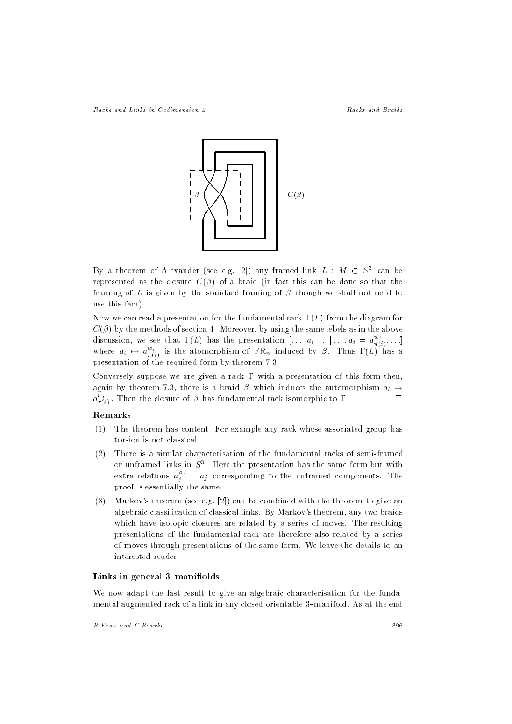

By a theorem of Alexander (see e.g. [2]) any framed link  $L$  :  $M$   $\subset$   $S^{\circ}$  can be represented as the closure  $C(\beta)$  of a braid (in fact this can be done so that the framing of L is given by the standard framing of  $\beta$  though we shall not need to use this fact).

Now we can read a presentation for the fundamental rack  $\Gamma(L)$  from the diagram for  $C(\beta)$  by the methods of section 4. Moreover, by using the same lebels as in the above discussion, we see that  $\Gamma(L)$  has the presentation  $[\,\ldots, a_i, \ldots | \, \ldots, a_i \, = \, a_{\pi(i)}^{\perp}, \ldots]$ where  $a_i \mapsto a_{\pi(i)}^{-i}$  is the atomorphism of FR<sub>n</sub> induced by  $\beta$ . Thus  $\Gamma(L)$  has a presentation of the required form by theorem 7.3.

Conversely suppose we are given a rack  $\Gamma$  with a presentation of this form then,  $\alpha$ gain by theorem 7.3, there is a brain  $\beta$  which induces the automorphism  $\alpha$  $a_{\pi(i)}^{\pi}$ . Then the closure of  $\beta$  has fundamental rack isomorphic to  $\Gamma$ .

## Remarks

- (1) The theorem has content. For example any rack whose associated group has torsion is not classical.
- (2) There is a similar characterisation of the fundamental racks of semi-framed or unifamed links in  $S^{\pi}$ . Here the presentation has the same form but with extra relations  $a_j^2 = a_j$  corresponding to the unframed components. The proof is essentially the same.
- (3) Markov's theorem (see e.g. [2]) can be combined with the theorem to give an algebraic classication of classical links. By Markov's theorem, any two braids which have isotopic closures are related by a series of moves. The resulting presentations of the fundamental rack are therefore also related by a series of moves through presentations of the same form. We leave the details to an interested reader.

#### Links in general  $3$ -manifiolds

We now adapt the last result to give an algebraic characterisation for the fundamental augmented rack of a link in any closed orientable 3-manifold. As at the end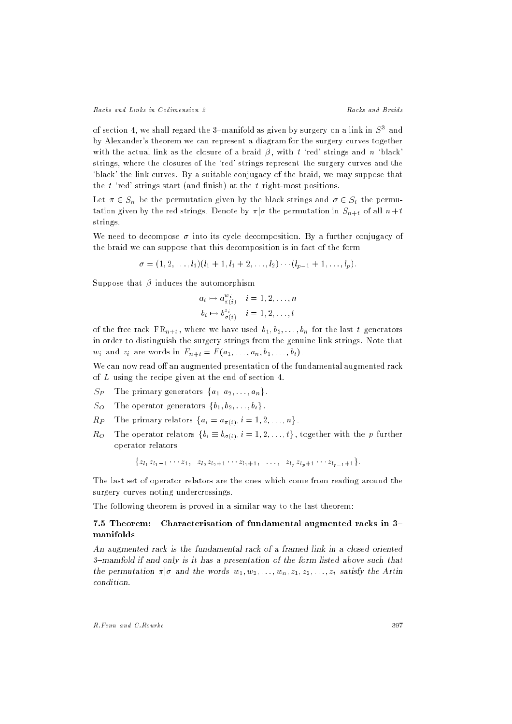of section 4, we shall regard the 3-manifold as given by surgery on a link in S<sup>3</sup> and by Alexander's theorem we can represent a diagram for the surgery curves together with the actual link as the closure of a braid  $\beta$ , with t 'red' strings and n 'black' strings, where the closures of the `red' strings represent the surgery curves and the `black' the link curves. By a suitable conjugacy of the braid, we may suppose that the  $t$  'red' strings start (and finish) at the  $t$  right-most positions.

Let  $x \in \mathcal{S}_n$  be the permutation given by the black strings and  $x \in \mathcal{S}_n$  the permutation given by the red strings. Denote by  $\pi | \sigma$  the permutation in  $S_{n+t}$  of all  $n+t$ strings.

We need to decompose  $\sigma$  into its cycle decomposition. By a further conjugacy of the braid we can suppose that this decomposition is in fact of the form

$$
\sigma = (1, 2, \ldots, l_1)(l_1 + 1, l_1 + 2, \ldots, l_2) \cdots (l_{p-1} + 1, \ldots, l_p).
$$

Suppose that  $\beta$  induces the automorphism

$$
a_i \mapsto a_{\pi(i)}^{w_i} \quad i = 1, 2, \dots, n
$$

$$
b_i \mapsto b_{\sigma(i)}^{z_i} \quad i = 1, 2, \dots, t
$$

of the free rack  $FR_{n+t}$ , where we have used  $b_1, b_2, \ldots, b_n$  for the last t generators in order to distinguish the surgery strings from the genuine link strings. Note that wi and zi are words in Fn+t <sup>=</sup> <sup>F</sup> (a1; : : : ; an; b1; : : : ; bt) .

We can now read off an augmented presentation of the fundamental augmented rack of L using the recipe given at the end of section 4.

- SPThe primary generators  $\{a_1, a_2, \ldots, a_n\}$ .
- $S_{\Omega}$ The operator generators  $\{b_1, b_2, \ldots, b_t\}$ .
- $R_{P}$ The primary relators  $\{a_i = a_{\pi(i)}, i = 1, 2, \ldots, n\}$ .
- $Ro$ The operator relators  $\{b_i \equiv b_{\sigma(i)}, i = 1, 2, \ldots, t\}$ , together with the p further operator relators

 ${z_{l_1}z_{l_1-1}\cdots z_1, z_{l_2}z_{l_2+1}\cdots z_{l_1+1}, \ldots, z_{l_n}z_{l_n+1}\cdots z_{l_{n-1}+1}}.$ 

The last set of operator relators are the ones which come from reading around the surgery curves noting undercrossings.

The following theorem is proved in a similar way to the last theorem:

# 7.5 Theorem: Characterisation of fundamental augmented racks in 3manifolds

An augmented rack is the fundamental rack of a framed link in a closed oriented 3{manifold if and only is it has a presentation of the form listed above such that the permutation  $\pi | \sigma$  and the words  $w_1, w_2, \ldots, w_n, z_1, z_2, \ldots, z_t$  satisfy the Artin condition.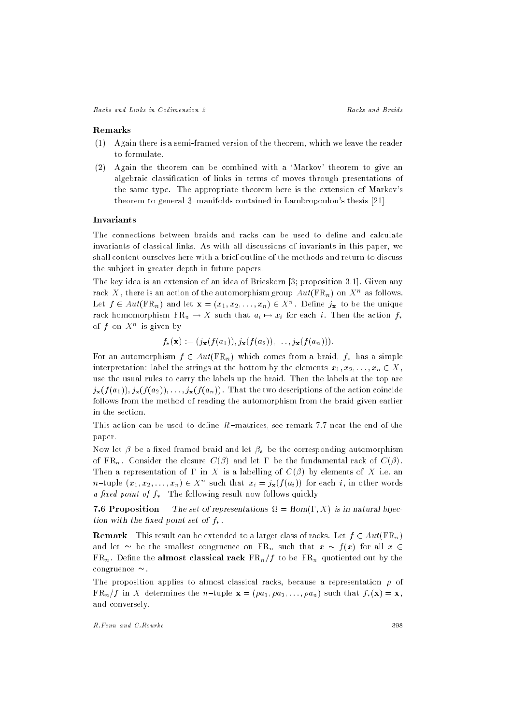#### Remarks

- (1) Again there is a semi-framed version of the theorem, which we leave the reader to formulate.
- (2) Again the theorem can be combined with a `Markov' theorem to give an algebraic classication of links in terms of moves through presentations of the same type. The appropriate theorem here is the extension of Markov's theorem to general 3-manifolds contained in Lambropoulou's thesis  $[21]$ .

#### Invariants

The connections between braids and racks can be used to define and calculate invariants of classical links. As with all discussions of invariants in this paper, we shall content ourselves here with a brief outline of the methods and return to discuss the subject in greater depth in future papers.

The key idea is an extension of an idea of Brieskorn [3; proposition 3.1]. Given any rack  $A$  , there is an action of the automorphism group  $Au$  (FR<sub>n</sub>) on  $A^{\sim}$  as follows. Let  $f \in Aut(FK_n)$  and let  $\mathbf{X} = (x_1, x_2, \ldots, x_n) \in X^+$  . Define  $j_{\mathbf{x}}$  to be the unique rack homomorphism FR $\eta$  . If such that  $\eta$  , we such the action for  $f$ of  $f$  on  $A^{\sim}$  is given by

 $f_*({\bf x}) := (j_{\bf x}(f(a_1)), j_{\bf x}(f(a_2)), \ldots, j_{\bf x}(f(a_n))).$ 

For an automorphism  $f \in Aut(\mathbf{FR}_n)$  which comes from a braid,  $f_*$  has a simple interpretation: label the strings at the bottom by the elements  $x_1, x_2, \ldots, x_n \in X$ , use the usual rules to carry the labels up the braid. Then the labels at the top are  $j_{\mathbf{x}}(f(a_1)), j_{\mathbf{x}}(f(a_2)), \ldots, j_{\mathbf{x}}(f(a_n))$ . That the two descriptions of the action coincide follows from the method of reading the automorphism from the braid given earlier in the section.

This action can be used to define  $R$ -matrices, see remark 7.7 near the end of the paper.

Now let  $\beta$  be a fixed framed braid and let  $\beta_*$  be the corresponding automorphism  $\mathcal{F} = \{ \mathcal{F}_i \mid i \in \mathbb{N} \}$  . Consider the constant  $\mathcal{F}_i$  is and  $\mathcal{F}_i$  . In the fundamental ratio  $\mathcal{F}_i$  ,  $\mathcal{F}_i$  ,  $\mathcal{F}_i$ Then a representation of  $\Gamma$  in X is a labelling of  $C(\beta)$  by elements of X i.e. an  $n$ -uple  $(x_1, x_2, \ldots, x_n) \in A$  such that  $x_i = j_{\mathbf{x}}(f(a_i))$  for each  $i$ , in other words a fixed point of  $f_*$ . The following result now follows quickly.

7.6 Proposition The set of representations = Hom(; X) is in natural bijection with the fixed point set of  $f_*$ .

**Remark** This result can be extended to a larger class of racks. Let  $f \in Aut(\mathbb{FR}_n)$ and let  $\sim$  be the smallest congruence on FRq such that  $x \sim$ From . Definition the almost classical rack FRN  $\mu$  and  $\mu$  the FRN quotient by the FRN quotient by the FRN quotient by the FRN quotient by the FRN quotient by the FRN quotient by the FRN quotient by the FRN quotient by congruence  $\sim$ .

The proposition applies to almost classical racks, because a representation  $\rho$  of  $FR_n/f$  in X determines the n-tuple  $\mathbf{x} = (\rho a_1, \rho a_2, \ldots, \rho a_n)$  such that  $f_*(\mathbf{x}) = \mathbf{x}$ , and conversely.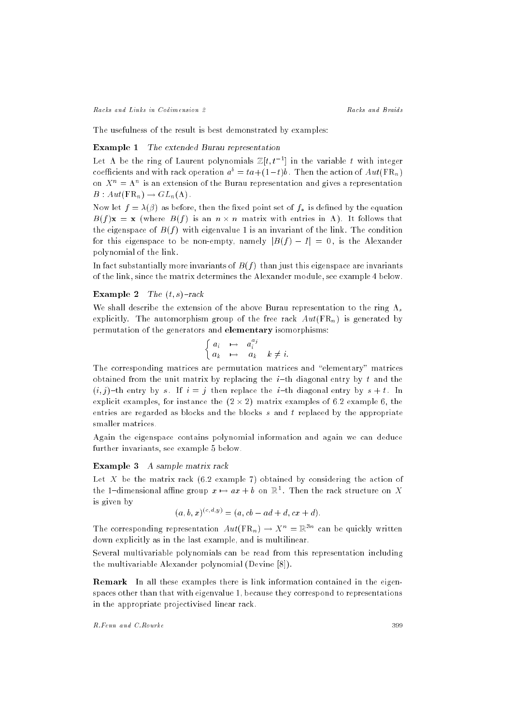Racks and Links in Codimension 2

The usefulness of the result is best demonstrated by examples:

# Example 1 The extended Burau representation

Let A be the ring of Laurent polynomials  $\mathbb{Z}[t, t^{-1}]$  in the variable t with integer coefficients and with rack operation  $a^b = ta + (1-t)b$ . Then the action of  $Aut(\mathbb{F}R_n)$ on  $X^{\dagger} = X^{\dagger}$  is an extension of the Burau representation and gives a representation  $B: Aut(\operatorname{FR}_n) \to GL_n(\Lambda)$ .

Now let  $f = \lambda(\beta)$  as before, then the fixed point set of  $f_*$  is defined by the equation  $B$ (f)ix  $\cdots$  is (where  $B$ (f) is with the following within victims that in  $\cdots$  is follows that the eigenspace of  $B(f)$  with eigenvalue 1 is an invariant of the link. The condition for this eigenspace to be non-empty, namely  $|B(f) - I| = 0$ , is the Alexander polynomial of the link.

In fact substantially more invariants of  $B(f)$  than just this eigenspace are invariants of the link, since the matrix determines the Alexander module, see example 4 below.

## Example 2 The  $(t, s)$ -rack

We shall describe the extension of the above Burau representation of the above Burau representation to the ring s explicitly. The automorphism group of the free rack  $Aut(\mathbf{FR}_n)$  is generated by permutation of the generators and elementary isomorphisms:

$$
\begin{cases} a_i & \mapsto & a_i^{a_j} \\ a_k & \mapsto & a_k \end{cases} k \neq i.
$$

The corresponding matrices are permutation matrices and "elementary" matrices obtained from the unit matrix by replacing the  $i$ -th diagonal entry by t and the  $(i, j)$ -th entry by s. If  $i = j$  then replace the i-th diagonal entry by  $s + t$ . In explicit examples, for instance the (2 - 2) matrix examples of 6.2 example 6, the entries are regarded as blocks and the blocks s and t replaced by the appropriate smaller matrices.

Again the eigenspace contains polynomial information and again we can deduce further invariants, see example 5 below.

## Example 3 A sample matrix rack

Let  $X$  be the matrix rack (6.2 example 7) obtained by considering the action of the 1–dimensional affine group  $x \mapsto ax + b$  on  $\mathbb{R}^1$ . Then the rack structure on  $X$ is given by

$$
(a, b, x)^{(c, d, y)} = (a, cb - ad + d, cx + d).
$$

The corresponding representation  $Aut(\mathrm{FR}_n) \to X^n = \mathbb{R}^{3n}$  can be quickly written down explicitly as in the last example, and is multilinear.

Several multivariable polynomials can be read from this representation including the multivariable Alexander polynomial (Devine [8]).

Remark In all these examples there is link information contained in the eigenspaces other than that with eigenvalue 1, because they correspond to representations in the appropriate projectivised linear rack.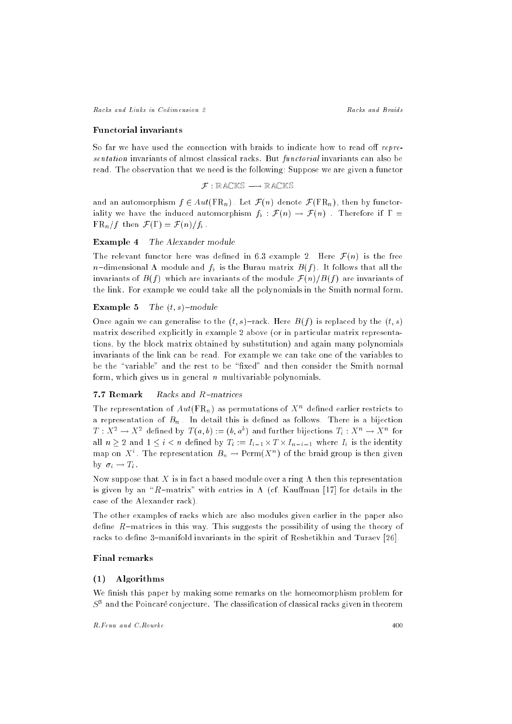Racks and Links in Codimension 2 Racks and Braids

#### Functorial invariants

So far we have used the connection with braids to indicate how to read off  $repre$ sentation invariants of almost classical racks. But functorial invariants can also be read. The observation that we need is the following: Suppose we are given a functor

$$
\mathcal{F}:\mathbb{R}\mathbb{A}\mathbb{C}\mathbb{K}\mathbb{S}\longrightarrow\mathbb{R}\mathbb{A}\mathbb{C}\mathbb{K}\mathbb{S}
$$

and an automorphism  $f \in Aut(\mathbf{FR}_n)$ . Let  $\mathcal{F}(n)$  denote  $\mathcal{F}(\mathbf{FR}_n)$ , then by functoriality we have the induced automorphism f $f$  : F(n) . F(n) . Therefore if  $\pm$  $F=-f(t)$  ,  $f(t)$  . For  $f(t)$  ,  $f(t)$  ,  $f(t)$  ,  $f(t)$  . For  $f(t)$ 

Example 4 The Alexander module

The relevant functor here was defined in 6.3 example 2. Here  $\mathcal{F}(n)$  is the free n dimensional is the Burau matrix  $f(\theta)$  is the Burau matrix  $\theta$  (f ) . It follows that all the invariants of  $B(f)$  which are invariants of the module  $\mathcal{F}(n)/B(f)$  are invariants of the link. For example we could take all the polynomials in the Smith normal form.

#### **Example 5** The  $(t, s)$ -module

Once again we can generalise to the  $(t, s)$ -rack. Here  $B(f)$  is replaced by the  $(t, s)$ matrix described explicitly in example 2 above (or in particular matrix representations, by the block matrix obtained by substitution) and again many polynomials invariants of the link can be read. For example we can take one of the variables to be the "variable" and the rest to be "fixed" and then consider the Smith normal form, which gives us in general  $n$  multivariable polynomials.

## 7.7 Remark Racks and R-matrices

The representation of  $Au$  (FR<sub>n</sub>) as permutations of  $X^{\alpha}$  defined earlier restricts to a representation of B<sub>n</sub> . In details in detail to detect as follows. There is a bijection  $I: A^* \to A^*$  defined by  $I(a, v) := (v, a^*)$  and further bijections  $I_i: A^* \to A^*$  for all is a compact of  $\{x_i\}_{i=1}^n$  in the initial  $\{x_i\}_{i=1}^n$  is the initial operator  $\{x_i\}_{i=1}^n$ map on  $\Lambda^+$ . The representation  $D_n \to \text{Ferm}(X^+)$  of the braid group is then given  $\cdots$  i  $\cdots$  in  $\cdots$ 

Now suppose that X is in fact a based module over a ring  $\Lambda$  then this representation is given by an "R-matrix" with entries in  $\Lambda$  (cf. Kauffman [17] for details in the case of the Alexander rack).

The other examples of racks which are also modules given earlier in the paper also define  $R$ -matrices in this way. This suggests the possibility of using the theory of racks to define 3-manifold invariants in the spirit of Reshetikhin and Turaev [26].

## Final remarks

#### (1) Algorithms

We finish this paper by making some remarks on the homeomorphism problem for  $\beta^+$  and the Poincare conjecture. The classification of classical racks given in theorem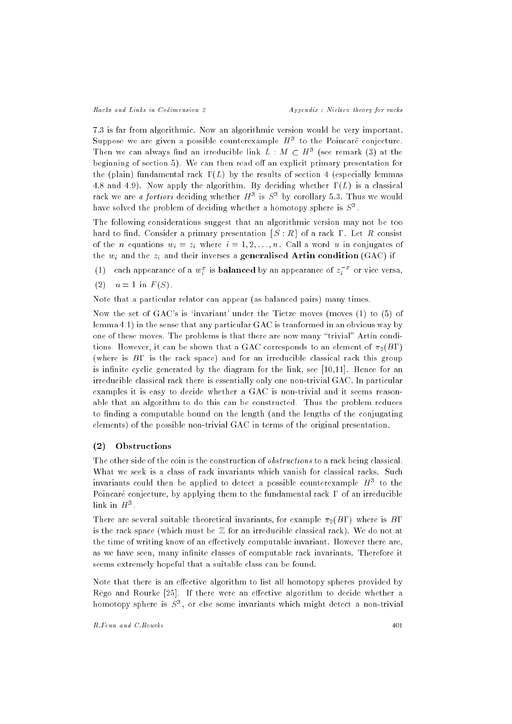7.3 is far from algorithmic. Now an algorithmic version would be very important. Suppose we are given a possible counterexample  $H^{\ast}$  to the Poincare conjecture. Then we can always find an irreducible link  $L : M \subset H^+$  (see remark (3) at the beginning of section 5). We can then read off an explicit primary presentation for the (plain) fundamental rack  $\Gamma(L)$  by the results of section 4 (especially lemmas 4.8 and 4.9). Now apply the algorithm. By deciding whether  $\Gamma(L)$  is a classical rack we are *a fortiori* deciding whether  $H^+$  is  $S^+$  by corollary  $9.3$  . Thus we would have solved the problem of deciding whether a homotopy sphere is  $S^{\pi}$ .

The following considerations suggest that an algorithmic version may not be too hard to find. Consider a primary presentation  $[S:R]$  of a rack  $\Gamma$ . Let R consist of the n equations wi <sup>=</sup> zi where <sup>i</sup> = 1; 2; : : : ; n. Call a word <sup>u</sup> in conjugates of the window and the zingle  $\blacksquare$  and the zingle  $\blacksquare$ 

- (1) each appearance of a  $w_i^*$  is **balanced** by an appearance of  $z_i^*$  for vice versa, i
- (2)  $u = 1$  in  $F(S)$ .

Note that a particular relator can appear (as balanced pairs) many times.

Now the set of GAC's is `invariant' under the Tietze moves (moves (1) to (5) of lemma 4.1) in the sense that any particular GAC is tranformed in an obvious way by one of these moves. The problems is that there are now many \trivial" Artin conditions. However, it can be shown that a GAC corresponds to an element of  $\pi_2(B\Gamma)$ (where is  $B\Gamma$  is the rack space) and for an irreducible classical rack this group is infinite cyclic generated by the diagram for the link, see  $[10,11]$ . Hence for an irreducible classical rack there is essentially only one non-trivial GAC. In particular examples it is easy to decide whether a GAC is non-trivial and it seems reasonable that an algorithm to do this can be constructed. Thus the problem reduces to finding a computable bound on the length (and the lengths of the conjugating elements) of the possible non-trivial GAC in terms of the original presentation.

## (2) Obstructions

The other side of the coin is the construction of *obstructions* to a rack being classical. What we seek is a class of rack invariants which vanish for classical racks. Such invariants could then be applied to detect a possible counterexample  $H^\pm$  to the Poincaré conjecture, by applying them to the fundamental rack  $\Gamma$  of an irreducible  $\lim K$  in  $H^{\circ}$  .

There are several suitable theoretical invariants, for example  $\pi_2(B\Gamma)$  where is BT is the rack space (which must be  $\mathbb Z$  for an irreducible classical rack). We do not at the time of writing know of an effectively computable invariant. However there are, as we have seen, many infinite classes of computable rack invariants. Therefore it seems extremely hopeful that a suitable class can be found.

Note that there is an effective algorithm to list all homotopy spheres provided by Rêgo and Rourke  $[25]$ . If there were an effective algorithm to decide whether a homotopy sphere is  $S^{\pi}$ , or else some invariants which might detect a non-trivial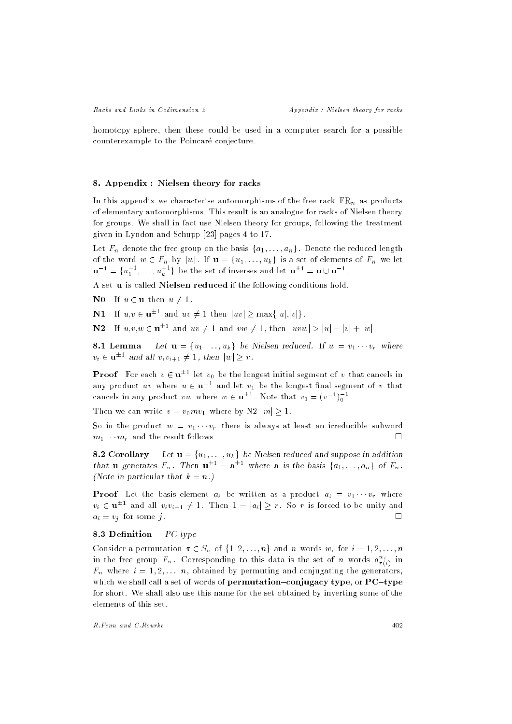homotopy sphere, then these could be used in a computer search for a possible counterexample to the Poincare conjecture.

#### 8. Appendix : Nielsen theory for racks

In this appendix we characterise automorphisms of the free rack FRn as products of elementary automorphisms. This result is an analogue for racks of Nielsen theory for groups. We shall in fact use Nielsen theory for groups, following the treatment given in Lyndon and Schupp [23] pages 4 to 17.

Let Fn denote the free group on the basis fa1; : : : ; ang . Denote the reduced length of the word we 2  $\mu$  with  $\mu$  is a set of  $\mu$  is a set of elements of  $\mu$  we let  $\mathbf{u}^{-1} = \{u_1^{-1}, \ldots, u_k^{-1}\}$  be the set of inverses and let  $\mathbf{u}^{+1} = \mathbf{u} \cup \mathbf{u}^{-1}$ .

A set u is called Nielsen reduced if the following conditions hold.

**N0** If  $u \in \mathbf{u}$  then  $u \neq 1$ .

IN 1 II  $u, v \in \mathbf{u}$  and  $uv \neq 1$  then  $|uv| \geq \max\{|u|, |v|\}$ .

 $\mathbf{N}$  if  $u,v,w \in \mathbf{u}^{\pm \pm}$  and  $uv \neq 1$  and  $vw \neq 1$ , then  $|uvw| > |u| - |v| + |w|$ .

Let  $\mathbf{u} = \{u_1, \ldots, u_k\}$  be Nielsen reduced. If  $w = v_1 \cdots v_r$  where 8.1 Lemma  $v_i \in \mathbf{u}$  = and an  $v_i v_{i+1} \neq 1$ , then  $|w| \geq r$ .

**Proof** from each  $v \in \mathbf{u}^{++}$  let  $v_0$  be the longest initial segment of  $v$  that cancels in any product  $uv$  where  $u \in \mathbf{u}$   $\vdash$  and let  $v_1$  be the longest mall segment of  $v$  that cancels in any product  $vw$  where  $w \in {\bf u}^{\pm \pm}$  . Note that  $v_1 = (v^{-1})_0$  .

Then we can write  $v = v_0 m v_1$  where by N2  $|m| > 1$ .

So in the product  $w = v_1 \cdots v_r$  there is always at least an irreducible subword  $m_1 \cdots m_r$  and the result follows. П

**8.2 Corollary** Let  $\mathbf{u} = \{u_1, \ldots, u_k\}$  be Nielsen reduced and suppose in addition that **u** generates  $r_n$ . Then  $\mathbf{u}^{\perp \perp} = \mathbf{a}^{\perp \perp}$  where **a** is the basis  $\{a_1, \ldots, a_n\}$  of  $r_n$ . (Note in particular that  $k = n$ .)

Proof Let the basis element ai be written as <sup>a</sup> product ai <sup>=</sup> v1 vr where  $v_i \in \mathbf{u}$  and all  $v_i v_{i+1} \neq 1$ . Then  $1 = |a_i| \geq r$  . So r is forced to be unity and ai <sup>=</sup> vj for some <sup>j</sup> .

## 8.3 Definition PC-type

Consider a permutation  $x \in S_n$  of fight  $j$ ;  $j = 1, \ldots, n$  and  $n$  words with  $j = 1, \ldots, n$ in the free group  $F_n$ . Corresponding to this data is the set of  $n$  words  $a^{\alpha}_{\pi(i)}$  in Fn where <sup>i</sup> = 1; 2; : : : ; n, obtained by permuting and conjugating the generators, which we shall call a set of words of permutation-conjugacy type, or  ${PC-type}$ for short. We shall also use this name for the set obtained by inverting some of the elements of this set.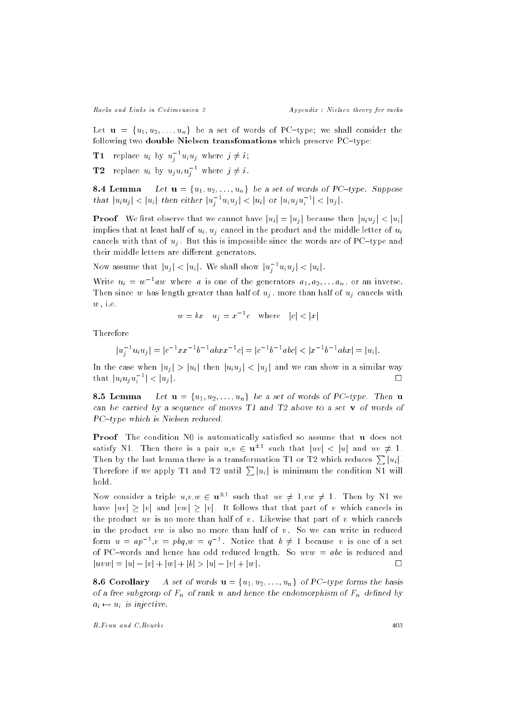Racks and Links in Codimension 2 2 Appendix : Nielsen theory for racks

Let  $\mathbf{u} = \{u_1, u_2, \ldots, u_n\}$  be a set of words of PC-type; we shall consider the following two double Nielsen transfomations which preserve  $PC$ -type:

**T1** replace  $u_i$  by  $u_j$   $u_iu_j$  where  $j \neq i$ ; j

**TZ** replace  $u_i$  by  $u_ju_iu_j$  where  $j \neq i$ . j

**8.4 Lemma** Let  $\mathbf{u} = \{u_1, u_2, \ldots, u_n\}$  be a set of words of PC-type. Suppose that  $|u_iu_j| < |u_i|$  then either  $|u_j - u_iu_j| < |u_i|$  or  $|u_iu_ju_j| < |u_j|$ . j

 $\blacksquare$  roof we have concerve that we cannot have just just just the justifying  $\blacksquare$ implies that at least half of uit  $\mathfrak{g}_1$  ; under other middle letter of uit  $\mathfrak{g}_2$ cancels with the this is  $\alpha_{f}$  . But this importance this is included with a resolution of PC{type and W their middle letters are different generators.

Now assume that  $|u_j| < |u_i|$  . We shall show  $|u_j^- u_i u_j| < |u_i|$  .

Write  $u_i = w$  aw where a is one of the generators  $a_1, a_2, \ldots a_n$ , or an inverse. Then since when since when half of uj cancels with  $\mu$  , more than half of uj cancels with  $\mu$ w , i.e.

$$
w = bx \quad u_j = x^{-1}c \quad \text{where} \quad |c| < |x|
$$

Therefore

$$
|u_j^{-1}u_iu_j| = |c^{-1}xx^{-1}b^{-1}abxx^{-1}c| = |c^{-1}b^{-1}abc| < |x^{-1}b^{-1}abx| = |u_i|.
$$

In the case when juj <sup>j</sup> <sup>&</sup>gt; juij then juiuj <sup>j</sup> <sup>&</sup>lt; juj <sup>j</sup> and we can show in a similar way П that  $|u_i u_j u_i| < |u_j|$ .

**8.5 Lemma** Let  $u = \{u_1, u_2, \ldots, u_n\}$  be a set of words of PC-type. Then u can be carried by a sequence of moves  $T1$  and  $T2$  above to a set v of words of PC-type which is Nielsen reduced.

Proof The condition N0 is automatically satised so assume that u does not satisfy N1. Then there is a pair  $u,v \in \mathbf{u}^{++}$  such that  $|uv| \leq |u|$  and  $uv \neq 1$ . Then by the last lemma there is a transformation T1 or T2 which reduces  $\sum |u_i|$ . Therefore if we apply T1 and T2 until  $\sum |u_i|$  is minimum the condition N1 will hold.

Now consider a triple  $u,v,w \in {\bf u}^{++}$  such that  $uv \neq 1, vw \neq 1$ . Then by N1 we have  $|uv| \ge |v|$  and  $|vw| \ge |v|$ . It follows that that part of v which cancels in the product uv is no more than half of v. Likewise that part of v which cancels in the product  $vw$  is also no more than half of  $v$ . So we can write in reduced form  $u = ap^{-1}$ ,  $v = pog$ ,  $w = q^{-1}$ . Notice that  $v \neq 1$  because v is one of a set of PC-words and hence has odd reduced length. So  $uvw = abc$  is reduced and  $|uvw| = |u| - |v| + |w| + |b| > |u| - |v| + |w|$ .

**8.6 Corollary** A set of words  $\mathbf{u} = \{u_1, u_2, \ldots, u_n\}$  of PC-type forms the basis of a free subgroup of Fn of rank  $n$  and hence the endomorphism of Fn defined by  $\mathcal{L}_d$  $\alpha$  , is in the  $\alpha$  is interesting. In the contract  $\alpha$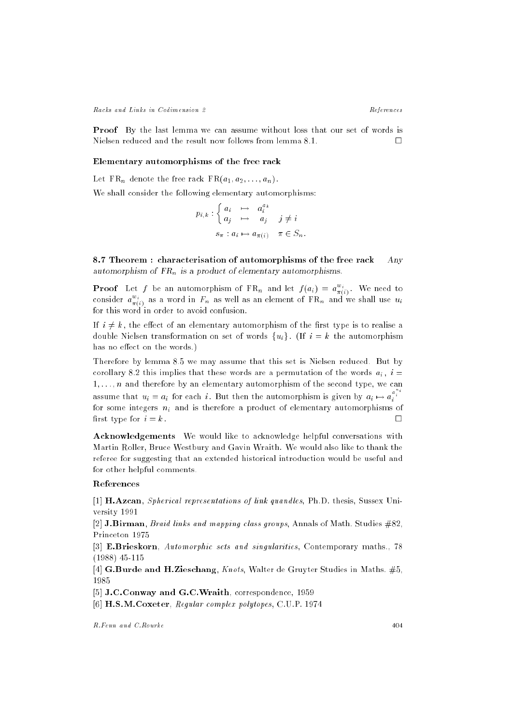Racks and Links in Codimension 2 and  $References$ 

Proof By the last lemma we can assume without loss that our set of words is Nielsen reduced and the result now follows from lemma 8.1.  $\Box$ 

#### Elementary automorphisms of the free rack

Let FRn denote the free rack FR(a1; a2; : : : ; an) .

We shall consider the following elementary automorphisms:

$$
p_{i,k} : \begin{cases} a_i & \mapsto & a_i^{a_k} \\ a_j & \mapsto & a_j \\ s_{\pi} : a_i \mapsto a_{\pi(i)} & \pi \in S_n. \end{cases}
$$

8.7 Theorem : characterisation of automorphisms of the free rack Any automorphism of FR<sub>n</sub> is a product of elementary automorphisms.

**Proof** Let f be an automorphism of  $FK_n$  and let  $f(a_i) = a_{\pi(i)}^{\pi(i)}$ . We need to consider  $a_{\pi(i)}^{w_i}$  as a word in  $F_n$  as well as an element of  $\text{FR}_n$  and we shall use  $u_i$ for this word in order to avoid confusion.

If  $i \neq k$ , the effect of an elementary automorphism of the first type is to realise a double Nielsen transformation on set of words  $\{u_i\}$ . (If  $i = k$  the automorphism has no effect on the words.)

Therefore by lemma 8.5 we may assume that this set is Nielsen reduced. But by corollary 8.2 this implies that the words are a permutation of the words are a permutation of the words ain  $\hbar$  , if  $1, \ldots, n$  and therefore by an elementary automorphism of the second type, we can assume that  $u_i = a_i$  for each i. But then the automorphism is given by  $a_i \mapsto a_i^{a_i^{r_i}}$ for some integers ni and is therefore <sup>a</sup> product of elementary automorphisms of first type for  $i = k$ .  $\Box$ 

Acknowledgements We would like to acknowledge helpful conversations with Martin Roller, Bruce Westbury and Gavin Wraith. We would also like to thank the referee for suggesting that an extended historical introduction would be useful and for other helpful comments.

### References

[1] **H.Azcan**, Spherical representations of link quandles, Ph.D. thesis, Sussex University 1991

[2] **J.Birman**, *Braid links and mapping class groups*, Annals of Math. Studies  $\#82$ . Princeton 1975

[3] E.Brieskorn, Automorphic sets and singularities, Contemporary maths., 78 (1988) 45-115

[4] G.Burde and H.Zieschang, Knots, Walter de Gruyter Studies in Maths. #5, 1985

[5] J.C.Conway and G.C.Wraith, correspondence, 1959

[6] H.S.M.Coxeter, Regular complex polytopes, C.U.P. 1974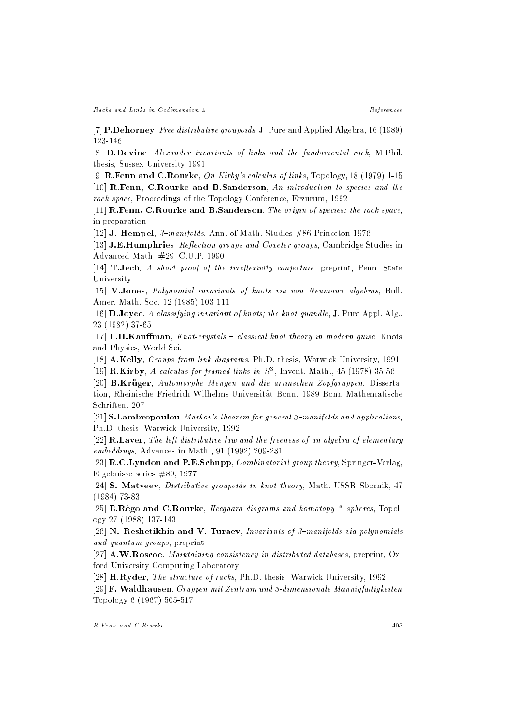[7] P.Dehorney, Free distributive groupoids, J. Pure and Applied Algebra, 16 (1989) 123-146

[8] D.Devine, Alexander invariants of links and the fundamental rack, M.Phil. thesis, Sussex University 1991

[9] **R.Fenn and C.Rourke**, *On Kirby's calculus of links*, Topology, 18 (1979) 1-15 [10] R.Fenn, C.Rourke and B.Sanderson, An introduction to species and the rack space, Proceedings of the Topology Conference, Erzurum, 1992

[11] R.Fenn, C.Rourke and B.Sanderson, The origin of species: the rack space, in preparation

[12] J. Hempel,  $\beta$ -manifolds, Ann. of Math. Studies #86 Princeton 1976

[13] J.E.Humphries, Reflection groups and Coxeter groups, Cambridge Studies in Advanced Math. #29, C.U.P. 1990

[14]  $\mathbf{T}. \mathbf{Jech}, A \text{ short proof of the irreflexivity conjecture, preprint, Penn. State}$ University

[15] V.Jones, Polynomial invariants of knots via von Neumann algebras, Bull. Amer. Math. Soc. 12 (1985) 103-111

[16]  $\bf{D}.Joyce, A \ classifying invariant of knots; the knot quand le, J. Pure Appl. Alg.,$ 23 (1982) 37-65

[17] L.H.Kauffman,  $Knot-crystals$  - classical knot theory in modern guise, Knots and Physics, World Sci.

[18] A.Kelly, Groups from link diagrams, Ph.D. thesis, Warwick University, 1991 [19]  $\bf{R.R.}$   $\bf{N}$  by, A calculus for framed links in  $S^{\pi}$  , invent. Math., 45 (1978) 35-50

[20] B.Krüger, Automorphe Mengen und die artinschen Zopfgruppen. Dissertation, Rheinische Friedrich-Wilhelms-Universitat Bonn, 1989 Bonn Mathematische Schriften, 207

[21] S.Lambropoulou, Markov's theorem for general 3-manifolds and applications, Ph.D. thesis, Warwick University, 1992

[22] **R.Laver**, The left distributive law and the freeness of an algebra of elementary embeddings, Advances in Math., 91 (1992) 209-231

[23] R.C.Lyndon and P.E.Schupp, Combinatorial group theory, Springer-Verlag, Ergebnisse series #89, 1977

[24] S. Matveev, Distributive groupoids in knot theory, Math. USSR Sbornik, 47 (1984) 73-83

[25] **E.R**ego and C.Rourke, *Heegaard diagrams and homotopy 3-spheres*, Topology 27 (1988) 137-143

[26] N. Reshetikhin and V. Turaev, Invariants of  $\beta$ -manifolds via polynomials and quantum groups, preprint

[27] A.W.Roscoe, Maintaining consistency in distributed databases, preprint, Oxford University Computing Laboratory

[28] H.Ryder, The structure of racks, Ph.D. thesis, Warwick University, 1992

[29] F. Waldhausen, Gruppen mit Zentrum und 3-dimensionale Mannigfaltigkeiten, Topology 6 (1967) 505-517